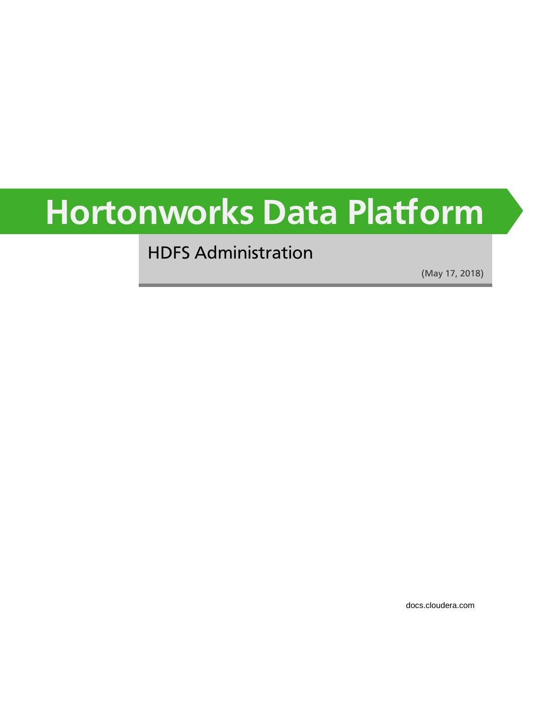# **Hortonworks Data Platform**

HDFS Administration

(May 17, 2018)

[docs.cloudera.com](http://docs.cloudera.com)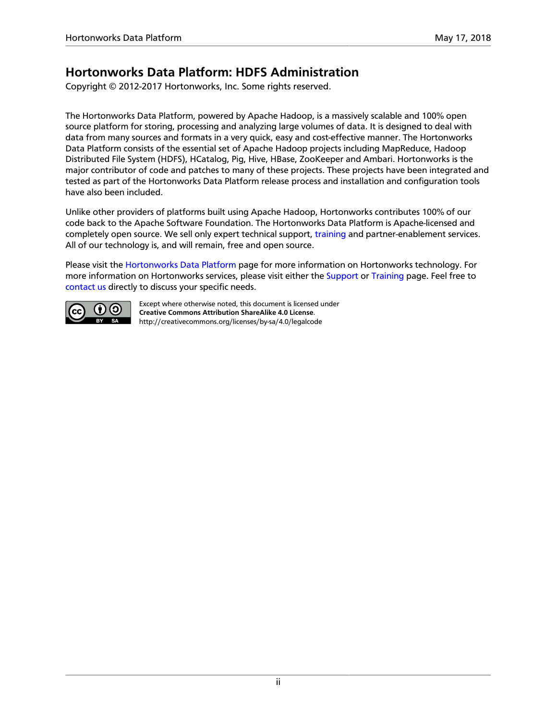### **Hortonworks Data Platform: HDFS Administration**

Copyright © 2012-2017 Hortonworks, Inc. Some rights reserved.

The Hortonworks Data Platform, powered by Apache Hadoop, is a massively scalable and 100% open source platform for storing, processing and analyzing large volumes of data. It is designed to deal with data from many sources and formats in a very quick, easy and cost-effective manner. The Hortonworks Data Platform consists of the essential set of Apache Hadoop projects including MapReduce, Hadoop Distributed File System (HDFS), HCatalog, Pig, Hive, HBase, ZooKeeper and Ambari. Hortonworks is the major contributor of code and patches to many of these projects. These projects have been integrated and tested as part of the Hortonworks Data Platform release process and installation and configuration tools have also been included.

Unlike other providers of platforms built using Apache Hadoop, Hortonworks contributes 100% of our code back to the Apache Software Foundation. The Hortonworks Data Platform is Apache-licensed and completely open source. We sell only expert technical support, [training](https://hortonworks.com/training/) and partner-enablement services. All of our technology is, and will remain, free and open source.

Please visit the [Hortonworks Data Platform](https://hortonworks.com/products/hdp/) page for more information on Hortonworks technology. For more information on Hortonworks services, please visit either the [Support](https://hortonworks.com/services/) or [Training](https://hortonworks.com/training/) page. Feel free to [contact us](https://hortonworks.com/contact-us/) directly to discuss your specific needs.



Except where otherwise noted, this document is licensed under **[Creative Commons Attribution ShareAlike 4.0 License](http://creativecommons.org/licenses/by-sa/4.0/legalcode)**. <http://creativecommons.org/licenses/by-sa/4.0/legalcode>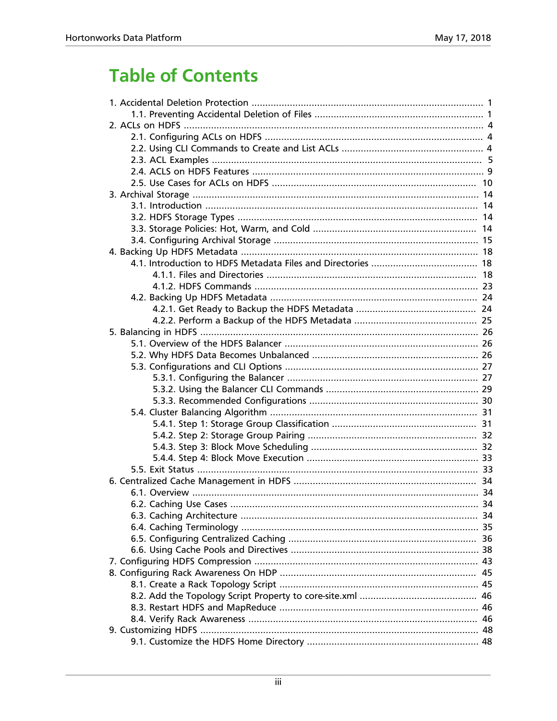## **Table of Contents**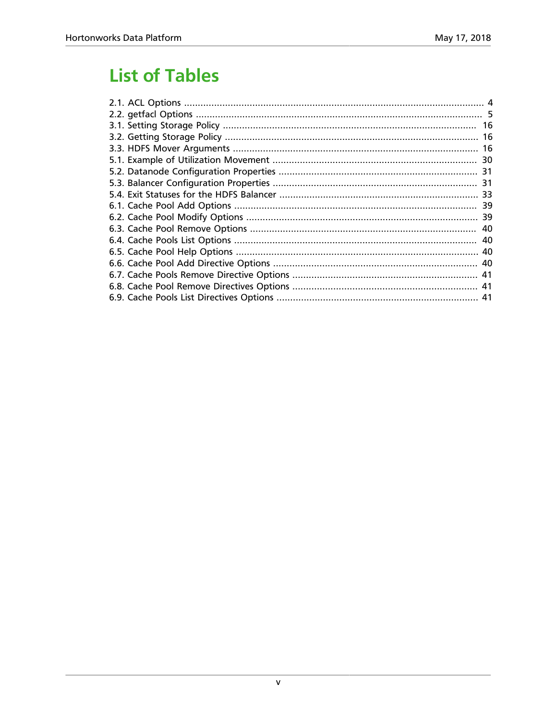## **List of Tables**

| 41 |
|----|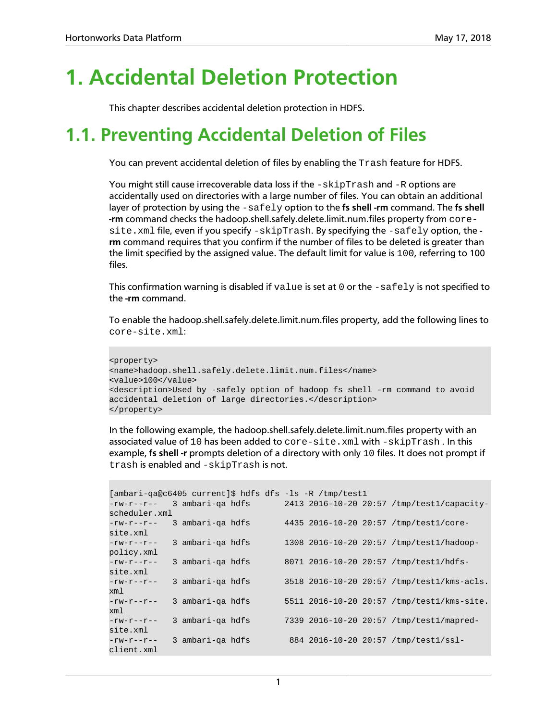## <span id="page-5-0"></span>**1. Accidental Deletion Protection**

This chapter describes accidental deletion protection in HDFS.

## <span id="page-5-1"></span>**1.1. Preventing Accidental Deletion of Files**

You can prevent accidental deletion of files by enabling the Trash feature for HDFS.

You might still cause irrecoverable data loss if the  $-skip$ Trash and  $-R$  options are accidentally used on directories with a large number of files. You can obtain an additional layer of protection by using the  $-safely$  option to the fs shell -rm command. The fs shell **-rm** command checks the hadoop.shell.safely.delete.limit.num.files property from coresite.xml file, even if you specify -skipTrash. By specifying the -safely option, the  **rm** command requires that you confirm if the number of files to be deleted is greater than the limit specified by the assigned value. The default limit for value is 100, referring to 100 files.

This confirmation warning is disabled if  $value$  is set at 0 or the  $-safely$  is not specified to the **-rm** command.

To enable the hadoop.shell.safely.delete.limit.num.files property, add the following lines to core-site.xml:

```
<property>
<name>hadoop.shell.safely.delete.limit.num.files</name>
<value>100</value>
<description>Used by -safely option of hadoop fs shell -rm command to avoid
accidental deletion of large directories.</description>
</property>
```
In the following example, the hadoop.shell.safely.delete.limit.num.files property with an associated value of 10 has been added to  $core\text{-site}$ .  $xml$  with  $\text{-skip}\text{Trank}$ . In this example, **fs shell -r** prompts deletion of a directory with only 10 files. It does not prompt if trash is enabled and -skipTrash is not.

```
[ambari-qa@c6405 current]$ hdfs dfs -ls -R /tmp/test1
-rw-r--r-- 3 ambari-qa hdfs 2413 2016-10-20 20:57 /tmp/test1/capacity-
scheduler.xml
-rw-r--r-- 3 ambari-qa hdfs 4435 2016-10-20 20:57 /tmp/test1/core-
site.xml
-rw-r--r-- 3 ambari-qa hdfs 1308 2016-10-20 20:57 /tmp/test1/hadoop-
policy.xml
-rw-r--r-- 3 ambari-qa hdfs 8071 2016-10-20 20:57 /tmp/test1/hdfs-
site.xml
-rw-r--r-- 3 ambari-qa hdfs 3518 2016-10-20 20:57 /tmp/test1/kms-acls.
xml
-rw-r--r-- 3 ambari-qa hdfs 5511 2016-10-20 20:57 /tmp/test1/kms-site.
xml
-rw-r--r-- 3 ambari-qa hdfs 7339 2016-10-20 20:57 /tmp/test1/mapred-
site.xml
-rw-r--r-- 3 ambari-qa hdfs 884 2016-10-20 20:57 /tmp/test1/ssl-
client.xml
```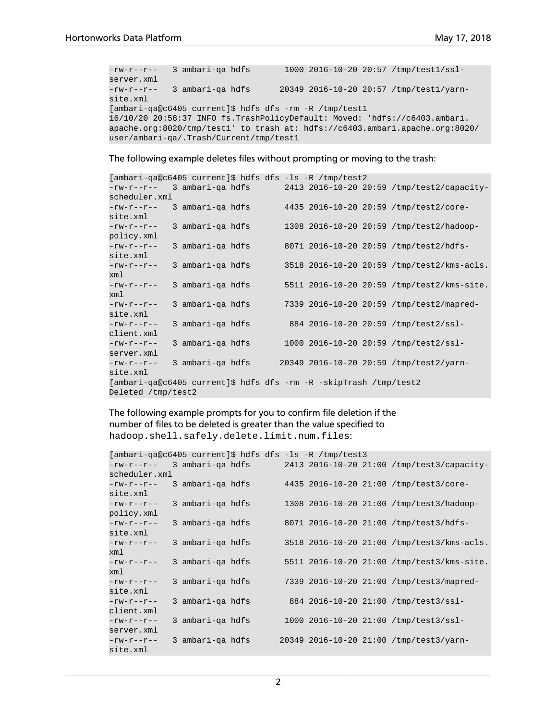```
-rw-r--r-- 3 ambari-qa hdfs 1000 2016-10-20 20:57 /tmp/test1/ssl-
server.xml
-rw-r--r-- 3 ambari-qa hdfs 20349 2016-10-20 20:57 /tmp/test1/yarn-
site.xml
[ambari-qa@c6405 current]$ hdfs dfs -rm -R /tmp/test1
16/10/20 20:58:37 INFO fs.TrashPolicyDefault: Moved: 'hdfs://c6403.ambari.
apache.org:8020/tmp/test1' to trash at: hdfs://c6403.ambari.apache.org:8020/
user/ambari-qa/.Trash/Current/tmp/test1
```
The following example deletes files without prompting or moving to the trash:

| [ambari-qa@c6405 current]\$ hdfs dfs -ls -R /tmp/test2            |  |                  |  |  |  |                                            |
|-------------------------------------------------------------------|--|------------------|--|--|--|--------------------------------------------|
| -rw-r--r-- 3 ambari-ga hdfs                                       |  |                  |  |  |  | 2413 2016-10-20 20:59 /tmp/test2/capacity- |
| scheduler.xml                                                     |  |                  |  |  |  |                                            |
| $-\texttt{rw}-\texttt{r}-\texttt{r}-$                             |  | 3 ambari-ga hdfs |  |  |  | 4435 2016-10-20 20:59 /tmp/test2/core-     |
| site.xml                                                          |  |                  |  |  |  |                                            |
| $-rw-r--r--$                                                      |  | 3 ambari-qa hdfs |  |  |  | 1308 2016-10-20 20:59 /tmp/test2/hadoop-   |
| policy.xml                                                        |  |                  |  |  |  |                                            |
| $-\text{rw}-\text{r}-\text{r}-$                                   |  | 3 ambari-ga hdfs |  |  |  | 8071 2016-10-20 20:59 /tmp/test2/hdfs-     |
| site.xml                                                          |  |                  |  |  |  |                                            |
| $-\text{rw}-\text{r}-\text{r}-$                                   |  | 3 ambari-ga hdfs |  |  |  | 3518 2016-10-20 20:59 /tmp/test2/kms-acls. |
| xml                                                               |  |                  |  |  |  |                                            |
| $-\text{rw}-\text{r}-\text{r}-$                                   |  | 3 ambari-ga hdfs |  |  |  | 5511 2016-10-20 20:59 /tmp/test2/kms-site. |
| xml                                                               |  |                  |  |  |  |                                            |
| $-\gamma w - \gamma - \gamma -$                                   |  | 3 ambari-ga hdfs |  |  |  | 7339 2016-10-20 20:59 /tmp/test2/mapred-   |
| site.xml                                                          |  |                  |  |  |  |                                            |
| $-rw-r--r--$                                                      |  | 3 ambari-ga hdfs |  |  |  | 884 2016-10-20 20:59 /tmp/test2/ssl-       |
| client.xml                                                        |  |                  |  |  |  |                                            |
| $-\text{rw}-\text{r}-\text{r}-$                                   |  | 3 ambari-ga hdfs |  |  |  | 1000 2016-10-20 20:59 /tmp/test2/ssl-      |
| server.xml                                                        |  |                  |  |  |  |                                            |
| $-rw-r--r--$                                                      |  | 3 ambari-qa hdfs |  |  |  | 20349 2016-10-20 20:59 /tmp/test2/yarn-    |
| site.xml                                                          |  |                  |  |  |  |                                            |
| [ambari-qa@c6405 current]\$ hdfs dfs -rm -R -skipTrash /tmp/test2 |  |                  |  |  |  |                                            |
| Deleted /tmp/test2                                                |  |                  |  |  |  |                                            |

The following example prompts for you to confirm file deletion if the number of files to be deleted is greater than the value specified to hadoop.shell.safely.delete.limit.num.files:

```
[ambari-qa@c6405 current]$ hdfs dfs -ls -R /tmp/test3
-rw-r--r-- 3 ambari-qa hdfs 2413 2016-10-20 21:00 /tmp/test3/capacity-
scheduler.xml
-rw-r--r-- 3 ambari-qa hdfs 4435 2016-10-20 21:00 /tmp/test3/core-
site.xml<br>-rw-r--r-- 3 ambari-qa hdfs
                                 1308 2016-10-20 21:00 /tmp/test3/hadoop-
policy.xml
-rw-r--r-- 3 ambari-qa hdfs 8071 2016-10-20 21:00 /tmp/test3/hdfs-
site.xml
-rw-r--r-- 3 ambari-qa hdfs 3518 2016-10-20 21:00 /tmp/test3/kms-acls.
xml
-rw-r--r-- 3 ambari-qa hdfs 5511 2016-10-20 21:00 /tmp/test3/kms-site.
xml
-rw-r--r-- 3 ambari-qa hdfs 7339 2016-10-20 21:00 /tmp/test3/mapred-
site.xml
-rw-r--r-- 3 ambari-qa hdfs 884 2016-10-20 21:00 /tmp/test3/ssl-
client.xml
-rw-r--r-- 3 ambari-qa hdfs 1000 2016-10-20 21:00 /tmp/test3/ssl-
server.xml
-rw-r--r-- 3 ambari-qa hdfs 20349 2016-10-20 21:00 /tmp/test3/yarn-
site.xml
```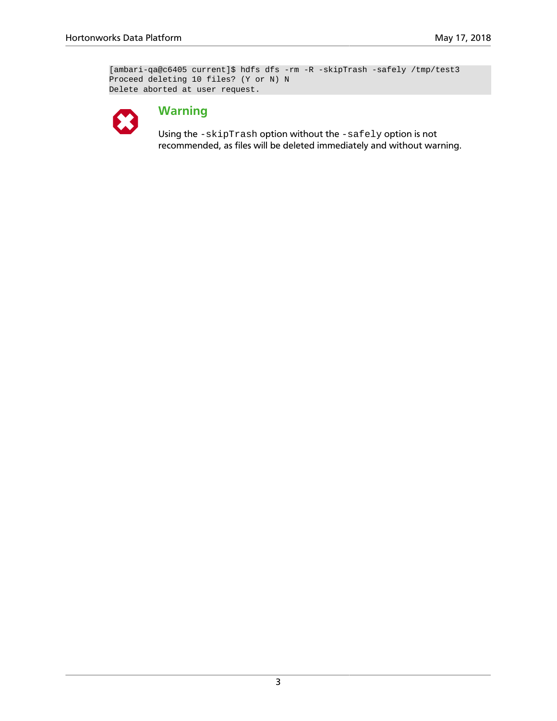```
[ambari-qa@c6405 current]$ hdfs dfs -rm -R -skipTrash -safely /tmp/test3
Proceed deleting 10 files? (Y or N) N
Delete aborted at user request.
```


### **Warning**

Using the -skipTrash option without the -safely option is not recommended, as files will be deleted immediately and without warning.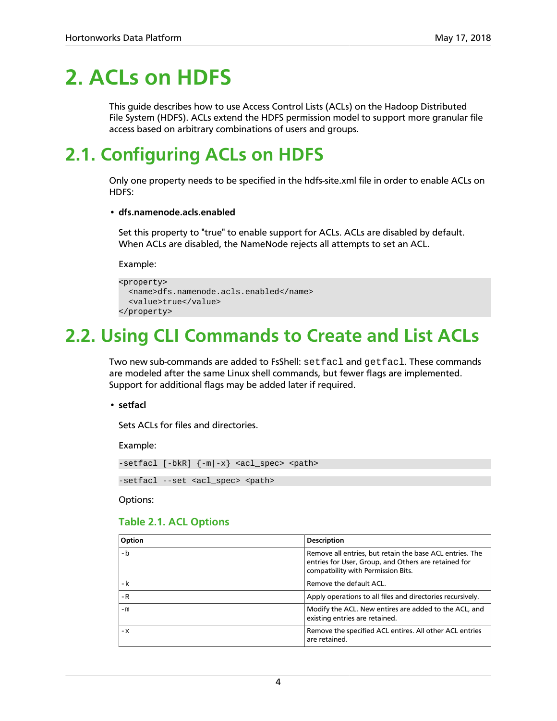## <span id="page-8-0"></span>**2. ACLs on HDFS**

This guide describes how to use Access Control Lists (ACLs) on the Hadoop Distributed File System (HDFS). ACLs extend the HDFS permission model to support more granular file access based on arbitrary combinations of users and groups.

## <span id="page-8-1"></span>**2.1. Configuring ACLs on HDFS**

Only one property needs to be specified in the hdfs-site.xml file in order to enable ACLs on HDFS:

### • **dfs.namenode.acls.enabled**

Set this property to "true" to enable support for ACLs. ACLs are disabled by default. When ACLs are disabled, the NameNode rejects all attempts to set an ACL.

Example:

```
<property>
  <name>dfs.namenode.acls.enabled</name>
   <value>true</value>
</property>
```
## <span id="page-8-2"></span>**2.2. Using CLI Commands to Create and List ACLs**

Two new sub-commands are added to FsShell:  $setfac1$  and  $getfac1$ . These commands are modeled after the same Linux shell commands, but fewer flags are implemented. Support for additional flags may be added later if required.

• **setfacl**

Sets ACLs for files and directories.

Example:

```
-setfacl [-bkR] \{-m|-x\} <acl_spec> <path>
```
-setfacl --set <acl\_spec> <path>

<span id="page-8-3"></span>Options:

### **Table 2.1. ACL Options**

| Option | <b>Description</b>                                                                                                                                     |
|--------|--------------------------------------------------------------------------------------------------------------------------------------------------------|
| $-h$   | Remove all entries, but retain the base ACL entries. The<br>entries for User, Group, and Others are retained for<br>compatbility with Permission Bits. |
| -k     | Remove the default ACL.                                                                                                                                |
| $-R$   | Apply operations to all files and directories recursively.                                                                                             |
| $-m$   | Modify the ACL. New entires are added to the ACL, and<br>existing entries are retained.                                                                |
| $-x$   | Remove the specified ACL entires. All other ACL entries<br>are retained.                                                                               |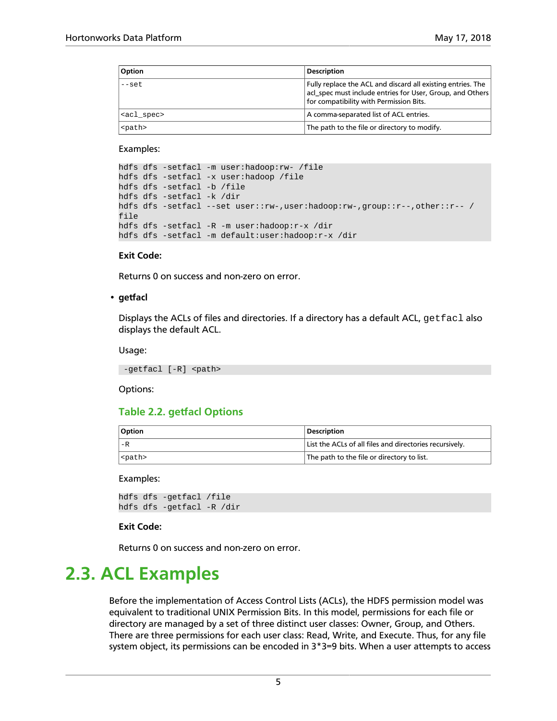| Option              | <b>Description</b>                                                                                                                                                  |
|---------------------|---------------------------------------------------------------------------------------------------------------------------------------------------------------------|
| $--set$             | Fully replace the ACL and discard all existing entries. The<br>acl_spec must include entries for User, Group, and Others<br>for compatibility with Permission Bits. |
| <acl spec=""></acl> | A comma-separated list of ACL entries.                                                                                                                              |
| <path></path>       | The path to the file or directory to modify.                                                                                                                        |

#### Examples:

```
hdfs dfs -setfacl -m user:hadoop:rw- /file
hdfs dfs -setfacl -x user:hadoop /file
hdfs dfs -setfacl -b /file
hdfs dfs -setfacl -k /dir
hdfs dfs -setfacl --set user::rw-,user:hadoop:rw-,group::r--,other::r-- /
file
hdfs dfs -setfacl -R -m user:hadoop:r-x /dir
hdfs dfs -setfacl -m default:user:hadoop:r-x /dir
```
#### **Exit Code:**

Returns 0 on success and non-zero on error.

#### • **getfacl**

Displays the ACLs of files and directories. If a directory has a default ACL,  $getfac1$  also displays the default ACL.

Usage:

-getfacl [-R] <path>

<span id="page-9-1"></span>Options:

### **Table 2.2. getfacl Options**

| Option        | <b>Description</b>                                      |
|---------------|---------------------------------------------------------|
| $-R$          | List the ACLs of all files and directories recursively. |
| <path></path> | The path to the file or directory to list.              |

Examples:

```
hdfs dfs -getfacl /file
hdfs dfs -getfacl -R /dir
```
#### **Exit Code:**

Returns 0 on success and non-zero on error.

### <span id="page-9-0"></span>**2.3. ACL Examples**

Before the implementation of Access Control Lists (ACLs), the HDFS permission model was equivalent to traditional UNIX Permission Bits. In this model, permissions for each file or directory are managed by a set of three distinct user classes: Owner, Group, and Others. There are three permissions for each user class: Read, Write, and Execute. Thus, for any file system object, its permissions can be encoded in 3\*3=9 bits. When a user attempts to access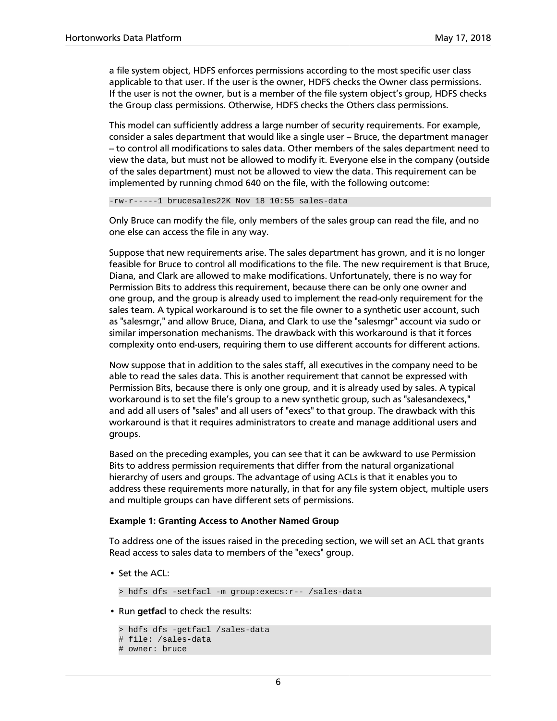a file system object, HDFS enforces permissions according to the most specific user class applicable to that user. If the user is the owner, HDFS checks the Owner class permissions. If the user is not the owner, but is a member of the file system object's group, HDFS checks the Group class permissions. Otherwise, HDFS checks the Others class permissions.

This model can sufficiently address a large number of security requirements. For example, consider a sales department that would like a single user – Bruce, the department manager -- to control all modifications to sales data. Other members of the sales department need to view the data, but must not be allowed to modify it. Everyone else in the company (outside of the sales department) must not be allowed to view the data. This requirement can be implemented by running chmod 640 on the file, with the following outcome:

-rw-r-----1 brucesales22K Nov 18 10:55 sales-data

Only Bruce can modify the file, only members of the sales group can read the file, and no one else can access the file in any way.

Suppose that new requirements arise. The sales department has grown, and it is no longer feasible for Bruce to control all modifications to the file. The new requirement is that Bruce, Diana, and Clark are allowed to make modifications. Unfortunately, there is no way for Permission Bits to address this requirement, because there can be only one owner and one group, and the group is already used to implement the read-only requirement for the sales team. A typical workaround is to set the file owner to a synthetic user account, such as "salesmgr," and allow Bruce, Diana, and Clark to use the "salesmgr" account via sudo or similar impersonation mechanisms. The drawback with this workaround is that it forces complexity onto end-users, requiring them to use different accounts for different actions.

Now suppose that in addition to the sales staff, all executives in the company need to be able to read the sales data. This is another requirement that cannot be expressed with Permission Bits, because there is only one group, and it is already used by sales. A typical workaround is to set the file's group to a new synthetic group, such as "salesandexecs," and add all users of "sales" and all users of "execs" to that group. The drawback with this workaround is that it requires administrators to create and manage additional users and groups.

Based on the preceding examples, you can see that it can be awkward to use Permission Bits to address permission requirements that differ from the natural organizational hierarchy of users and groups. The advantage of using ACLs is that it enables you to address these requirements more naturally, in that for any file system object, multiple users and multiple groups can have different sets of permissions.

#### **Example 1: Granting Access to Another Named Group**

To address one of the issues raised in the preceding section, we will set an ACL that grants Read access to sales data to members of the "execs" group.

• Set the ACL:

> hdfs dfs -setfacl -m group:execs:r-- /sales-data

• Run **getfacl** to check the results:

```
> hdfs dfs -getfacl /sales-data
# file: /sales-data
# owner: bruce
```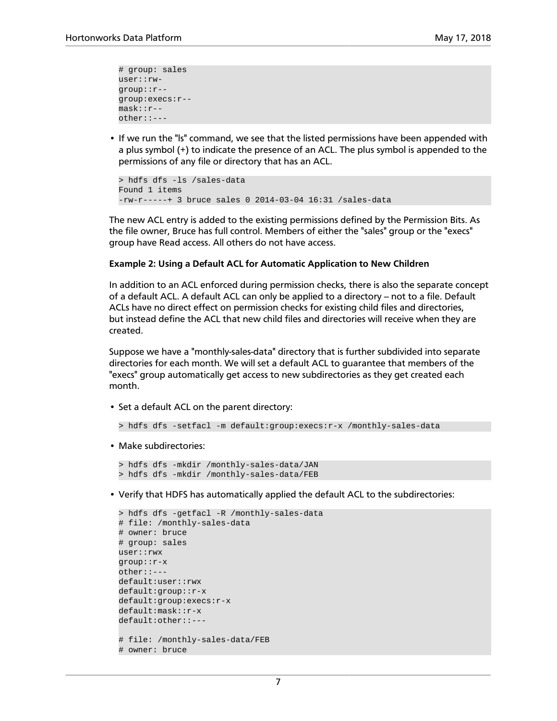```
# group: sales
user::rw-
group::r--
group:execs:r--
mask::r--
other::---
```
• If we run the "ls" command, we see that the listed permissions have been appended with a plus symbol (+) to indicate the presence of an ACL. The plus symbol is appended to the permissions of any file or directory that has an ACL.

```
> hdfs dfs -ls /sales-data
Found 1 items
-rw-r-----+ 3 bruce sales 0 2014-03-04 16:31 /sales-data
```
The new ACL entry is added to the existing permissions defined by the Permission Bits. As the file owner, Bruce has full control. Members of either the "sales" group or the "execs" group have Read access. All others do not have access.

#### **Example 2: Using a Default ACL for Automatic Application to New Children**

In addition to an ACL enforced during permission checks, there is also the separate concept of a default ACL. A default ACL can only be applied to a directory – not to a file. Default ACLs have no direct effect on permission checks for existing child files and directories, but instead define the ACL that new child files and directories will receive when they are created.

Suppose we have a "monthly-sales-data" directory that is further subdivided into separate directories for each month. We will set a default ACL to guarantee that members of the "execs" group automatically get access to new subdirectories as they get created each month.

• Set a default ACL on the parent directory:

```
> hdfs dfs -setfacl -m default:group:execs:r-x /monthly-sales-data
```
• Make subdirectories:

```
> hdfs dfs -mkdir /monthly-sales-data/JAN
> hdfs dfs -mkdir /monthly-sales-data/FEB
```
• Verify that HDFS has automatically applied the default ACL to the subdirectories:

```
> hdfs dfs -getfacl -R /monthly-sales-data
# file: /monthly-sales-data
# owner: bruce
# group: sales
user::rwx
group::r-x
other::---
default:user::rwx
default:group::r-x
default:group:execs:r-x
default:mask::r-x
default:other::---
# file: /monthly-sales-data/FEB
# owner: bruce
```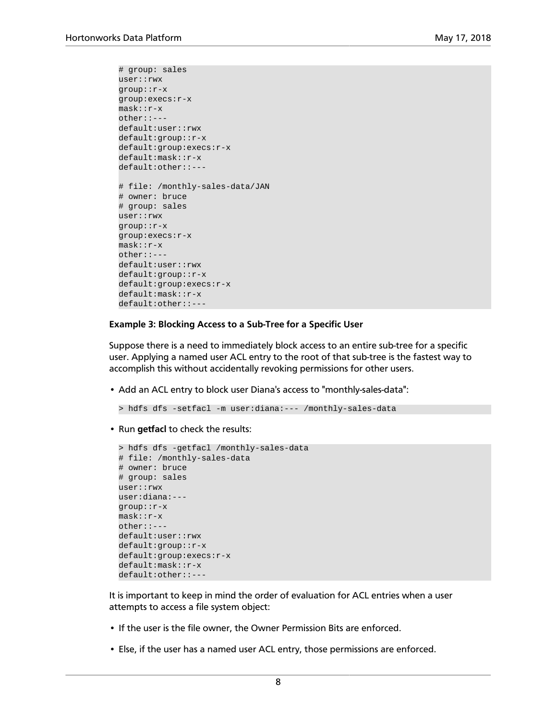```
# group: sales
user::rwx
group::r-x
group:execs:r-x
mask::r-x
other::---
default:user::rwx
default:group::r-x
default:group:execs:r-x
default:mask::r-x
default:other::---
# file: /monthly-sales-data/JAN
# owner: bruce
# group: sales
user::rwx
group::r-x
group:execs:r-x
mask::r-x
other::---
default:user::rwx
default:group::r-x
default:group:execs:r-x
default:mask::r-x
default:other::---
```
#### **Example 3: Blocking Access to a Sub-Tree for a Specific User**

Suppose there is a need to immediately block access to an entire sub-tree for a specific user. Applying a named user ACL entry to the root of that sub-tree is the fastest way to accomplish this without accidentally revoking permissions for other users.

• Add an ACL entry to block user Diana's access to "monthly-sales-data":

```
> hdfs dfs -setfacl -m user:diana:--- /monthly-sales-data
```
• Run **getfacl** to check the results:

```
> hdfs dfs -getfacl /monthly-sales-data
# file: /monthly-sales-data
# owner: bruce
# group: sales
user::rwx
user:diana:---
group::r-x
mask::r-x
other::---
default:user::rwx
default:group::r-x
default:group:execs:r-x
default:mask::r-x
default:other::---
```
It is important to keep in mind the order of evaluation for ACL entries when a user attempts to access a file system object:

- If the user is the file owner, the Owner Permission Bits are enforced.
- Else, if the user has a named user ACL entry, those permissions are enforced.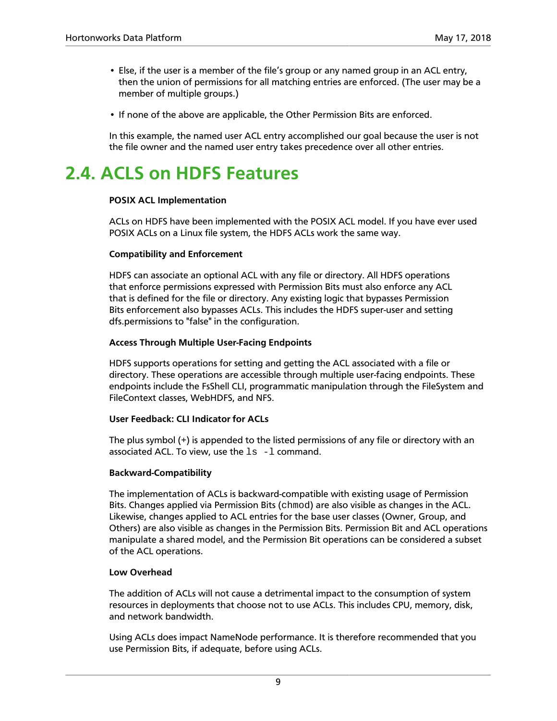- Else, if the user is a member of the file's group or any named group in an ACL entry, then the union of permissions for all matching entries are enforced. (The user may be a member of multiple groups.)
- If none of the above are applicable, the Other Permission Bits are enforced.

In this example, the named user ACL entry accomplished our goal because the user is not the file owner and the named user entry takes precedence over all other entries.

## <span id="page-13-0"></span>**2.4. ACLS on HDFS Features**

### **POSIX ACL Implementation**

ACLs on HDFS have been implemented with the POSIX ACL model. If you have ever used POSIX ACLs on a Linux file system, the HDFS ACLs work the same way.

### **Compatibility and Enforcement**

HDFS can associate an optional ACL with any file or directory. All HDFS operations that enforce permissions expressed with Permission Bits must also enforce any ACL that is defined for the file or directory. Any existing logic that bypasses Permission Bits enforcement also bypasses ACLs. This includes the HDFS super-user and setting dfs.permissions to "false" in the configuration.

### **Access Through Multiple User-Facing Endpoints**

HDFS supports operations for setting and getting the ACL associated with a file or directory. These operations are accessible through multiple user-facing endpoints. These endpoints include the FsShell CLI, programmatic manipulation through the FileSystem and FileContext classes, WebHDFS, and NFS.

### **User Feedback: CLI Indicator for ACLs**

The plus symbol (+) is appended to the listed permissions of any file or directory with an associated ACL. To view, use the  $ls -l$  command.

### **Backward-Compatibility**

The implementation of ACLs is backward-compatible with existing usage of Permission Bits. Changes applied via Permission Bits (chmod) are also visible as changes in the ACL. Likewise, changes applied to ACL entries for the base user classes (Owner, Group, and Others) are also visible as changes in the Permission Bits. Permission Bit and ACL operations manipulate a shared model, and the Permission Bit operations can be considered a subset of the ACL operations.

### **Low Overhead**

The addition of ACLs will not cause a detrimental impact to the consumption of system resources in deployments that choose not to use ACLs. This includes CPU, memory, disk, and network bandwidth.

Using ACLs does impact NameNode performance. It is therefore recommended that you use Permission Bits, if adequate, before using ACLs.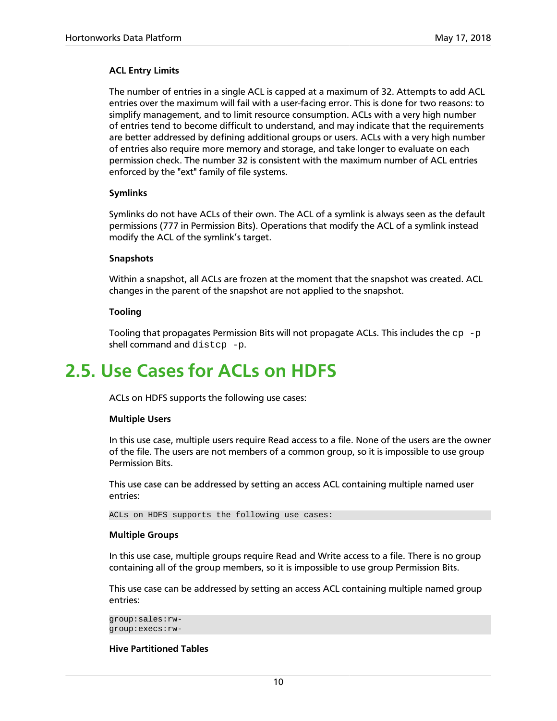### **ACL Entry Limits**

The number of entries in a single ACL is capped at a maximum of 32. Attempts to add ACL entries over the maximum will fail with a user-facing error. This is done for two reasons: to simplify management, and to limit resource consumption. ACLs with a very high number of entries tend to become difficult to understand, and may indicate that the requirements are better addressed by defining additional groups or users. ACLs with a very high number of entries also require more memory and storage, and take longer to evaluate on each permission check. The number 32 is consistent with the maximum number of ACL entries enforced by the "ext" family of file systems.

### **Symlinks**

Symlinks do not have ACLs of their own. The ACL of a symlink is always seen as the default permissions (777 in Permission Bits). Operations that modify the ACL of a symlink instead modify the ACL of the symlink's target.

### **Snapshots**

Within a snapshot, all ACLs are frozen at the moment that the snapshot was created. ACL changes in the parent of the snapshot are not applied to the snapshot.

### **Tooling**

Tooling that propagates Permission Bits will not propagate ACLs. This includes the  $cp-p$ shell command and distcp -p.

## <span id="page-14-0"></span>**2.5. Use Cases for ACLs on HDFS**

ACLs on HDFS supports the following use cases:

#### **Multiple Users**

In this use case, multiple users require Read access to a file. None of the users are the owner of the file. The users are not members of a common group, so it is impossible to use group Permission Bits.

This use case can be addressed by setting an access ACL containing multiple named user entries:

ACLs on HDFS supports the following use cases:

#### **Multiple Groups**

In this use case, multiple groups require Read and Write access to a file. There is no group containing all of the group members, so it is impossible to use group Permission Bits.

This use case can be addressed by setting an access ACL containing multiple named group entries:

```
group:sales:rw-
group:execs:rw-
```
### **Hive Partitioned Tables**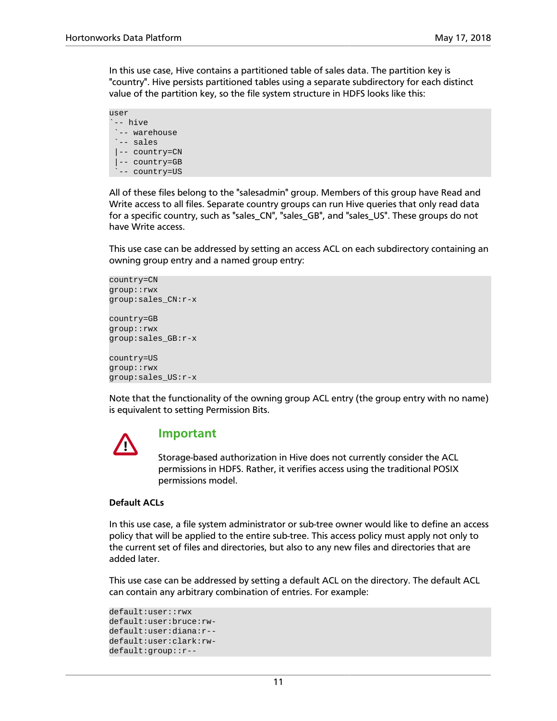In this use case, Hive contains a partitioned table of sales data. The partition key is "country". Hive persists partitioned tables using a separate subdirectory for each distinct value of the partition key, so the file system structure in HDFS looks like this:

user `-- hive `-- warehouse `-- sales |-- country=CN |-- country=GB -- country=US

All of these files belong to the "salesadmin" group. Members of this group have Read and Write access to all files. Separate country groups can run Hive queries that only read data for a specific country, such as "sales\_CN", "sales\_GB", and "sales\_US". These groups do not have Write access.

This use case can be addressed by setting an access ACL on each subdirectory containing an owning group entry and a named group entry:

```
country=CN
group::rwx
group:sales_CN:r-x
country=GB
group::rwx
group:sales_GB:r-x
country=US
group::rwx
group:sales_US:r-x
```
Note that the functionality of the owning group ACL entry (the group entry with no name) is equivalent to setting Permission Bits.



### **Important**

Storage-based authorization in Hive does not currently consider the ACL permissions in HDFS. Rather, it verifies access using the traditional POSIX permissions model.

#### **Default ACLs**

In this use case, a file system administrator or sub-tree owner would like to define an access policy that will be applied to the entire sub-tree. This access policy must apply not only to the current set of files and directories, but also to any new files and directories that are added later.

This use case can be addressed by setting a default ACL on the directory. The default ACL can contain any arbitrary combination of entries. For example:

```
default:user::rwx
default:user:bruce:rw-
default:user:diana:r--
default:user:clark:rw-
default:group::r--
```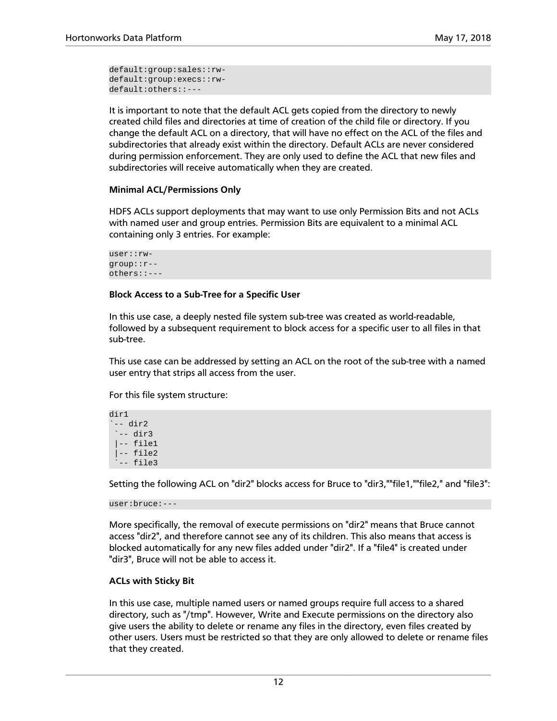default:group:sales::rwdefault:group:execs::rwdefault:others::---

It is important to note that the default ACL gets copied from the directory to newly created child files and directories at time of creation of the child file or directory. If you change the default ACL on a directory, that will have no effect on the ACL of the files and subdirectories that already exist within the directory. Default ACLs are never considered during permission enforcement. They are only used to define the ACL that new files and subdirectories will receive automatically when they are created.

### **Minimal ACL/Permissions Only**

HDFS ACLs support deployments that may want to use only Permission Bits and not ACLs with named user and group entries. Permission Bits are equivalent to a minimal ACL containing only 3 entries. For example:

user::rwgroup::r- others::---

### **Block Access to a Sub-Tree for a Specific User**

In this use case, a deeply nested file system sub-tree was created as world-readable, followed by a subsequent requirement to block access for a specific user to all files in that sub-tree.

This use case can be addressed by setting an ACL on the root of the sub-tree with a named user entry that strips all access from the user.

For this file system structure:

```
dir1
-- dir2
  `-- dir3
  |-- file1
  |-- file2
  -- file3
```
Setting the following ACL on "dir2" blocks access for Bruce to "dir3,""file1,""file2," and "file3":

user:bruce:---

More specifically, the removal of execute permissions on "dir2" means that Bruce cannot access "dir2", and therefore cannot see any of its children. This also means that access is blocked automatically for any new files added under "dir2". If a "file4" is created under "dir3", Bruce will not be able to access it.

### **ACLs with Sticky Bit**

In this use case, multiple named users or named groups require full access to a shared directory, such as "/tmp". However, Write and Execute permissions on the directory also give users the ability to delete or rename any files in the directory, even files created by other users. Users must be restricted so that they are only allowed to delete or rename files that they created.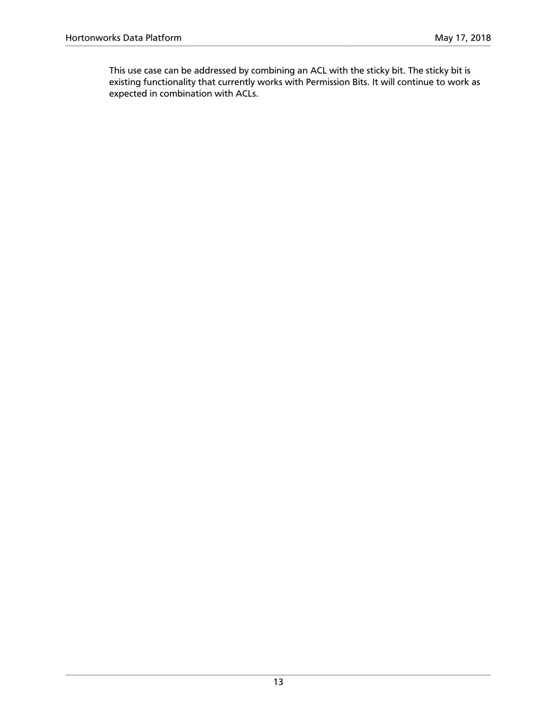This use case can be addressed by combining an ACL with the sticky bit. The sticky bit is existing functionality that currently works with Permission Bits. It will continue to work as expected in combination with ACLs.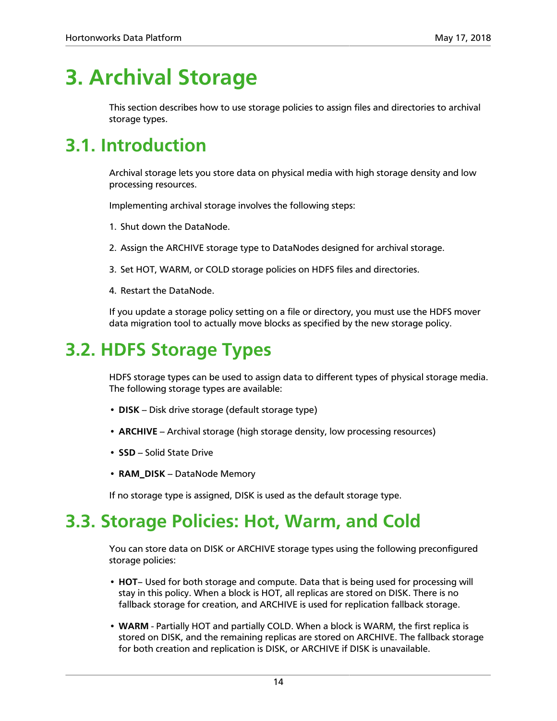## <span id="page-18-0"></span>**3. Archival Storage**

This section describes how to use storage policies to assign files and directories to archival storage types.

## <span id="page-18-1"></span>**3.1. Introduction**

Archival storage lets you store data on physical media with high storage density and low processing resources.

Implementing archival storage involves the following steps:

- 1. Shut down the DataNode.
- 2. Assign the ARCHIVE storage type to DataNodes designed for archival storage.
- 3. Set HOT, WARM, or COLD storage policies on HDFS files and directories.
- 4. Restart the DataNode.

If you update a storage policy setting on a file or directory, you must use the HDFS mover data migration tool to actually move blocks as specified by the new storage policy.

## <span id="page-18-2"></span>**3.2. HDFS Storage Types**

HDFS storage types can be used to assign data to different types of physical storage media. The following storage types are available:

- **DISK** Disk drive storage (default storage type)
- **ARCHIVE** Archival storage (high storage density, low processing resources)
- **SSD** Solid State Drive
- **RAM\_DISK** DataNode Memory

If no storage type is assigned, DISK is used as the default storage type.

## <span id="page-18-3"></span>**3.3. Storage Policies: Hot, Warm, and Cold**

You can store data on DISK or ARCHIVE storage types using the following preconfigured storage policies:

- **HOT** Used for both storage and compute. Data that is being used for processing will stay in this policy. When a block is HOT, all replicas are stored on DISK. There is no fallback storage for creation, and ARCHIVE is used for replication fallback storage.
- **WARM** Partially HOT and partially COLD. When a block is WARM, the first replica is stored on DISK, and the remaining replicas are stored on ARCHIVE. The fallback storage for both creation and replication is DISK, or ARCHIVE if DISK is unavailable.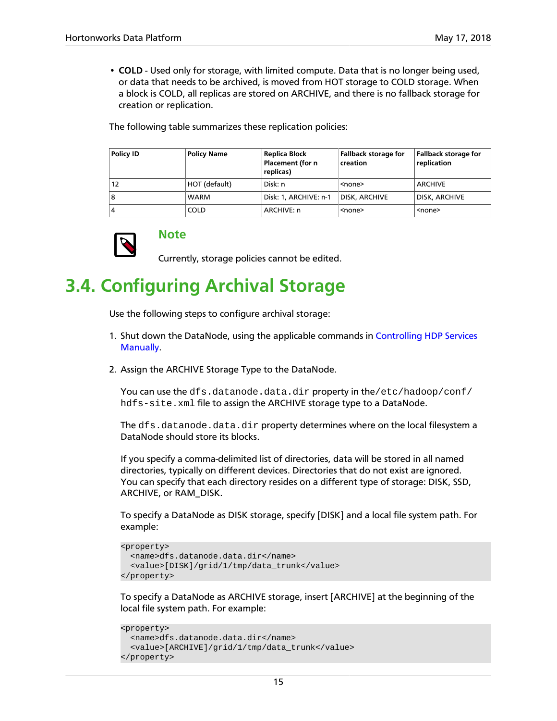• **COLD** - Used only for storage, with limited compute. Data that is no longer being used, or data that needs to be archived, is moved from HOT storage to COLD storage. When a block is COLD, all replicas are stored on ARCHIVE, and there is no fallback storage for creation or replication.

The following table summarizes these replication policies:

| <b>Policy ID</b> | <b>Policy Name</b> | Replica Block<br>Placement (for n<br>replicas) | <b>Fallback storage for</b><br>creation | <b>Fallback storage for</b><br>replication |
|------------------|--------------------|------------------------------------------------|-----------------------------------------|--------------------------------------------|
| 12               | HOT (default)      | Disk: n                                        | <none></none>                           | ARCHIVE                                    |
| 8                | <b>WARM</b>        | Disk: 1, ARCHIVE: n-1                          | DISK, ARCHIVE                           | <b>DISK, ARCHIVE</b>                       |
| 4                | <b>COLD</b>        | ARCHIVE: n                                     | <none></none>                           | <none></none>                              |



**Note**

Currently, storage policies cannot be edited.

## <span id="page-19-0"></span>**3.4. Configuring Archival Storage**

Use the following steps to configure archival storage:

- 1. Shut down the DataNode, using the applicable commands in [Controlling HDP Services](https://docs.hortonworks.com/HDPDocuments/HDP2/HDP-2.6.5/bk_reference/content/ch_controlling_hdp_svcs_manually.html) [Manually.](https://docs.hortonworks.com/HDPDocuments/HDP2/HDP-2.6.5/bk_reference/content/ch_controlling_hdp_svcs_manually.html)
- 2. Assign the ARCHIVE Storage Type to the DataNode.

You can use the dfs.datanode.data.dir property in the/etc/hadoop/conf/ hdfs-site.xml file to assign the ARCHIVE storage type to a DataNode.

The dfs.datanode.data.dir property determines where on the local filesystem a DataNode should store its blocks.

If you specify a comma-delimited list of directories, data will be stored in all named directories, typically on different devices. Directories that do not exist are ignored. You can specify that each directory resides on a different type of storage: DISK, SSD, ARCHIVE, or RAM\_DISK.

To specify a DataNode as DISK storage, specify [DISK] and a local file system path. For example:

```
<property>
  <name>dfs.datanode.data.dir</name>
   <value>[DISK]/grid/1/tmp/data_trunk</value>
</property>
```
To specify a DataNode as ARCHIVE storage, insert [ARCHIVE] at the beginning of the local file system path. For example:

```
<property>
  <name>dfs.datanode.data.dir</name>
   <value>[ARCHIVE]/grid/1/tmp/data_trunk</value>
</property>
```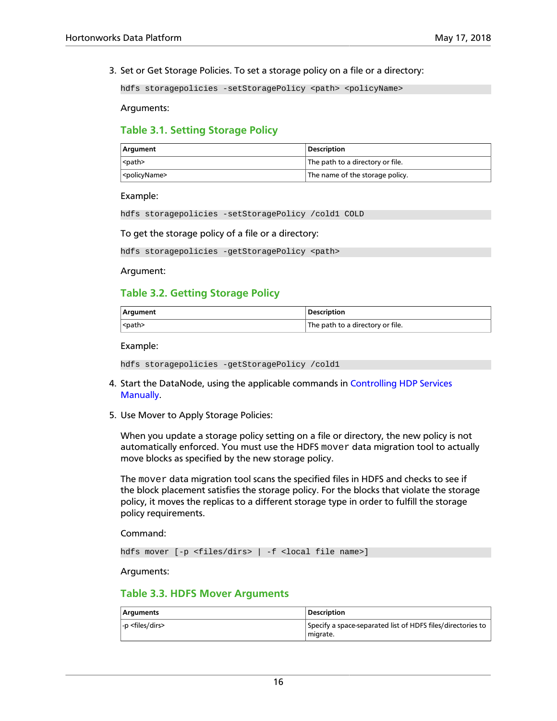3. Set or Get Storage Policies. To set a storage policy on a file or a directory:

hdfs storagepolicies -setStoragePolicy <path> <policyName>

Arguments:

### <span id="page-20-0"></span>**Table 3.1. Setting Storage Policy**

| Argument                  | <b>Description</b>                      |
|---------------------------|-----------------------------------------|
| <path></path>             | $\mid$ The path to a directory or file. |
| <policyname></policyname> | The name of the storage policy.         |

Example:

hdfs storagepolicies -setStoragePolicy /cold1 COLD

To get the storage policy of a file or a directory:

hdfs storagepolicies -getStoragePolicy <path>

Argument:

### <span id="page-20-1"></span>**Table 3.2. Getting Storage Policy**

| <b>Argument</b> | <b>Description</b>               |
|-----------------|----------------------------------|
| <path></path>   | The path to a directory or file. |

Example:

```
hdfs storagepolicies -getStoragePolicy /cold1
```
- 4. Start the DataNode, using the applicable commands in [Controlling HDP Services](https://docs.hortonworks.com/HDPDocuments/HDP2/HDP-2.6.5/bk_reference/content/ch_controlling_hdp_svcs_manually.html) [Manually.](https://docs.hortonworks.com/HDPDocuments/HDP2/HDP-2.6.5/bk_reference/content/ch_controlling_hdp_svcs_manually.html)
- 5. Use Mover to Apply Storage Policies:

When you update a storage policy setting on a file or directory, the new policy is not automatically enforced. You must use the HDFS  $mover$  data migration tool to actually move blocks as specified by the new storage policy.

The mover data migration tool scans the specified files in HDFS and checks to see if the block placement satisfies the storage policy. For the blocks that violate the storage policy, it moves the replicas to a different storage type in order to fulfill the storage policy requirements.

Command:

hdfs mover [-p <files/dirs> | -f <local file name>]

Arguments:

### <span id="page-20-2"></span>**Table 3.3. HDFS Mover Arguments**

| <b>Arguments</b>             | <b>Description</b>                                                      |
|------------------------------|-------------------------------------------------------------------------|
| $-p$ <files dirs=""></files> | Specify a space-separated list of HDFS files/directories to<br>miarate. |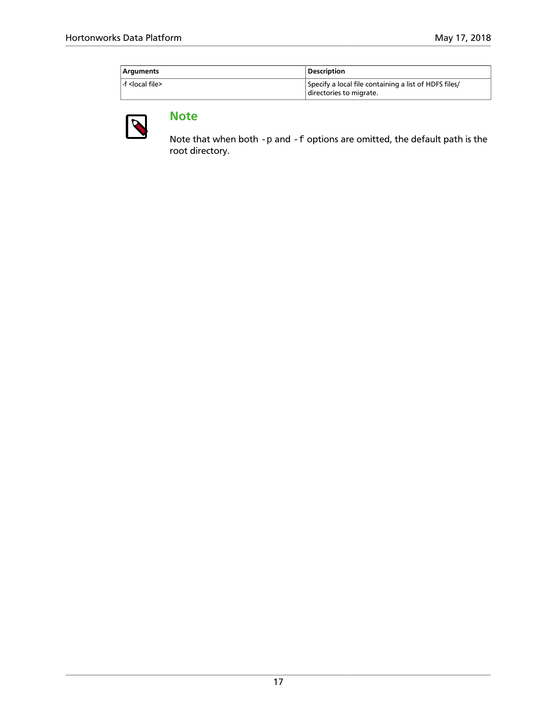| Arguments                 | <b>Description</b>                                    |
|---------------------------|-------------------------------------------------------|
| f <local file=""></local> | Specify a local file containing a list of HDFS files/ |
|                           | directories to migrate.                               |



### **Note**

Note that when both  $-p$  and  $-f$  options are omitted, the default path is the root directory.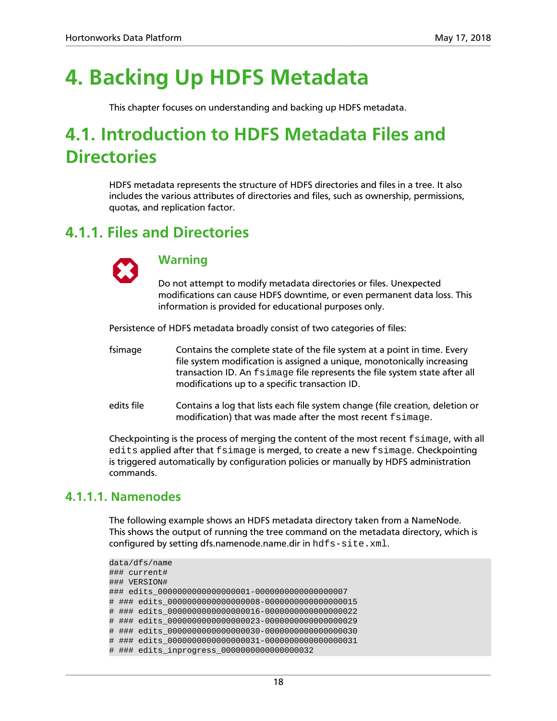## <span id="page-22-0"></span>**4. Backing Up HDFS Metadata**

This chapter focuses on understanding and backing up HDFS metadata.

## <span id="page-22-1"></span>**4.1. Introduction to HDFS Metadata Files and Directories**

HDFS metadata represents the structure of HDFS directories and files in a tree. It also includes the various attributes of directories and files, such as ownership, permissions, quotas, and replication factor.

### <span id="page-22-2"></span>**4.1.1. Files and Directories**



### **Warning**

Do not attempt to modify metadata directories or files. Unexpected modifications can cause HDFS downtime, or even permanent data loss. This information is provided for educational purposes only.

Persistence of HDFS metadata broadly consist of two categories of files:

- fsimage Contains the complete state of the file system at a point in time. Every file system modification is assigned a unique, monotonically increasing transaction ID. An fsimage file represents the file system state after all modifications up to a specific transaction ID.
- edits file Contains a log that lists each file system change (file creation, deletion or modification) that was made after the most recent fsimage.

Checkpointing is the process of merging the content of the most recent  $f \sin \alpha$  with all edits applied after that fsimage is merged, to create a new fsimage. Checkpointing is triggered automatically by configuration policies or manually by HDFS administration commands.

### **4.1.1.1. Namenodes**

The following example shows an HDFS metadata directory taken from a NameNode. This shows the output of running the tree command on the metadata directory, which is configured by setting dfs.namenode.name.dir in hdfs-site.xml.

```
data/dfs/name
### current#
### VERSION#
### edits_0000000000000000001-0000000000000000007
# ### edits_0000000000000000008-0000000000000000015
# ### edits_0000000000000000016-0000000000000000022
# ### edits_0000000000000000023-0000000000000000029
# ### edits_0000000000000000030-0000000000000000030
# ### edits_0000000000000000031-0000000000000000031
# ### edits_inprogress_0000000000000000032
```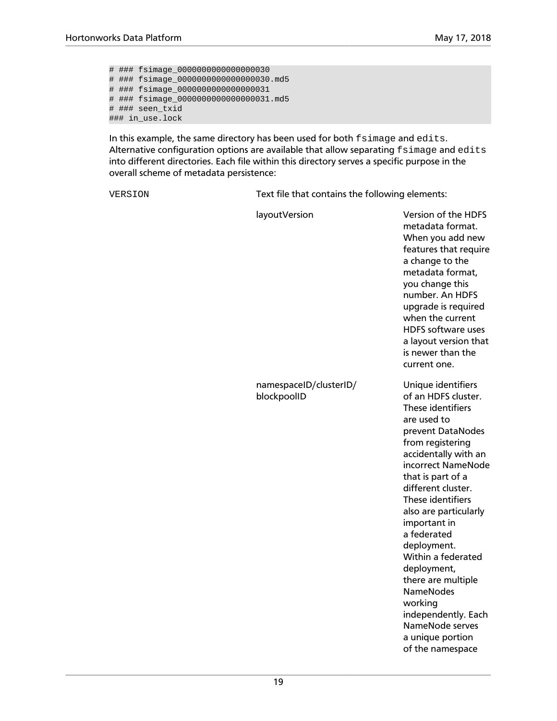# ### fsimage\_0000000000000000030 # ### fsimage\_0000000000000000030.md5 # ### fsimage\_0000000000000000031 # ### fsimage\_0000000000000000031.md5 # ### seen\_txid ### in use.lock

In this example, the same directory has been used for both fsimage and edits. Alternative configuration options are available that allow separating fsimage and edits into different directories. Each file within this directory serves a specific purpose in the overall scheme of metadata persistence:

namespaceID/clusterID/

blockpoolID

VERSION Text file that contains the following elements:

layoutVersion Version of the HDFS metadata format. When you add new features that require a change to the metadata format, you change this number. An HDFS upgrade is required when the current HDFS software uses a layout version that is newer than the current one. Unique identifiers of an HDFS cluster. These identifiers are used to prevent DataNodes from registering accidentally with an incorrect NameNode

that is part of a different cluster. These identifiers also are particularly important in a federated deployment. Within a federated deployment, there are multiple NameNodes working independently. Each NameNode serves a unique portion

of the namespace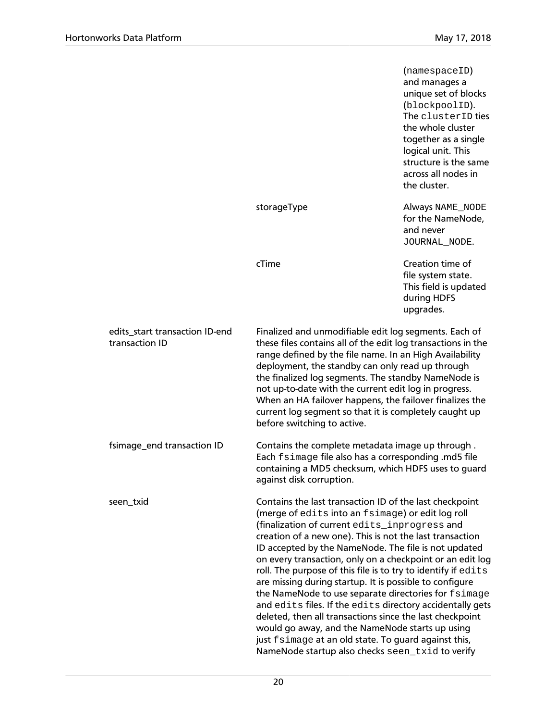|                                                  |                                                                                                                                                                                                                                                                                                                                                                                                                                                                                                                                                                                                                                                                                                                                                                                                                            | (namespaceID)<br>and manages a<br>unique set of blocks<br>(blockpoolID).<br>The clusterID ties<br>the whole cluster<br>together as a single<br>logical unit. This<br>structure is the same<br>across all nodes in<br>the cluster. |
|--------------------------------------------------|----------------------------------------------------------------------------------------------------------------------------------------------------------------------------------------------------------------------------------------------------------------------------------------------------------------------------------------------------------------------------------------------------------------------------------------------------------------------------------------------------------------------------------------------------------------------------------------------------------------------------------------------------------------------------------------------------------------------------------------------------------------------------------------------------------------------------|-----------------------------------------------------------------------------------------------------------------------------------------------------------------------------------------------------------------------------------|
|                                                  | storageType                                                                                                                                                                                                                                                                                                                                                                                                                                                                                                                                                                                                                                                                                                                                                                                                                | Always NAME_NODE<br>for the NameNode,<br>and never<br>JOURNAL_NODE.                                                                                                                                                               |
|                                                  | cTime                                                                                                                                                                                                                                                                                                                                                                                                                                                                                                                                                                                                                                                                                                                                                                                                                      | Creation time of<br>file system state.<br>This field is updated<br>during HDFS<br>upgrades.                                                                                                                                       |
| edits_start transaction ID-end<br>transaction ID | Finalized and unmodifiable edit log segments. Each of<br>these files contains all of the edit log transactions in the<br>range defined by the file name. In an High Availability<br>deployment, the standby can only read up through<br>the finalized log segments. The standby NameNode is<br>not up-to-date with the current edit log in progress.<br>When an HA failover happens, the failover finalizes the<br>current log segment so that it is completely caught up<br>before switching to active.                                                                                                                                                                                                                                                                                                                   |                                                                                                                                                                                                                                   |
| fsimage_end transaction ID                       | Contains the complete metadata image up through.<br>Each fsimage file also has a corresponding .md5 file<br>containing a MD5 checksum, which HDFS uses to guard<br>against disk corruption.                                                                                                                                                                                                                                                                                                                                                                                                                                                                                                                                                                                                                                |                                                                                                                                                                                                                                   |
| seen_txid                                        | Contains the last transaction ID of the last checkpoint<br>(merge of edits into an fsimage) or edit log roll<br>(finalization of current edits_inprogress and<br>creation of a new one). This is not the last transaction<br>ID accepted by the NameNode. The file is not updated<br>on every transaction, only on a checkpoint or an edit log<br>roll. The purpose of this file is to try to identify if edits<br>are missing during startup. It is possible to configure<br>the NameNode to use separate directories for fsimage<br>and edits files. If the edits directory accidentally gets<br>deleted, then all transactions since the last checkpoint<br>would go away, and the NameNode starts up using<br>just fsimage at an old state. To guard against this,<br>NameNode startup also checks seen_txid to verify |                                                                                                                                                                                                                                   |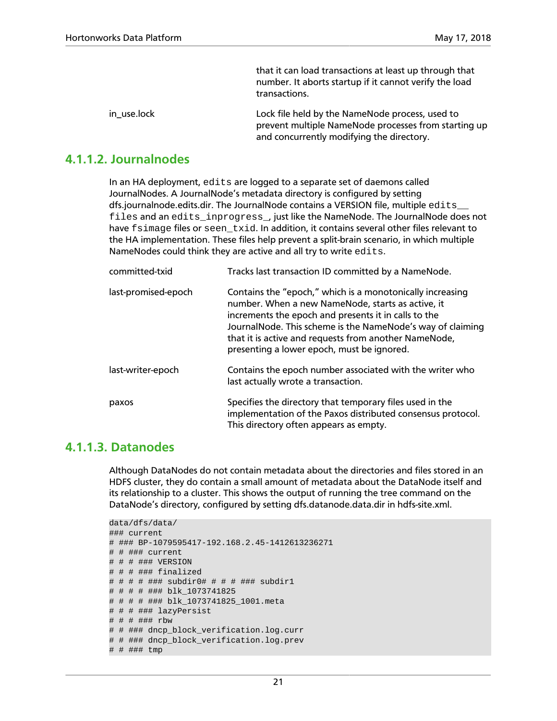|             | that it can load transactions at least up through that<br>number. It aborts startup if it cannot verify the load<br>transactions.                    |
|-------------|------------------------------------------------------------------------------------------------------------------------------------------------------|
| in_use.lock | Lock file held by the NameNode process, used to<br>prevent multiple NameNode processes from starting up<br>and concurrently modifying the directory. |

### **4.1.1.2. Journalnodes**

In an HA deployment, edits are logged to a separate set of daemons called JournalNodes. A JournalNode's metadata directory is configured by setting dfs.journalnode.edits.dir. The JournalNode contains a VERSION file, multiple edits files and an edits\_inprogress\_, just like the NameNode. The JournalNode does not have fsimage files or seen txid. In addition, it contains several other files relevant to the HA implementation. These files help prevent a split-brain scenario, in which multiple NameNodes could think they are active and all try to write edits.

| committed-txid      | Tracks last transaction ID committed by a NameNode.                                                                                                                                                                                                                                                                                         |
|---------------------|---------------------------------------------------------------------------------------------------------------------------------------------------------------------------------------------------------------------------------------------------------------------------------------------------------------------------------------------|
| last-promised-epoch | Contains the "epoch," which is a monotonically increasing<br>number. When a new NameNode, starts as active, it<br>increments the epoch and presents it in calls to the<br>JournalNode. This scheme is the NameNode's way of claiming<br>that it is active and requests from another NameNode,<br>presenting a lower epoch, must be ignored. |
| last-writer-epoch   | Contains the epoch number associated with the writer who<br>last actually wrote a transaction.                                                                                                                                                                                                                                              |
| paxos               | Specifies the directory that temporary files used in the<br>implementation of the Paxos distributed consensus protocol.<br>This directory often appears as empty.                                                                                                                                                                           |

### **4.1.1.3. Datanodes**

Although DataNodes do not contain metadata about the directories and files stored in an HDFS cluster, they do contain a small amount of metadata about the DataNode itself and its relationship to a cluster. This shows the output of running the tree command on the DataNode's directory, configured by setting dfs.datanode.data.dir in hdfs-site.xml.

```
data/dfs/data/
### current
# ### BP-1079595417-192.168.2.45-1412613236271
# # ### current
# # # ### VERSION
# # # ### finalized
# # # # ### subdir0# # # # ### subdir1
# # # # ### blk_1073741825
# # # # ### blk_1073741825_1001.meta
# # # ### lazyPersist
# # # ### rbw
# # ### dncp_block_verification.log.curr
# # ### dncp_block_verification.log.prev
# # ### tmp
```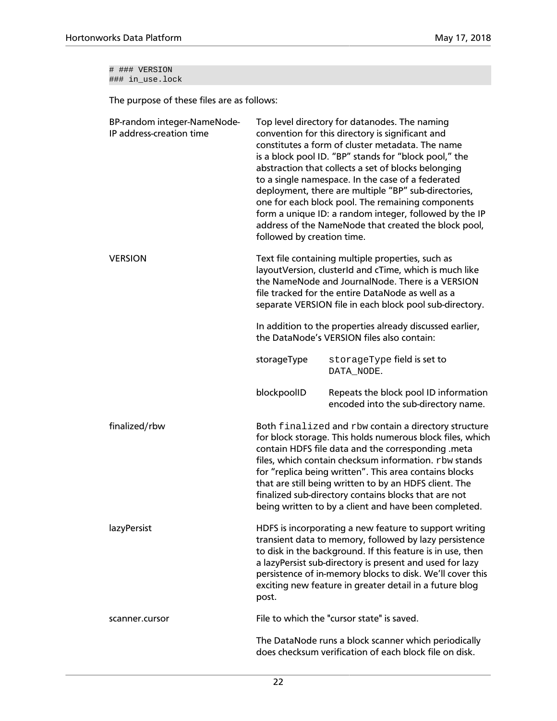# ### VERSION ### in\_use.lock

The purpose of these files are as follows:

| BP-random integer-NameNode-<br>IP address-creation time | Top level directory for datanodes. The naming<br>convention for this directory is significant and<br>constitutes a form of cluster metadata. The name<br>is a block pool ID. "BP" stands for "block pool," the<br>abstraction that collects a set of blocks belonging<br>to a single namespace. In the case of a federated<br>deployment, there are multiple "BP" sub-directories,<br>one for each block pool. The remaining components<br>form a unique ID: a random integer, followed by the IP<br>address of the NameNode that created the block pool,<br>followed by creation time. |                                                                                                                                                                                                                                                                                                                                                                                                                                                                       |
|---------------------------------------------------------|-----------------------------------------------------------------------------------------------------------------------------------------------------------------------------------------------------------------------------------------------------------------------------------------------------------------------------------------------------------------------------------------------------------------------------------------------------------------------------------------------------------------------------------------------------------------------------------------|-----------------------------------------------------------------------------------------------------------------------------------------------------------------------------------------------------------------------------------------------------------------------------------------------------------------------------------------------------------------------------------------------------------------------------------------------------------------------|
| <b>VERSION</b>                                          | Text file containing multiple properties, such as<br>layoutVersion, clusterId and cTime, which is much like<br>the NameNode and JournalNode. There is a VERSION<br>file tracked for the entire DataNode as well as a<br>separate VERSION file in each block pool sub-directory.                                                                                                                                                                                                                                                                                                         |                                                                                                                                                                                                                                                                                                                                                                                                                                                                       |
|                                                         |                                                                                                                                                                                                                                                                                                                                                                                                                                                                                                                                                                                         | In addition to the properties already discussed earlier,<br>the DataNode's VERSION files also contain:                                                                                                                                                                                                                                                                                                                                                                |
|                                                         | storageType                                                                                                                                                                                                                                                                                                                                                                                                                                                                                                                                                                             | storageType field is set to<br>DATA_NODE.                                                                                                                                                                                                                                                                                                                                                                                                                             |
|                                                         | blockpoolID                                                                                                                                                                                                                                                                                                                                                                                                                                                                                                                                                                             | Repeats the block pool ID information<br>encoded into the sub-directory name.                                                                                                                                                                                                                                                                                                                                                                                         |
| finalized/rbw                                           |                                                                                                                                                                                                                                                                                                                                                                                                                                                                                                                                                                                         | Both finalized and rbw contain a directory structure<br>for block storage. This holds numerous block files, which<br>contain HDFS file data and the corresponding .meta<br>files, which contain checksum information. rbw stands<br>for "replica being written". This area contains blocks<br>that are still being written to by an HDFS client. The<br>finalized sub-directory contains blocks that are not<br>being written to by a client and have been completed. |
| lazyPersist                                             | post.                                                                                                                                                                                                                                                                                                                                                                                                                                                                                                                                                                                   | HDFS is incorporating a new feature to support writing<br>transient data to memory, followed by lazy persistence<br>to disk in the background. If this feature is in use, then<br>a lazyPersist sub-directory is present and used for lazy<br>persistence of in-memory blocks to disk. We'll cover this<br>exciting new feature in greater detail in a future blog                                                                                                    |
| scanner.cursor                                          |                                                                                                                                                                                                                                                                                                                                                                                                                                                                                                                                                                                         | File to which the "cursor state" is saved.                                                                                                                                                                                                                                                                                                                                                                                                                            |
|                                                         |                                                                                                                                                                                                                                                                                                                                                                                                                                                                                                                                                                                         | The DataNode runs a block scanner which periodically<br>does checksum verification of each block file on disk.                                                                                                                                                                                                                                                                                                                                                        |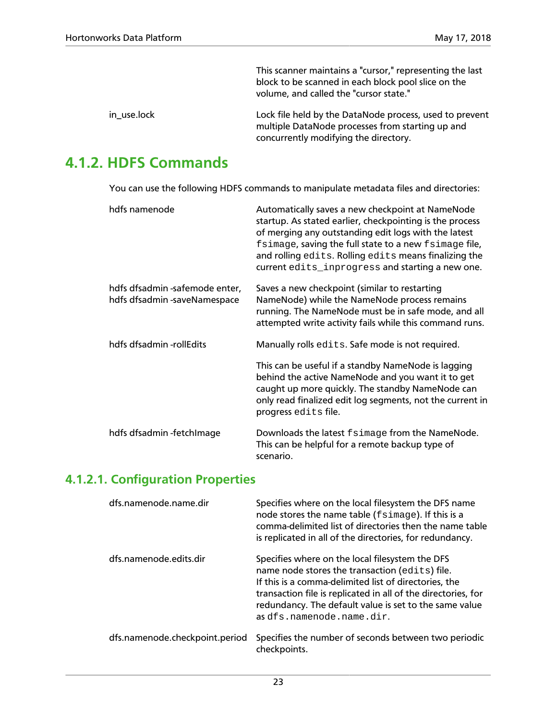This scanner maintains a "cursor," representing the last block to be scanned in each block pool slice on the volume, and called the "cursor state."

| in use.lock | Lock file held by the DataNode process, used to prevent |
|-------------|---------------------------------------------------------|
|             | multiple DataNode processes from starting up and        |
|             | concurrently modifying the directory.                   |

### <span id="page-27-0"></span>**4.1.2. HDFS Commands**

You can use the following HDFS commands to manipulate metadata files and directories:

| hdfs namenode                                                  | Automatically saves a new checkpoint at NameNode<br>startup. As stated earlier, checkpointing is the process<br>of merging any outstanding edit logs with the latest<br>fsimage, saving the full state to a new fsimage file,<br>and rolling edits. Rolling edits means finalizing the<br>current edits_inprogress and starting a new one. |
|----------------------------------------------------------------|--------------------------------------------------------------------------------------------------------------------------------------------------------------------------------------------------------------------------------------------------------------------------------------------------------------------------------------------|
| hdfs dfsadmin -safemode enter,<br>hdfs dfsadmin -saveNamespace | Saves a new checkpoint (similar to restarting<br>NameNode) while the NameNode process remains<br>running. The NameNode must be in safe mode, and all<br>attempted write activity fails while this command runs.                                                                                                                            |
| hdfs dfsadmin -rollEdits                                       | Manually rolls edits. Safe mode is not required.<br>This can be useful if a standby NameNode is lagging<br>behind the active NameNode and you want it to get<br>caught up more quickly. The standby NameNode can<br>only read finalized edit log segments, not the current in<br>progress edits file.                                      |
| hdfs dfsadmin-fetchImage                                       | Downloads the latest fsimage from the NameNode.<br>This can be helpful for a remote backup type of<br>scenario.                                                                                                                                                                                                                            |

### **4.1.2.1. Configuration Properties**

| dfs.namenode.name.dir          | Specifies where on the local filesystem the DFS name<br>node stores the name table (fsimage). If this is a<br>comma-delimited list of directories then the name table<br>is replicated in all of the directories, for redundancy.                                                                                  |
|--------------------------------|--------------------------------------------------------------------------------------------------------------------------------------------------------------------------------------------------------------------------------------------------------------------------------------------------------------------|
| dfs.namenode.edits.dir         | Specifies where on the local filesystem the DFS<br>name node stores the transaction (edits) file.<br>If this is a comma-delimited list of directories, the<br>transaction file is replicated in all of the directories, for<br>redundancy. The default value is set to the same value<br>as dfs.namenode.name.dir. |
| dfs.namenode.checkpoint.period | Specifies the number of seconds between two periodic<br>checkpoints.                                                                                                                                                                                                                                               |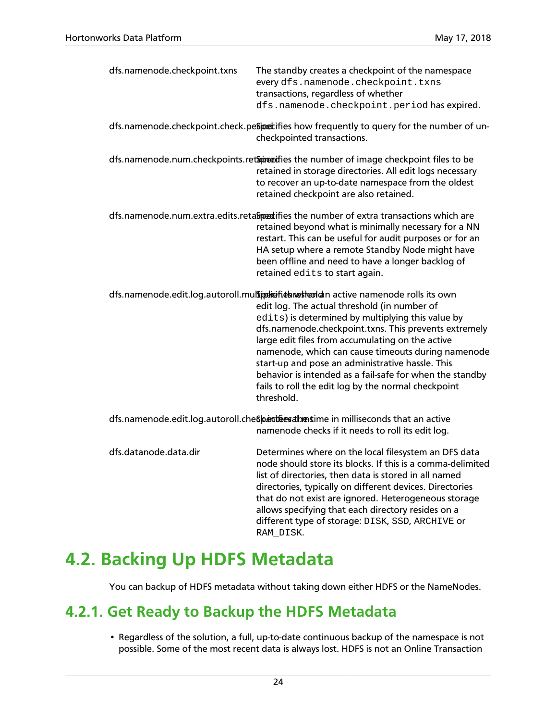| dfs.namenode.checkpoint.txns                                                                                                                 | The standby creates a checkpoint of the namespace<br>every dfs.namenode.checkpoint.txns<br>transactions, regardless of whether<br>dfs.namenode.checkpoint.period has expired.                                                                                                                                                                                                                                                                                                                                                                     |  |
|----------------------------------------------------------------------------------------------------------------------------------------------|---------------------------------------------------------------------------------------------------------------------------------------------------------------------------------------------------------------------------------------------------------------------------------------------------------------------------------------------------------------------------------------------------------------------------------------------------------------------------------------------------------------------------------------------------|--|
|                                                                                                                                              | dfs.namenode.checkpoint.check.pesipectifies how frequently to query for the number of un-<br>checkpointed transactions.                                                                                                                                                                                                                                                                                                                                                                                                                           |  |
|                                                                                                                                              | dfs.namenode.num.checkpoints.retameties the number of image checkpoint files to be<br>retained in storage directories. All edit logs necessary<br>to recover an up-to-date namespace from the oldest<br>retained checkpoint are also retained.                                                                                                                                                                                                                                                                                                    |  |
|                                                                                                                                              | dfs.namenode.num.extra.edits.retalipedifies the number of extra transactions which are<br>retained beyond what is minimally necessary for a NN<br>restart. This can be useful for audit purposes or for an<br>HA setup where a remote Standby Node might have<br>been offline and need to have a longer backlog of<br>retained edits to start again.                                                                                                                                                                                              |  |
|                                                                                                                                              | dfs.namenode.edit.log.autoroll.mulsipeliefiebreshed an active namenode rolls its own<br>edit log. The actual threshold (in number of<br>edits) is determined by multiplying this value by<br>dfs.namenode.checkpoint.txns. This prevents extremely<br>large edit files from accumulating on the active<br>namenode, which can cause timeouts during namenode<br>start-up and pose an administrative hassle. This<br>behavior is intended as a fail-safe for when the standby<br>fails to roll the edit log by the normal checkpoint<br>threshold. |  |
| dfs.namenode.edit.log.autoroll.che Speratives at mestime in milliseconds that an active<br>namenode checks if it needs to roll its edit log. |                                                                                                                                                                                                                                                                                                                                                                                                                                                                                                                                                   |  |
| dfs.datanode.data.dir                                                                                                                        | Determines where on the local filesystem an DFS data<br>node should store its blocks. If this is a comma-delimited<br>list of directories, then data is stored in all named<br>directories, typically on different devices. Directories<br>that do not exist are ignored. Heterogeneous storage<br>allows specifying that each directory resides on a<br>different type of storage: DISK, SSD, ARCHIVE or<br>RAM DISK.                                                                                                                            |  |

## <span id="page-28-0"></span>**4.2. Backing Up HDFS Metadata**

You can backup of HDFS metadata without taking down either HDFS or the NameNodes.

### <span id="page-28-1"></span>**4.2.1. Get Ready to Backup the HDFS Metadata**

• Regardless of the solution, a full, up-to-date continuous backup of the namespace is not possible. Some of the most recent data is always lost. HDFS is not an Online Transaction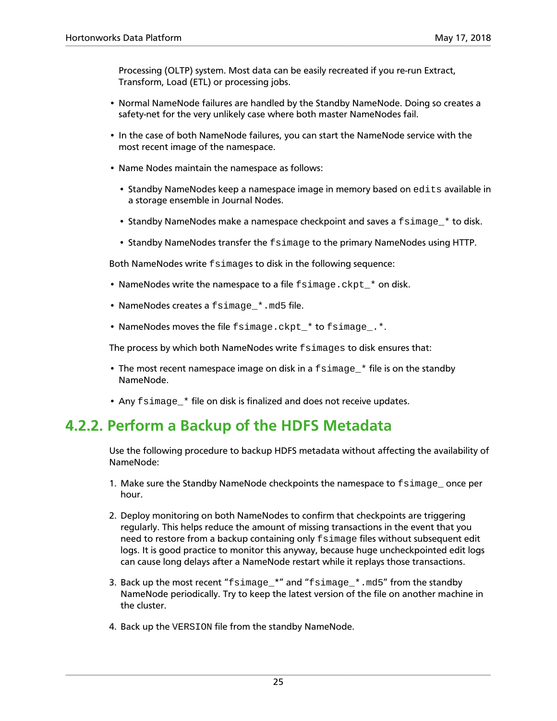Processing (OLTP) system. Most data can be easily recreated if you re-run Extract, Transform, Load (ETL) or processing jobs.

- Normal NameNode failures are handled by the Standby NameNode. Doing so creates a safety-net for the very unlikely case where both master NameNodes fail.
- In the case of both NameNode failures, you can start the NameNode service with the most recent image of the namespace.
- Name Nodes maintain the namespace as follows:
	- Standby NameNodes keep a namespace image in memory based on edits available in a storage ensemble in Journal Nodes.
	- Standby NameNodes make a namespace checkpoint and saves a  $f \sin \alpha$  \* to disk.
	- Standby NameNodes transfer the fsimage to the primary NameNodes using HTTP.

Both NameNodes write fsimages to disk in the following sequence:

- NameNodes write the namespace to a file fsimage.ckpt\_\* on disk.
- NameNodes creates a fsimage \*.md5 file.
- NameNodes moves the file fsimage.ckpt \* to fsimage .\*.

The process by which both NameNodes write fsimages to disk ensures that:

- The most recent namespace image on disk in a fsimage\_\* file is on the standby NameNode.
- Any fsimage \* file on disk is finalized and does not receive updates.

### <span id="page-29-0"></span>**4.2.2. Perform a Backup of the HDFS Metadata**

Use the following procedure to backup HDFS metadata without affecting the availability of NameNode:

- 1. Make sure the Standby NameNode checkpoints the namespace to fsimage once per hour.
- 2. Deploy monitoring on both NameNodes to confirm that checkpoints are triggering regularly. This helps reduce the amount of missing transactions in the event that you need to restore from a backup containing only fsimage files without subsequent edit logs. It is good practice to monitor this anyway, because huge uncheckpointed edit logs can cause long delays after a NameNode restart while it replays those transactions.
- 3. Back up the most recent "fsimage  $*$ " and "fsimage  $*$ .md5" from the standby NameNode periodically. Try to keep the latest version of the file on another machine in the cluster.
- 4. Back up the VERSION file from the standby NameNode.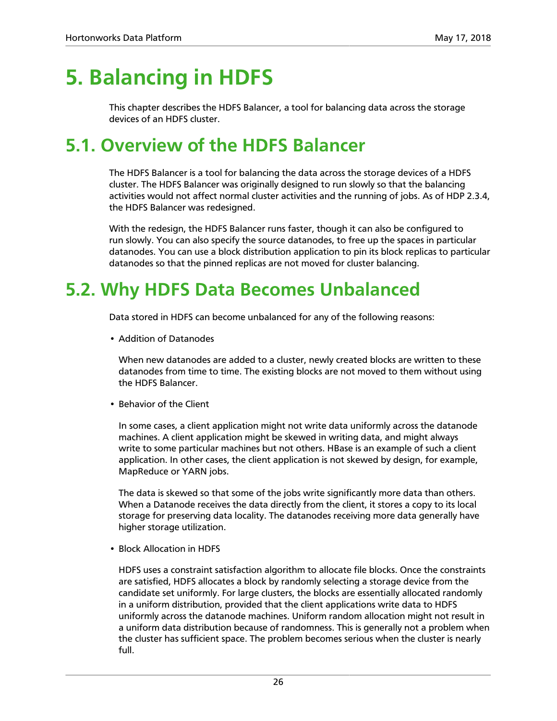## <span id="page-30-0"></span>**5. Balancing in HDFS**

This chapter describes the HDFS Balancer, a tool for balancing data across the storage devices of an HDFS cluster.

## <span id="page-30-1"></span>**5.1. Overview of the HDFS Balancer**

The HDFS Balancer is a tool for balancing the data across the storage devices of a HDFS cluster. The HDFS Balancer was originally designed to run slowly so that the balancing activities would not affect normal cluster activities and the running of jobs. As of HDP 2.3.4, the HDFS Balancer was redesigned.

With the redesign, the HDFS Balancer runs faster, though it can also be configured to run slowly. You can also specify the source datanodes, to free up the spaces in particular datanodes. You can use a block distribution application to pin its block replicas to particular datanodes so that the pinned replicas are not moved for cluster balancing.

## <span id="page-30-2"></span>**5.2. Why HDFS Data Becomes Unbalanced**

Data stored in HDFS can become unbalanced for any of the following reasons:

• Addition of Datanodes

When new datanodes are added to a cluster, newly created blocks are written to these datanodes from time to time. The existing blocks are not moved to them without using the HDFS Balancer.

• Behavior of the Client

In some cases, a client application might not write data uniformly across the datanode machines. A client application might be skewed in writing data, and might always write to some particular machines but not others. HBase is an example of such a client application. In other cases, the client application is not skewed by design, for example, MapReduce or YARN jobs.

The data is skewed so that some of the jobs write significantly more data than others. When a Datanode receives the data directly from the client, it stores a copy to its local storage for preserving data locality. The datanodes receiving more data generally have higher storage utilization.

• Block Allocation in HDFS

HDFS uses a constraint satisfaction algorithm to allocate file blocks. Once the constraints are satisfied, HDFS allocates a block by randomly selecting a storage device from the candidate set uniformly. For large clusters, the blocks are essentially allocated randomly in a uniform distribution, provided that the client applications write data to HDFS uniformly across the datanode machines. Uniform random allocation might not result in a uniform data distribution because of randomness. This is generally not a problem when the cluster has sufficient space. The problem becomes serious when the cluster is nearly full.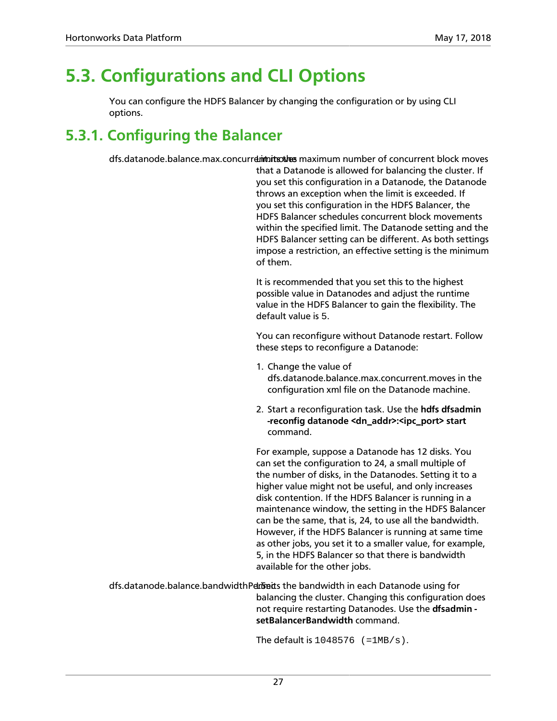## <span id="page-31-0"></span>**5.3. Configurations and CLI Options**

You can configure the HDFS Balancer by changing the configuration or by using CLI options.

### <span id="page-31-1"></span>**5.3.1. Configuring the Balancer**

dfs.datanode.balance.max.concurrelment maximum number of concurrent block moves

that a Datanode is allowed for balancing the cluster. If you set this configuration in a Datanode, the Datanode throws an exception when the limit is exceeded. If you set this configuration in the HDFS Balancer, the HDFS Balancer schedules concurrent block movements within the specified limit. The Datanode setting and the HDFS Balancer setting can be different. As both settings impose a restriction, an effective setting is the minimum of them.

It is recommended that you set this to the highest possible value in Datanodes and adjust the runtime value in the HDFS Balancer to gain the flexibility. The default value is 5.

You can reconfigure without Datanode restart. Follow these steps to reconfigure a Datanode:

- 1. Change the value of dfs.datanode.balance.max.concurrent.moves in the configuration xml file on the Datanode machine.
- 2. Start a reconfiguration task. Use the **hdfs dfsadmin -reconfig datanode <dn\_addr>:<ipc\_port> start** command.

For example, suppose a Datanode has 12 disks. You can set the configuration to 24, a small multiple of the number of disks, in the Datanodes. Setting it to a higher value might not be useful, and only increases disk contention. If the HDFS Balancer is running in a maintenance window, the setting in the HDFS Balancer can be the same, that is, 24, to use all the bandwidth. However, if the HDFS Balancer is running at same time as other jobs, you set it to a smaller value, for example, 5, in the HDFS Balancer so that there is bandwidth available for the other jobs.

dfs.datanode.balance.bandwidthPerfserits the bandwidth in each Datanode using for balancing the cluster. Changing this configuration does not require restarting Datanodes. Use the **dfsadmin setBalancerBandwidth** command.

The default is  $1048576$  (= $1MB/s$ ).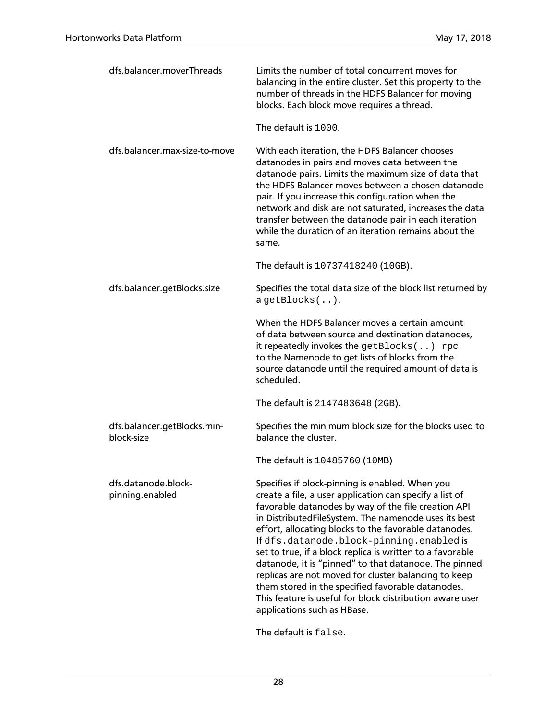| dfs.balancer.moverThreads                 | Limits the number of total concurrent moves for<br>balancing in the entire cluster. Set this property to the<br>number of threads in the HDFS Balancer for moving<br>blocks. Each block move requires a thread.                                                                                                                                                                                                                                                                                                                                                                                                                                              |
|-------------------------------------------|--------------------------------------------------------------------------------------------------------------------------------------------------------------------------------------------------------------------------------------------------------------------------------------------------------------------------------------------------------------------------------------------------------------------------------------------------------------------------------------------------------------------------------------------------------------------------------------------------------------------------------------------------------------|
|                                           | The default is 1000.                                                                                                                                                                                                                                                                                                                                                                                                                                                                                                                                                                                                                                         |
| dfs.balancer.max-size-to-move             | With each iteration, the HDFS Balancer chooses<br>datanodes in pairs and moves data between the<br>datanode pairs. Limits the maximum size of data that<br>the HDFS Balancer moves between a chosen datanode<br>pair. If you increase this configuration when the<br>network and disk are not saturated, increases the data<br>transfer between the datanode pair in each iteration<br>while the duration of an iteration remains about the<br>same.                                                                                                                                                                                                         |
|                                           | The default is 10737418240 (10GB).                                                                                                                                                                                                                                                                                                                                                                                                                                                                                                                                                                                                                           |
| dfs.balancer.getBlocks.size               | Specifies the total data size of the block list returned by<br>$a$ getBlocks $($ $)$ .                                                                                                                                                                                                                                                                                                                                                                                                                                                                                                                                                                       |
|                                           | When the HDFS Balancer moves a certain amount<br>of data between source and destination datanodes,<br>it repeatedly invokes the get Blocks $( \cdot, \cdot)$ rpc<br>to the Namenode to get lists of blocks from the<br>source datanode until the required amount of data is<br>scheduled.                                                                                                                                                                                                                                                                                                                                                                    |
|                                           | The default is 2147483648 (2GB).                                                                                                                                                                                                                                                                                                                                                                                                                                                                                                                                                                                                                             |
| dfs.balancer.getBlocks.min-<br>block-size | Specifies the minimum block size for the blocks used to<br>balance the cluster.                                                                                                                                                                                                                                                                                                                                                                                                                                                                                                                                                                              |
|                                           | The default is 10485760 (10MB)                                                                                                                                                                                                                                                                                                                                                                                                                                                                                                                                                                                                                               |
| dfs.datanode.block-<br>pinning.enabled    | Specifies if block-pinning is enabled. When you<br>create a file, a user application can specify a list of<br>favorable datanodes by way of the file creation API<br>in DistributedFileSystem. The namenode uses its best<br>effort, allocating blocks to the favorable datanodes.<br>If dfs.datanode.block-pinning.enabled is<br>set to true, if a block replica is written to a favorable<br>datanode, it is "pinned" to that datanode. The pinned<br>replicas are not moved for cluster balancing to keep<br>them stored in the specified favorable datanodes.<br>This feature is useful for block distribution aware user<br>applications such as HBase. |

The default is false.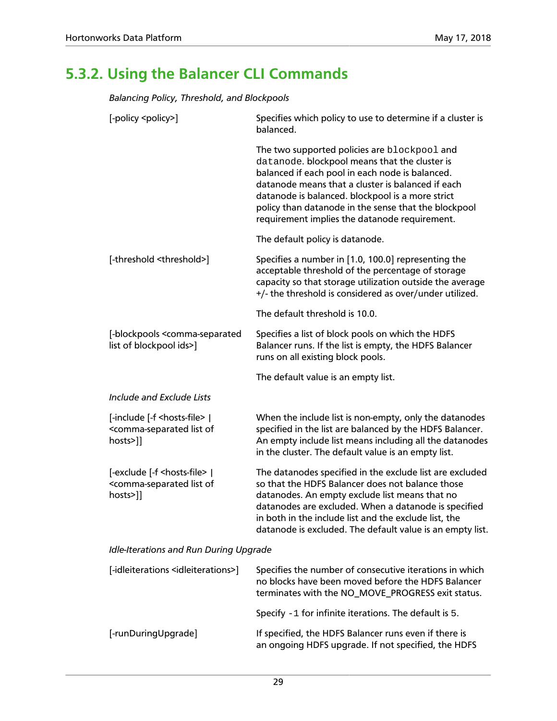## <span id="page-33-0"></span>**5.3.2. Using the Balancer CLI Commands**

*Balancing Policy, Threshold, and Blockpools*

| [-policy <policy>]</policy>                                                                                   | Specifies which policy to use to determine if a cluster is<br>balanced.                                                                                                                                                                                                                                                                                            |  |
|---------------------------------------------------------------------------------------------------------------|--------------------------------------------------------------------------------------------------------------------------------------------------------------------------------------------------------------------------------------------------------------------------------------------------------------------------------------------------------------------|--|
|                                                                                                               | The two supported policies are blockpool and<br>datanode. blockpool means that the cluster is<br>balanced if each pool in each node is balanced.<br>datanode means that a cluster is balanced if each<br>datanode is balanced. blockpool is a more strict<br>policy than datanode in the sense that the blockpool<br>requirement implies the datanode requirement. |  |
|                                                                                                               | The default policy is datanode.                                                                                                                                                                                                                                                                                                                                    |  |
| [-threshold <threshold>]</threshold>                                                                          | Specifies a number in [1.0, 100.0] representing the<br>acceptable threshold of the percentage of storage<br>capacity so that storage utilization outside the average<br>+/- the threshold is considered as over/under utilized.                                                                                                                                    |  |
|                                                                                                               | The default threshold is 10.0.                                                                                                                                                                                                                                                                                                                                     |  |
| [-blockpools <comma-separated<br>list of blockpool ids&gt;]</comma-separated<br>                              | Specifies a list of block pools on which the HDFS<br>Balancer runs. If the list is empty, the HDFS Balancer<br>runs on all existing block pools.                                                                                                                                                                                                                   |  |
|                                                                                                               | The default value is an empty list.                                                                                                                                                                                                                                                                                                                                |  |
| Include and Exclude Lists                                                                                     |                                                                                                                                                                                                                                                                                                                                                                    |  |
| [-include [-f <hosts-file>  <br/><comma-separated list="" of<br="">hosts&gt;]]</comma-separated></hosts-file> | When the include list is non-empty, only the datanodes<br>specified in the list are balanced by the HDFS Balancer.<br>An empty include list means including all the datanodes<br>in the cluster. The default value is an empty list.                                                                                                                               |  |
| [-exclude [-f <hosts-file>  <br/><comma-separated list="" of<br="">hosts&gt;]]</comma-separated></hosts-file> | The datanodes specified in the exclude list are excluded<br>so that the HDFS Balancer does not balance those<br>datanodes. An empty exclude list means that no<br>datanodes are excluded. When a datanode is specified<br>in both in the include list and the exclude list, the<br>datanode is excluded. The default value is an empty list.                       |  |
| Idle-Iterations and Run During Upgrade                                                                        |                                                                                                                                                                                                                                                                                                                                                                    |  |
| [-idleiterations <idleiterations>]</idleiterations>                                                           | Specifies the number of consecutive iterations in which<br>no blocks have been moved before the HDFS Balancer<br>terminates with the NO_MOVE_PROGRESS exit status.                                                                                                                                                                                                 |  |
|                                                                                                               | Specify $-1$ for infinite iterations. The default is 5.                                                                                                                                                                                                                                                                                                            |  |
| [-runDuringUpgrade]                                                                                           | If specified, the HDFS Balancer runs even if there is<br>an ongoing HDFS upgrade. If not specified, the HDFS                                                                                                                                                                                                                                                       |  |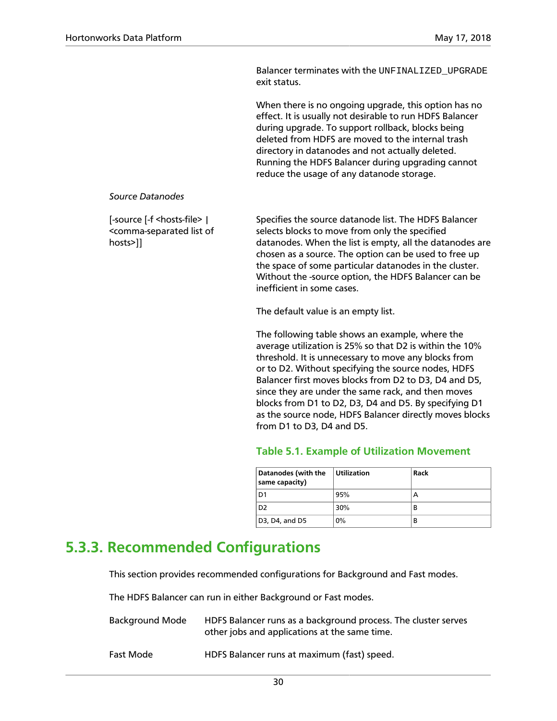Balancer terminates with the UNFINALIZED UPGRADE exit status.

When there is no ongoing upgrade, this option has no effect. It is usually not desirable to run HDFS Balancer during upgrade. To support rollback, blocks being deleted from HDFS are moved to the internal trash directory in datanodes and not actually deleted. Running the HDFS Balancer during upgrading cannot reduce the usage of any datanode storage.

#### *Source Datanodes*

[-source [-f <hosts-file> | <comma-separated list of hosts>]]

Specifies the source datanode list. The HDFS Balancer selects blocks to move from only the specified datanodes. When the list is empty, all the datanodes are chosen as a source. The option can be used to free up the space of some particular datanodes in the cluster. Without the -source option, the HDFS Balancer can be inefficient in some cases.

The default value is an empty list.

The following table shows an example, where the average utilization is 25% so that D2 is within the 10% threshold. It is unnecessary to move any blocks from or to D2. Without specifying the source nodes, HDFS Balancer first moves blocks from D2 to D3, D4 and D5, since they are under the same rack, and then moves blocks from D1 to D2, D3, D4 and D5. By specifying D1 as the source node, HDFS Balancer directly moves blocks from D1 to D3, D4 and D5.

### **Table 5.1. Example of Utilization Movement**

| <b>Datanodes (with the</b><br>same capacity)         | <b>Utilization</b> | Rack |
|------------------------------------------------------|--------------------|------|
| D <sub>1</sub>                                       | 95%                |      |
| D <sub>2</sub>                                       | 30%                | В    |
| D <sub>3</sub> , D <sub>4</sub> , and D <sub>5</sub> | 0%                 | В    |

### <span id="page-34-1"></span><span id="page-34-0"></span>**5.3.3. Recommended Configurations**

This section provides recommended configurations for Background and Fast modes.

The HDFS Balancer can run in either Background or Fast modes.

| Background Mode | HDFS Balancer runs as a background process. The cluster serves<br>other jobs and applications at the same time. |
|-----------------|-----------------------------------------------------------------------------------------------------------------|
| Fast Mode       | HDFS Balancer runs at maximum (fast) speed.                                                                     |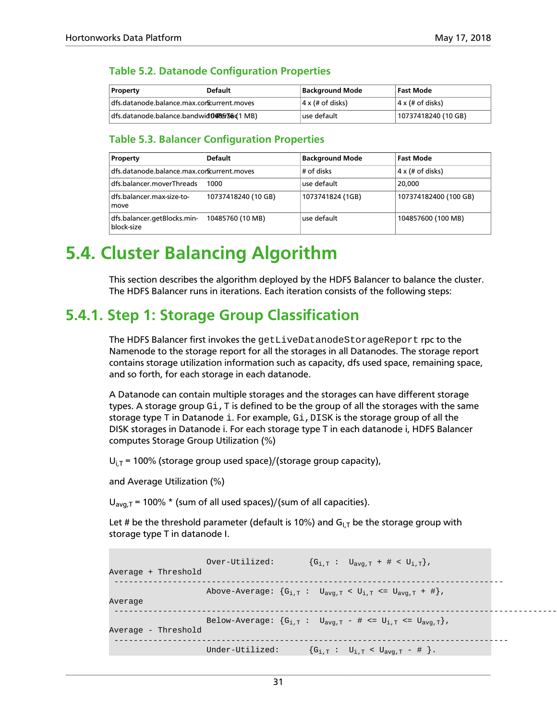### <span id="page-35-2"></span>**Table 5.2. Datanode Configuration Properties**

| Property                                      | <b>Default</b> | Background Mode          | Fast Mode                |
|-----------------------------------------------|----------------|--------------------------|--------------------------|
| dfs.datanode.balance.max.corficurrent.moves   |                | $ 4 \times (# of disks)$ | $ 4 \times (# of disks)$ |
| dfs.datanode.balance.bandwidth<br>Ref36d1 MB) |                | l use default.           | 10737418240 (10 GB)      |

### <span id="page-35-3"></span>**Table 5.3. Balancer Configuration Properties**

| Property                                   | <b>Default</b>      | <b>Background Mode</b> | <b>Fast Mode</b>        |
|--------------------------------------------|---------------------|------------------------|-------------------------|
| dfs.datanode.balance.max.cortcurrent.moves |                     | # of disks             | $4 \times (# of disks)$ |
| dfs.balancer.moverThreads                  | 1000                | use default            | 20,000                  |
| dfs.balancer.max-size-to-<br>move          | 10737418240 (10 GB) | 1073741824 (1GB)       | 107374182400 (100 GB)   |
| dfs.balancer.getBlocks.min-<br>block-size  | 10485760 (10 MB)    | use default            | 104857600 (100 MB)      |

## <span id="page-35-0"></span>**5.4. Cluster Balancing Algorithm**

This section describes the algorithm deployed by the HDFS Balancer to balance the cluster. The HDFS Balancer runs in iterations. Each iteration consists of the following steps:

### <span id="page-35-1"></span>**5.4.1. Step 1: Storage Group Classification**

The HDFS Balancer first invokes the getLiveDatanodeStorageReport rpc to the Namenode to the storage report for all the storages in all Datanodes. The storage report contains storage utilization information such as capacity, dfs used space, remaining space, and so forth, for each storage in each datanode.

A Datanode can contain multiple storages and the storages can have different storage types. A storage group  $G_i$ , T is defined to be the group of all the storages with the same storage type  $T$  in Datanode i. For example,  $Gi$ ,  $DISK$  is the storage group of all the DISK storages in Datanode i. For each storage type T in each datanode i, HDFS Balancer computes Storage Group Utilization (%)

 $U_{i,T}$  = 100% (storage group used space)/(storage group capacity),

and Average Utilization (%)

 $U_{\text{av}a,T}$  = 100%  $*$  (sum of all used spaces)/(sum of all capacities).

Let # be the threshold parameter (default is 10%) and  $G<sub>LI</sub>$  be the storage group with storage type T in datanode I.

```
Over-Utilized: {G_{i,T} : U_{avg,T} + # < U_{i,T}}Average + Threshold
 --------------------------------------------------------------------------------
                     Above-Average: \{G_{i,T} : U_{avg,T} < U_{i,T} <= U_{avg,T} + \# \},Average
 -------------------------------------------------------------------------------------------------
                     Below-Average: \{G_{i,T} : U_{avg,T} - # \leq U_{i,T} \leq U_{avg,T}\}\,
Average - Threshold
 ---------------------------------------------------------------------------------
                     Under-Utilized: {G_{i,T} : U_{i,T} < U_{avg,T} - # }.
```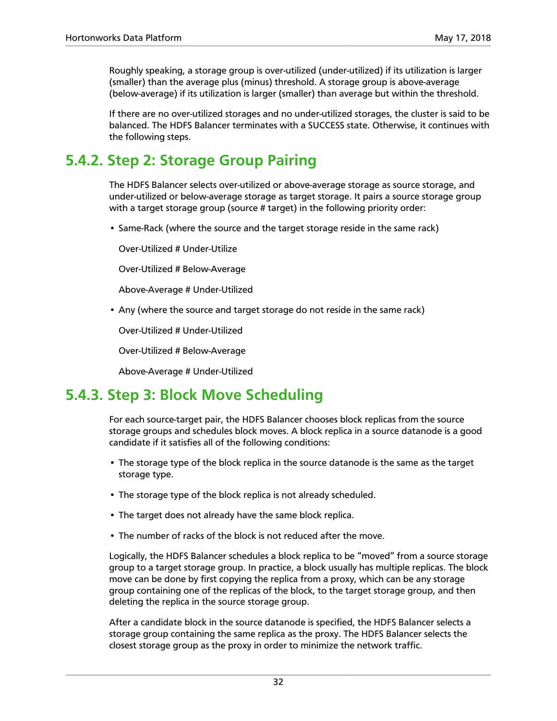Roughly speaking, a storage group is over-utilized (under-utilized) if its utilization is larger (smaller) than the average plus (minus) threshold. A storage group is above-average (below-average) if its utilization is larger (smaller) than average but within the threshold.

If there are no over-utilized storages and no under-utilized storages, the cluster is said to be balanced. The HDFS Balancer terminates with a SUCCESS state. Otherwise, it continues with the following steps.

### **5.4.2. Step 2: Storage Group Pairing**

The HDFS Balancer selects over-utilized or above-average storage as source storage, and under-utilized or below-average storage as target storage. It pairs a source storage group with a target storage group (source # target) in the following priority order:

• Same-Rack (where the source and the target storage reside in the same rack)

Over-Utilized # Under-Utilize

Over-Utilized # Below-Average

Above-Average # Under-Utilized

• Any (where the source and target storage do not reside in the same rack)

Over-Utilized # Under-Utilized

Over-Utilized # Below-Average

Above-Average # Under-Utilized

### **5.4.3. Step 3: Block Move Scheduling**

For each source-target pair, the HDFS Balancer chooses block replicas from the source storage groups and schedules block moves. A block replica in a source datanode is a good candidate if it satisfies all of the following conditions:

- The storage type of the block replica in the source datanode is the same as the target storage type.
- The storage type of the block replica is not already scheduled.
- The target does not already have the same block replica.
- The number of racks of the block is not reduced after the move.

Logically, the HDFS Balancer schedules a block replica to be "moved" from a source storage group to a target storage group. In practice, a block usually has multiple replicas. The block move can be done by first copying the replica from a proxy, which can be any storage group containing one of the replicas of the block, to the target storage group, and then deleting the replica in the source storage group.

After a candidate block in the source datanode is specified, the HDFS Balancer selects a storage group containing the same replica as the proxy. The HDFS Balancer selects the closest storage group as the proxy in order to minimize the network traffic.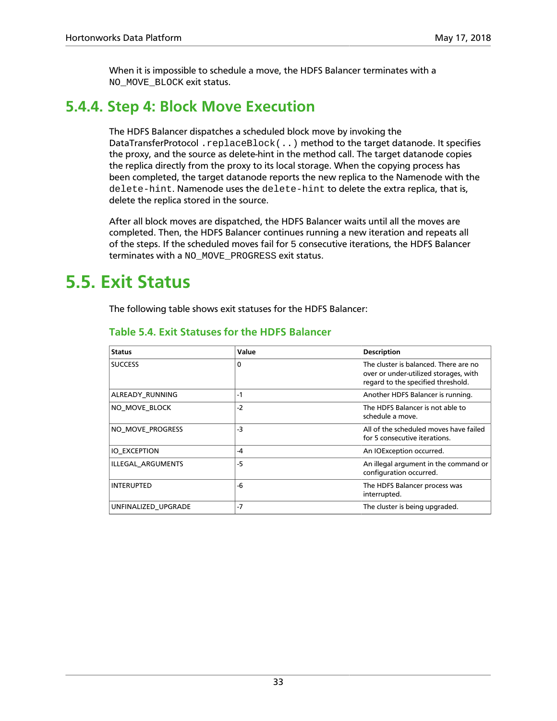When it is impossible to schedule a move, the HDFS Balancer terminates with a NO\_MOVE\_BLOCK exit status.

### **5.4.4. Step 4: Block Move Execution**

The HDFS Balancer dispatches a scheduled block move by invoking the DataTransferProtocol .replaceBlock(..) method to the target datanode. It specifies the proxy, and the source as delete-hint in the method call. The target datanode copies the replica directly from the proxy to its local storage. When the copying process has been completed, the target datanode reports the new replica to the Namenode with the delete-hint. Namenode uses the delete-hint to delete the extra replica, that is, delete the replica stored in the source.

After all block moves are dispatched, the HDFS Balancer waits until all the moves are completed. Then, the HDFS Balancer continues running a new iteration and repeats all of the steps. If the scheduled moves fail for 5 consecutive iterations, the HDFS Balancer terminates with a NO\_MOVE\_PROGRESS exit status.

### **5.5. Exit Status**

The following table shows exit statuses for the HDFS Balancer:

| <b>Status</b>       | Value | <b>Description</b>                                                                                                   |
|---------------------|-------|----------------------------------------------------------------------------------------------------------------------|
| <b>SUCCESS</b>      | 0     | The cluster is balanced. There are no<br>over or under-utilized storages, with<br>regard to the specified threshold. |
| ALREADY_RUNNING     | $-1$  | Another HDFS Balancer is running.                                                                                    |
| NO MOVE BLOCK       | $-2$  | The HDFS Balancer is not able to<br>schedule a move.                                                                 |
| NO_MOVE_PROGRESS    | $-3$  | All of the scheduled moves have failed<br>for 5 consecutive iterations.                                              |
| <b>IO EXCEPTION</b> | -4    | An IOException occurred.                                                                                             |
| ILLEGAL ARGUMENTS   | $-5$  | An illegal argument in the command or<br>configuration occurred.                                                     |
| <b>INTERUPTED</b>   | $-6$  | The HDFS Balancer process was<br>interrupted.                                                                        |
| UNFINALIZED UPGRADE | $-7$  | The cluster is being upgraded.                                                                                       |

### **Table 5.4. Exit Statuses for the HDFS Balancer**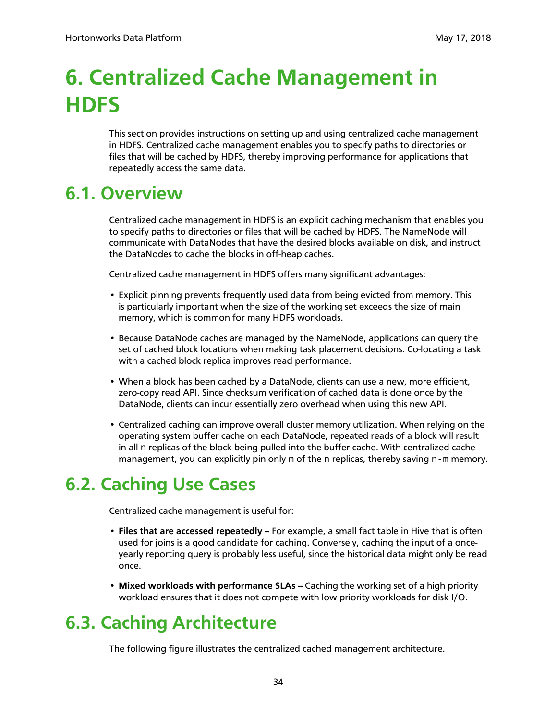# **6. Centralized Cache Management in HDFS**

This section provides instructions on setting up and using centralized cache management in HDFS. Centralized cache management enables you to specify paths to directories or files that will be cached by HDFS, thereby improving performance for applications that repeatedly access the same data.

### **6.1. Overview**

Centralized cache management in HDFS is an explicit caching mechanism that enables you to specify paths to directories or files that will be cached by HDFS. The NameNode will communicate with DataNodes that have the desired blocks available on disk, and instruct the DataNodes to cache the blocks in off-heap caches.

Centralized cache management in HDFS offers many significant advantages:

- Explicit pinning prevents frequently used data from being evicted from memory. This is particularly important when the size of the working set exceeds the size of main memory, which is common for many HDFS workloads.
- Because DataNode caches are managed by the NameNode, applications can query the set of cached block locations when making task placement decisions. Co-locating a task with a cached block replica improves read performance.
- When a block has been cached by a DataNode, clients can use a new, more efficient, zero-copy read API. Since checksum verification of cached data is done once by the DataNode, clients can incur essentially zero overhead when using this new API.
- Centralized caching can improve overall cluster memory utilization. When relying on the operating system buffer cache on each DataNode, repeated reads of a block will result in all  $n$  replicas of the block being pulled into the buffer cache. With centralized cache management, you can explicitly pin only  $m$  of the n replicas, thereby saving  $n-m$  memory.

## **6.2. Caching Use Cases**

Centralized cache management is useful for:

- **Files that are accessed repeatedly** For example, a small fact table in Hive that is often used for joins is a good candidate for caching. Conversely, caching the input of a onceyearly reporting query is probably less useful, since the historical data might only be read once.
- Mixed workloads with performance SLAs Caching the working set of a high priority workload ensures that it does not compete with low priority workloads for disk I/O.

## **6.3. Caching Architecture**

The following figure illustrates the centralized cached management architecture.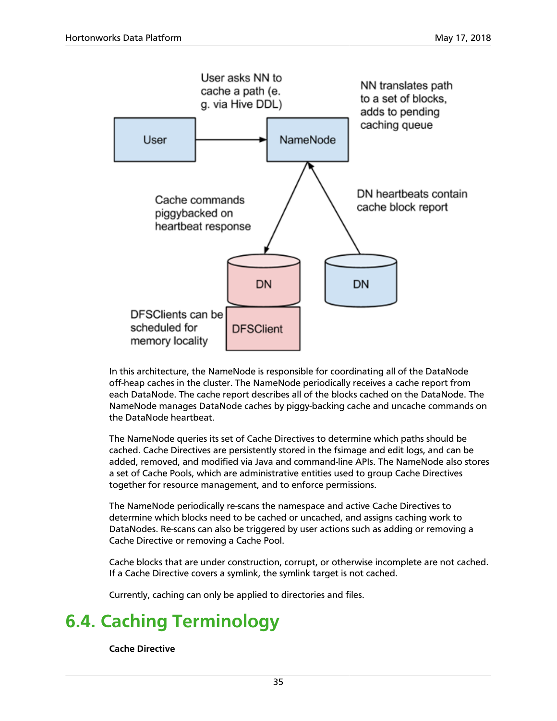

In this architecture, the NameNode is responsible for coordinating all of the DataNode off-heap caches in the cluster. The NameNode periodically receives a cache report from each DataNode. The cache report describes all of the blocks cached on the DataNode. The NameNode manages DataNode caches by piggy-backing cache and uncache commands on the DataNode heartbeat.

The NameNode queries its set of Cache Directives to determine which paths should be cached. Cache Directives are persistently stored in the fsimage and edit logs, and can be added, removed, and modified via Java and command-line APIs. The NameNode also stores a set of Cache Pools, which are administrative entities used to group Cache Directives together for resource management, and to enforce permissions.

The NameNode periodically re-scans the namespace and active Cache Directives to determine which blocks need to be cached or uncached, and assigns caching work to DataNodes. Re-scans can also be triggered by user actions such as adding or removing a Cache Directive or removing a Cache Pool.

Cache blocks that are under construction, corrupt, or otherwise incomplete are not cached. If a Cache Directive covers a symlink, the symlink target is not cached.

Currently, caching can only be applied to directories and files.

## **6.4. Caching Terminology**

**Cache Directive**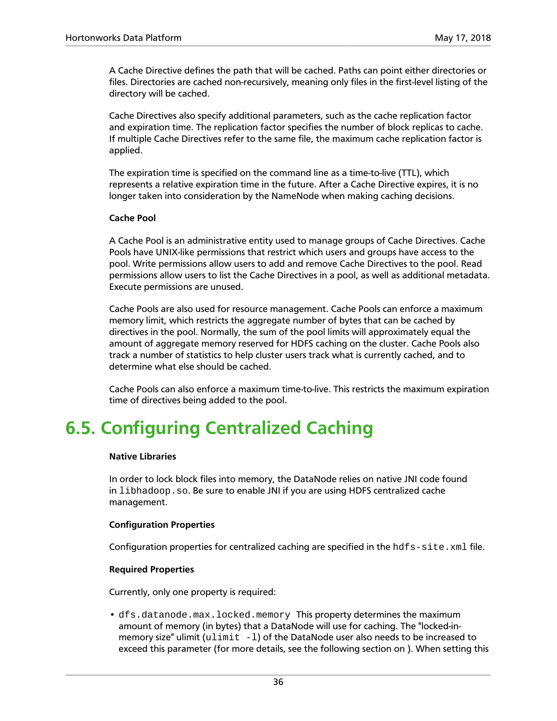A Cache Directive defines the path that will be cached. Paths can point either directories or files. Directories are cached non-recursively, meaning only files in the first-level listing of the directory will be cached.

Cache Directives also specify additional parameters, such as the cache replication factor and expiration time. The replication factor specifies the number of block replicas to cache. If multiple Cache Directives refer to the same file, the maximum cache replication factor is applied.

The expiration time is specified on the command line as a time-to-live (TTL), which represents a relative expiration time in the future. After a Cache Directive expires, it is no longer taken into consideration by the NameNode when making caching decisions.

### **Cache Pool**

A Cache Pool is an administrative entity used to manage groups of Cache Directives. Cache Pools have UNIX-like permissions that restrict which users and groups have access to the pool. Write permissions allow users to add and remove Cache Directives to the pool. Read permissions allow users to list the Cache Directives in a pool, as well as additional metadata. Execute permissions are unused.

Cache Pools are also used for resource management. Cache Pools can enforce a maximum memory limit, which restricts the aggregate number of bytes that can be cached by directives in the pool. Normally, the sum of the pool limits will approximately equal the amount of aggregate memory reserved for HDFS caching on the cluster. Cache Pools also track a number of statistics to help cluster users track what is currently cached, and to determine what else should be cached.

Cache Pools can also enforce a maximum time-to-live. This restricts the maximum expiration time of directives being added to the pool.

### **6.5. Configuring Centralized Caching**

#### **Native Libraries**

In order to lock block files into memory, the DataNode relies on native JNI code found in libhadoop.so. Be sure to enable JNI if you are using HDFS centralized cache management.

#### **Configuration Properties**

Configuration properties for centralized caching are specified in the  $hdfs - site$ .  $xml$  file.

#### **Required Properties**

Currently, only one property is required:

• dfs.datanode.max.locked.memory This property determines the maximum amount of memory (in bytes) that a DataNode will use for caching. The "locked-inmemory size" ulimit  $(u)$  imit  $-1$ ) of the DataNode user also needs to be increased to exceed this parameter (for more details, see the following section on ). When setting this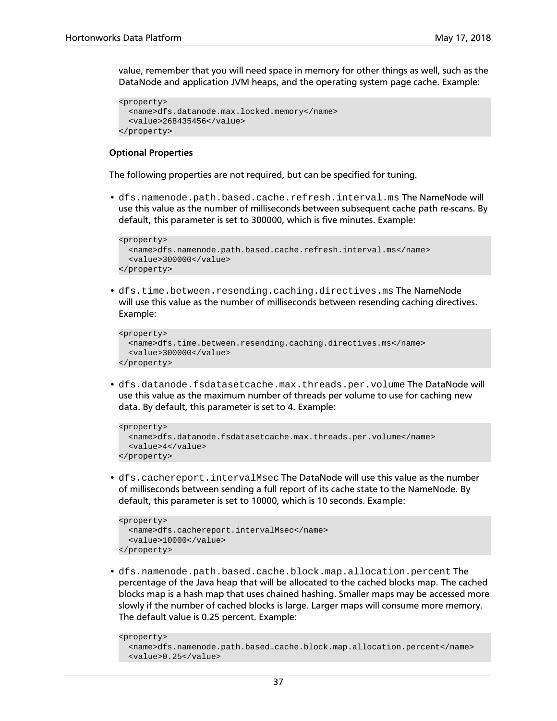value, remember that you will need space in memory for other things as well, such as the DataNode and application JVM heaps, and the operating system page cache. Example:

```
<property>
   <name>dfs.datanode.max.locked.memory</name>
  <value>268435456</value>
</property>
```
#### **Optional Properties**

The following properties are not required, but can be specified for tuning.

• dfs.namenode.path.based.cache.refresh.interval.ms The NameNode will use this value as the number of milliseconds between subsequent cache path re-scans. By default, this parameter is set to 300000, which is five minutes. Example:

```
<property>
   <name>dfs.namenode.path.based.cache.refresh.interval.ms</name>
   <value>300000</value>
</property>
```
• dfs.time.between.resending.caching.directives.ms The NameNode will use this value as the number of milliseconds between resending caching directives. Example:

```
<property>
  <name>dfs.time.between.resending.caching.directives.ms</name>
  <value>300000</value>
</property>
```
• dfs.datanode.fsdatasetcache.max.threads.per.volume The DataNode will use this value as the maximum number of threads per volume to use for caching new data. By default, this parameter is set to 4. Example:

```
<property>
   <name>dfs.datanode.fsdatasetcache.max.threads.per.volume</name>
   <value>4</value>
</property>
```
• dfs.cachereport.intervalMsec The DataNode will use this value as the number of milliseconds between sending a full report of its cache state to the NameNode. By default, this parameter is set to 10000, which is 10 seconds. Example:

```
<property>
  <name>dfs.cachereport.intervalMsec</name>
   <value>10000</value>
</property>
```
• dfs.namenode.path.based.cache.block.map.allocation.percent The percentage of the Java heap that will be allocated to the cached blocks map. The cached blocks map is a hash map that uses chained hashing. Smaller maps may be accessed more slowly if the number of cached blocks is large. Larger maps will consume more memory. The default value is 0.25 percent. Example:

```
<property>
  <name>dfs.namenode.path.based.cache.block.map.allocation.percent</name>
  <value>0.25</value>
```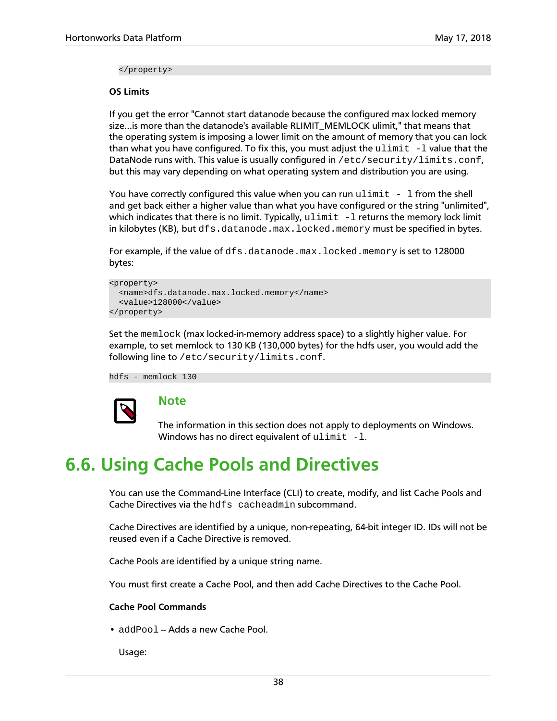</property>

#### **OS Limits**

If you get the error "Cannot start datanode because the configured max locked memory size...is more than the datanode's available RLIMIT\_MEMLOCK ulimit," that means that the operating system is imposing a lower limit on the amount of memory that you can lock than what you have configured. To fix this, you must adjust the  $ulimit -l$  value that the DataNode runs with. This value is usually configured in /etc/security/limits.conf, but this may vary depending on what operating system and distribution you are using.

You have correctly configured this value when you can run  $\text{ulimit} - 1$  from the shell and get back either a higher value than what you have configured or the string "unlimited", which indicates that there is no limit. Typically,  $ulimit -1$  returns the memory lock limit in kilobytes (KB), but  $dfs.datanode.max.locked.memory must be specified in bytes.$ 

For example, if the value of dfs.datanode.max.locked.memory is set to 128000 bytes:

```
<property>
   <name>dfs.datanode.max.locked.memory</name>
   <value>128000</value>
</property>
```
Set the memlock (max locked-in-memory address space) to a slightly higher value. For example, to set memlock to 130 KB (130,000 bytes) for the hdfs user, you would add the following line to /etc/security/limits.conf.

hdfs - memlock 130



### **Note**

The information in this section does not apply to deployments on Windows. Windows has no direct equivalent of  $ulimit -l$ .

### **6.6. Using Cache Pools and Directives**

You can use the Command-Line Interface (CLI) to create, modify, and list Cache Pools and Cache Directives via the hdfs cacheadmin subcommand.

Cache Directives are identified by a unique, non-repeating, 64-bit integer ID. IDs will not be reused even if a Cache Directive is removed.

Cache Pools are identified by a unique string name.

You must first create a Cache Pool, and then add Cache Directives to the Cache Pool.

### **Cache Pool Commands**

• addPool - Adds a new Cache Pool.

Usage: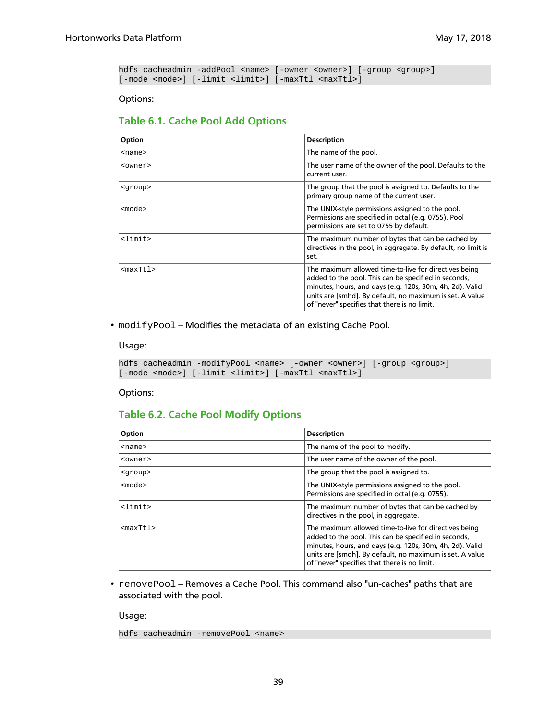```
hdfs cacheadmin -addPool <name> [-owner <owner>] [-group <group>]
[-mode <mode>] [-limit <limit>] [-maxTtl <maxTtl>]
```
#### Options:

### **Table 6.1. Cache Pool Add Options**

| Option          | <b>Description</b>                                                                                                                                                                                                                                                                    |
|-----------------|---------------------------------------------------------------------------------------------------------------------------------------------------------------------------------------------------------------------------------------------------------------------------------------|
| $<$ name $>$    | The name of the pool.                                                                                                                                                                                                                                                                 |
| <owner></owner> | The user name of the owner of the pool. Defaults to the<br>current user.                                                                                                                                                                                                              |
| <group></group> | The group that the pool is assigned to. Defaults to the<br>primary group name of the current user.                                                                                                                                                                                    |
| <mode></mode>   | The UNIX-style permissions assigned to the pool.<br>Permissions are specified in octal (e.g. 0755). Pool<br>permissions are set to 0755 by default.                                                                                                                                   |
| $\text{dimit}$  | The maximum number of bytes that can be cached by<br>directives in the pool, in aggregate. By default, no limit is<br>set.                                                                                                                                                            |
| $<$ max $Tt1$ > | The maximum allowed time-to-live for directives being<br>added to the pool. This can be specified in seconds,<br>minutes, hours, and days (e.g. 120s, 30m, 4h, 2d). Valid<br>units are [smhd]. By default, no maximum is set. A value<br>of "never" specifies that there is no limit. |

• modifyPool - Modifies the metadata of an existing Cache Pool.

#### Usage:

```
hdfs cacheadmin -modifyPool <name> [-owner <owner>] [-group <group>]
[-mode <mode>] [-limit <limit>] [-maxTtl <maxTtl>]
```
#### Options:

### **Table 6.2. Cache Pool Modify Options**

| Option            | <b>Description</b>                                                                                                                                                                                                                                                                    |
|-------------------|---------------------------------------------------------------------------------------------------------------------------------------------------------------------------------------------------------------------------------------------------------------------------------------|
| $<$ name $>$      | The name of the pool to modify.                                                                                                                                                                                                                                                       |
| <owner></owner>   | The user name of the owner of the pool.                                                                                                                                                                                                                                               |
| <group></group>   | The group that the pool is assigned to.                                                                                                                                                                                                                                               |
| <mode></mode>     | The UNIX-style permissions assigned to the pool.<br>Permissions are specified in octal (e.g. 0755).                                                                                                                                                                                   |
| $\text{dimit}$    | The maximum number of bytes that can be cached by<br>directives in the pool, in aggregate.                                                                                                                                                                                            |
| <maxttl></maxttl> | The maximum allowed time-to-live for directives being<br>added to the pool. This can be specified in seconds,<br>minutes, hours, and days (e.g. 120s, 30m, 4h, 2d). Valid<br>units are [smdh]. By default, no maximum is set. A value<br>of "never" specifies that there is no limit. |

• removePool - Removes a Cache Pool. This command also "un-caches" paths that are associated with the pool.

### Usage:

hdfs cacheadmin -removePool <name>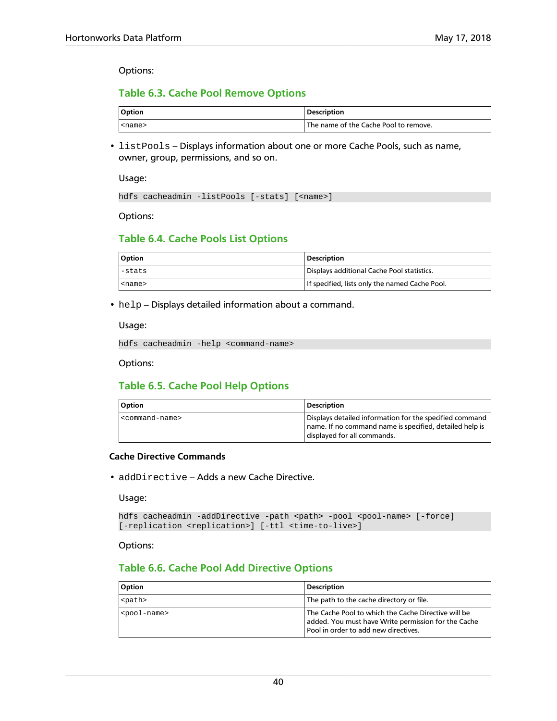Options:

### **Table 6.3. Cache Pool Remove Options**

| <b>Option</b> | <b>Description</b>                                 |
|---------------|----------------------------------------------------|
| <name></name> | <sup>1</sup> The name of the Cache Pool to remove. |

• listPools - Displays information about one or more Cache Pools, such as name, owner, group, permissions, and so on.

Usage:

hdfs cacheadmin -listPools [-stats] [<name>]

Options:

### **Table 6.4. Cache Pools List Options**

| <b>Option</b> | <b>Description</b>                             |
|---------------|------------------------------------------------|
| l-stats       | Displays additional Cache Pool statistics.     |
| <name></name> | If specified, lists only the named Cache Pool. |

#### • help - Displays detailed information about a command.

Usage:

hdfs cacheadmin -help <command-name>

Options:

### **Table 6.5. Cache Pool Help Options**

| <b>Option</b>                 | <b>Description</b>                                                                                                                                |
|-------------------------------|---------------------------------------------------------------------------------------------------------------------------------------------------|
| <command-name></command-name> | Displays detailed information for the specified command<br>name. If no command name is specified, detailed help is<br>displayed for all commands. |

### **Cache Directive Commands**

• addDirective - Adds a new Cache Directive.

Usage:

```
hdfs cacheadmin -addDirective -path <path> -pool <pool-name> [-force]
[-replication <replication>] [-ttl <time-to-live>]
```
Options:

### **Table 6.6. Cache Pool Add Directive Options**

| <b>Option</b>           | <b>Description</b>                                                                                                                                 |
|-------------------------|----------------------------------------------------------------------------------------------------------------------------------------------------|
| <path></path>           | $\mid$ The path to the cache directory or file.                                                                                                    |
| <pool-name></pool-name> | The Cache Pool to which the Cache Directive will be<br>added. You must have Write permission for the Cache<br>Pool in order to add new directives. |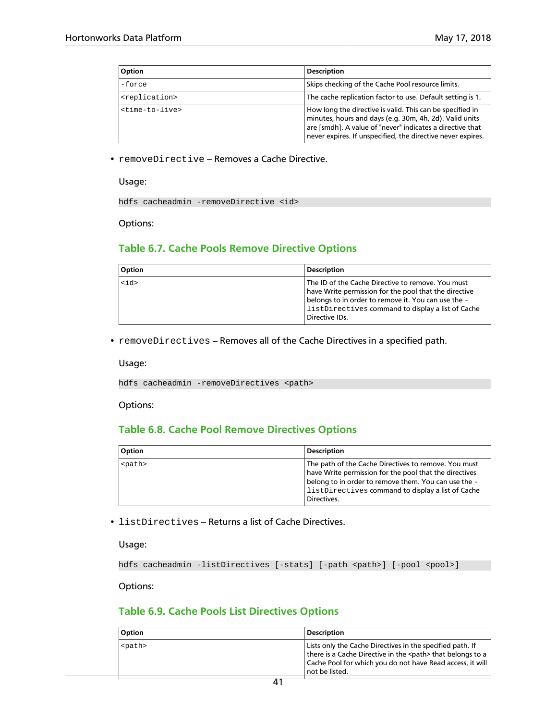| <b>Option</b>               | <b>Description</b>                                                                                                                                                                                                                               |
|-----------------------------|--------------------------------------------------------------------------------------------------------------------------------------------------------------------------------------------------------------------------------------------------|
| -force                      | Skips checking of the Cache Pool resource limits.                                                                                                                                                                                                |
| <replication></replication> | The cache replication factor to use. Default setting is 1.                                                                                                                                                                                       |
| $<$ time-to-live>           | How long the directive is valid. This can be specified in<br>minutes, hours and days (e.g. 30m, 4h, 2d). Valid units<br>are [smdh]. A value of "never" indicates a directive that<br>never expires. If unspecified, the directive never expires. |

• removeDirective - Removes a Cache Directive.

#### Usage:

hdfs cacheadmin -removeDirective <id>

Options:

### **Table 6.7. Cache Pools Remove Directive Options**

| Option  | <b>Description</b>                                                                                                                                                                                                                           |
|---------|----------------------------------------------------------------------------------------------------------------------------------------------------------------------------------------------------------------------------------------------|
| $<$ id> | The ID of the Cache Directive to remove. You must<br>have Write permission for the pool that the directive<br>belongs to in order to remove it. You can use the -<br>$ $ listDirectives command to display a list of Cache<br>Directive IDs. |

• removeDirectives - Removes all of the Cache Directives in a specified path.

Usage:

hdfs cacheadmin -removeDirectives <path>

Options:

### **Table 6.8. Cache Pool Remove Directives Options**

| Option        | Description                                                                                                                                                                                                                                    |
|---------------|------------------------------------------------------------------------------------------------------------------------------------------------------------------------------------------------------------------------------------------------|
| <path></path> | The path of the Cache Directives to remove. You must<br>have Write permission for the pool that the directives<br>belong to in order to remove them. You can use the -<br>$ $ listDirectives command to display a list of Cache<br>Directives. |

• listDirectives - Returns a list of Cache Directives.

Usage:

```
hdfs cacheadmin -listDirectives [-stats] [-path <path>] [-pool <pool>]
```
Options:

### **Table 6.9. Cache Pools List Directives Options**

| <b>Option</b> | <b>Description</b>                                                                                                                                                                                              |
|---------------|-----------------------------------------------------------------------------------------------------------------------------------------------------------------------------------------------------------------|
| <path></path> | Lists only the Cache Directives in the specified path. If<br>there is a Cache Directive in the <path> that belongs to a<br/>Cache Pool for which you do not have Read access, it will<br/>not be listed.</path> |
|               |                                                                                                                                                                                                                 |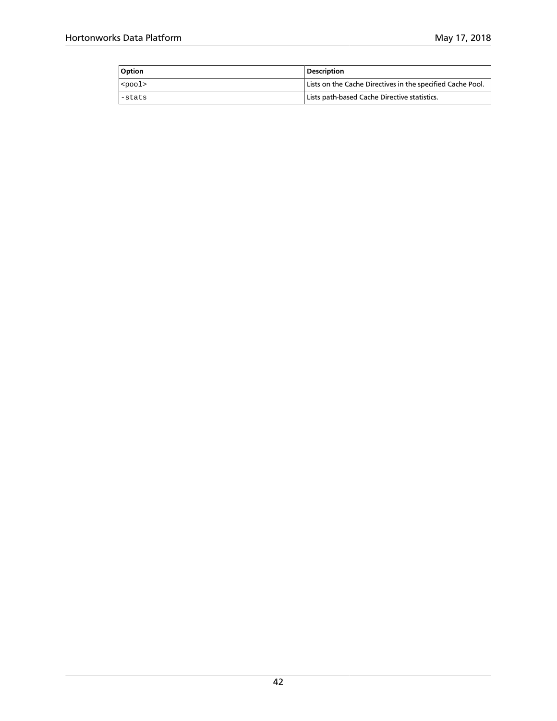| <b>Option</b>     | <b>Description</b>                                         |
|-------------------|------------------------------------------------------------|
| $ $ <pool></pool> | Lists on the Cache Directives in the specified Cache Pool. |
| l-stats           | Lists path-based Cache Directive statistics.               |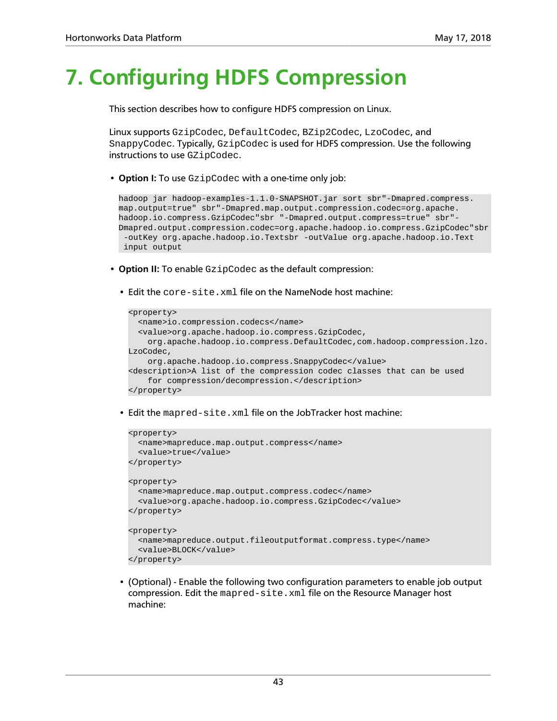# **7. Configuring HDFS Compression**

This section describes how to configure HDFS compression on Linux.

Linux supports GzipCodec, DefaultCodec, BZip2Codec, LzoCodec, and SnappyCodec. Typically, GzipCodec is used for HDFS compression. Use the following instructions to use GZipCodec.

• **Option I:** To use GzipCodec with a one-time only job:

hadoop jar hadoop-examples-1.1.0-SNAPSHOT.jar sort sbr"-Dmapred.compress. map.output=true" sbr"-Dmapred.map.output.compression.codec=org.apache. hadoop.io.compress.GzipCodec"sbr "-Dmapred.output.compress=true" sbr"- Dmapred.output.compression.codec=org.apache.hadoop.io.compress.GzipCodec"sbr -outKey org.apache.hadoop.io.Textsbr -outValue org.apache.hadoop.io.Text input output

- **Option II:** To enable GzipCodec as the default compression:
	- Edit the core-site.xml file on the NameNode host machine:

```
<property>
  <name>io.compression.codecs</name>
  <value>org.apache.hadoop.io.compress.GzipCodec,
    org.apache.hadoop.io.compress.DefaultCodec,com.hadoop.compression.lzo.
LzoCodec,
    org.apache.hadoop.io.compress.SnappyCodec</value>
<description>A list of the compression codec classes that can be used
    for compression/decompression.</description>
</property>
```
• Edit the mapred-site.xml file on the JobTracker host machine:

```
<property>
   <name>mapreduce.map.output.compress</name>
   <value>true</value>
</property>
<property>
  <name>mapreduce.map.output.compress.codec</name>
  <value>org.apache.hadoop.io.compress.GzipCodec</value>
</property>
<property>
  <name>mapreduce.output.fileoutputformat.compress.type</name>
  <value>BLOCK</value>
</property>
```
• (Optional) - Enable the following two configuration parameters to enable job output compression. Edit the mapred-site.xml file on the Resource Manager host machine: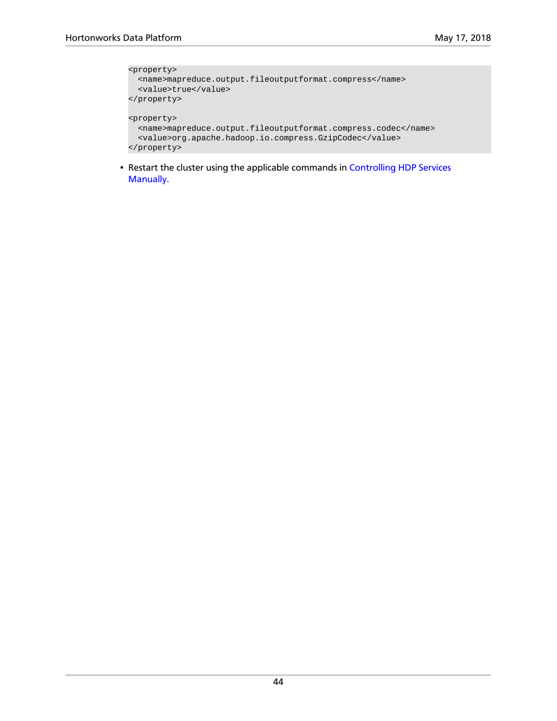```
<property>
  <name>mapreduce.output.fileoutputformat.compress</name>
  <value>true</value>
</property>
<property>
  <name>mapreduce.output.fileoutputformat.compress.codec</name>
  <value>org.apache.hadoop.io.compress.GzipCodec</value>
</property>
```
• Restart the cluster using the applicable commands in [Controlling HDP Services](https://docs.hortonworks.com/HDPDocuments/HDP2/HDP-2.6.5/bk_reference/content/ch_controlling_hdp_svcs_manually.html) [Manually](https://docs.hortonworks.com/HDPDocuments/HDP2/HDP-2.6.5/bk_reference/content/ch_controlling_hdp_svcs_manually.html).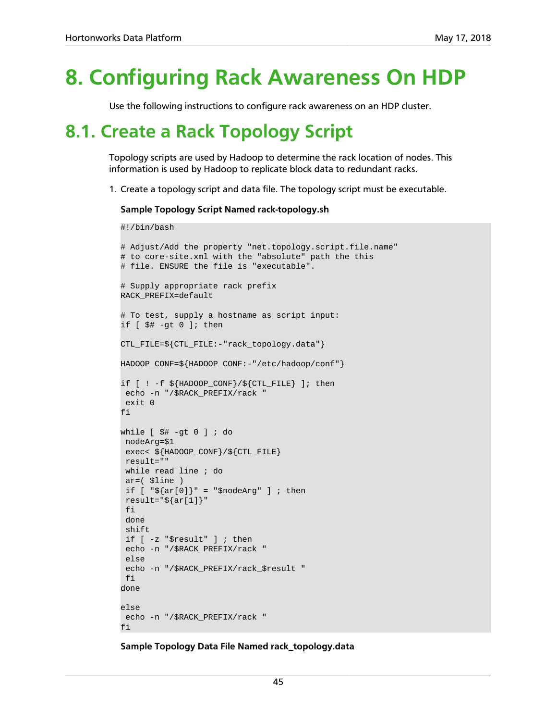# **8. Configuring Rack Awareness On HDP**

Use the following instructions to configure rack awareness on an HDP cluster.

## **8.1. Create a Rack Topology Script**

Topology scripts are used by Hadoop to determine the rack location of nodes. This information is used by Hadoop to replicate block data to redundant racks.

1. Create a topology script and data file. The topology script must be executable.

**Sample Topology Script Named rack-topology.sh**

```
#!/bin/bash
```

```
# Adjust/Add the property "net.topology.script.file.name"
# to core-site.xml with the "absolute" path the this
# file. ENSURE the file is "executable".
# Supply appropriate rack prefix
RACK_PREFIX=default
# To test, supply a hostname as script input:
if [ $# -gt 0 ]; then
CTL_FILE=${CTL_FILE:-"rack_topology.data"}
HADOOP_CONF=${HADOOP_CONF:-"/etc/hadoop/conf"}
if [ ! -f ${HADOOP_CONF}/${CTL_FILE} ]; then
 echo -n "/$RACK_PREFIX/rack "
 exit 0
fi
while [ $# -gt 0 ] ; do
 nodeArg=$1
  exec< ${HADOOP_CONF}/${CTL_FILE}
 result=""
  while read line ; do
  ar=( $line )
 if [ "\frac{2}{3}{ar[0]}" = "\frac{2}{3}nodeArg" ] ; then
result='${ar[1]}"
  fi
  done
  shift
  if [ -z "$result" ] ; then
  echo -n "/$RACK_PREFIX/rack "
 else
  echo -n "/$RACK_PREFIX/rack_$result "
 fi
done
else
 echo -n "/$RACK_PREFIX/rack "
fi
```
**Sample Topology Data File Named rack\_topology.data**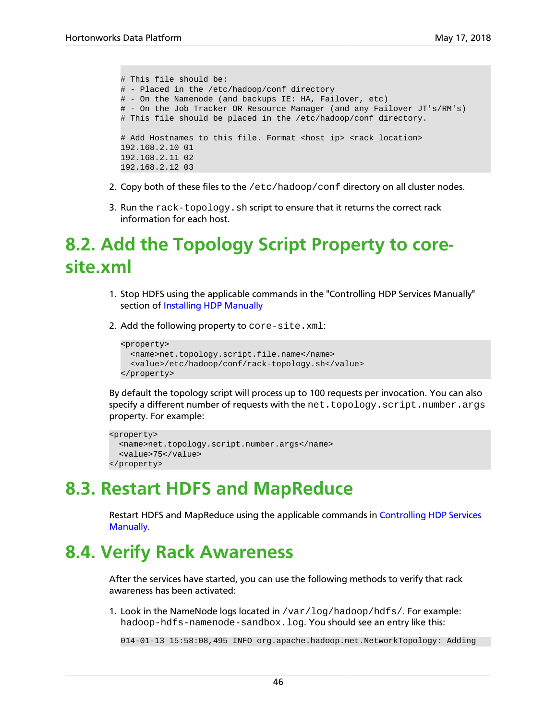```
# This file should be:
# - Placed in the /etc/hadoop/conf directory
# - On the Namenode (and backups IE: HA, Failover, etc)
# - On the Job Tracker OR Resource Manager (and any Failover JT's/RM's)
# This file should be placed in the /etc/hadoop/conf directory.
# Add Hostnames to this file. Format <host ip> <rack_location>
192.168.2.10 01
192.168.2.11 02
192.168.2.12 03
```
- 2. Copy both of these files to the /etc/hadoop/conf directory on all cluster nodes.
- 3. Run the rack-topology. sh script to ensure that it returns the correct rack information for each host.

## **8.2. Add the Topology Script Property to coresite.xml**

- 1. Stop HDFS using the applicable commands in the "Controlling HDP Services Manually" section of [Installing HDP Manually](https://docs.hortonworks.com/HDPDocuments/HDP2/HDP-2.6.5/bk_command-line-installation/content/ch_getting_ready_chapter.html)
- 2. Add the following property to core-site.xml:

```
<property>
  <name>net.topology.script.file.name</name>
   <value>/etc/hadoop/conf/rack-topology.sh</value>
</property>
```
By default the topology script will process up to 100 requests per invocation. You can also specify a different number of requests with the net.topology.script.number.args property. For example:

```
<property>
  <name>net.topology.script.number.args</name>
  <value>75</value>
</property>
```
### **8.3. Restart HDFS and MapReduce**

Restart HDFS and MapReduce using the applicable commands in [Controlling HDP Services](https://docs.hortonworks.com/HDPDocuments/HDP2/HDP-2.6.5/bk_reference/content/ch_controlling_hdp_svcs_manually.html) [Manually](https://docs.hortonworks.com/HDPDocuments/HDP2/HDP-2.6.5/bk_reference/content/ch_controlling_hdp_svcs_manually.html).

### **8.4. Verify Rack Awareness**

After the services have started, you can use the following methods to verify that rack awareness has been activated:

1. Look in the NameNode logs located in /var/log/hadoop/hdfs/. For example: hadoop-hdfs-namenode-sandbox.log. You should see an entry like this:

014-01-13 15:58:08,495 INFO org.apache.hadoop.net.NetworkTopology: Adding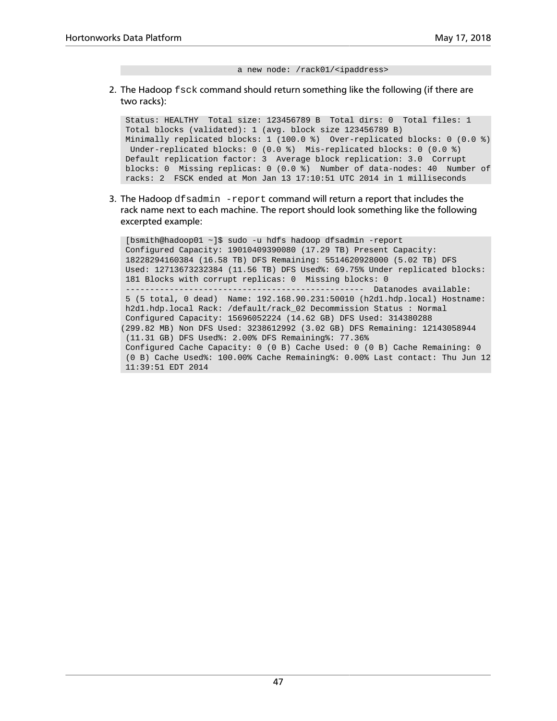a new node: /rack01/<ipaddress>

2. The Hadoop fsck command should return something like the following (if there are two racks):

```
 Status: HEALTHY Total size: 123456789 B Total dirs: 0 Total files: 1 
 Total blocks (validated): 1 (avg. block size 123456789 B)
 Minimally replicated blocks: 1 (100.0 %) Over-replicated blocks: 0 (0.0 %)
 Under-replicated blocks: 0 (0.0 %) Mis-replicated blocks: 0 (0.0 %)
 Default replication factor: 3 Average block replication: 3.0 Corrupt
 blocks: 0 Missing replicas: 0 (0.0 %) Number of data-nodes: 40 Number of
 racks: 2 FSCK ended at Mon Jan 13 17:10:51 UTC 2014 in 1 milliseconds
```
3. The Hadoop dfsadmin -report command will return a report that includes the rack name next to each machine. The report should look something like the following excerpted example:

```
 [bsmith@hadoop01 ~]$ sudo -u hdfs hadoop dfsadmin -report
 Configured Capacity: 19010409390080 (17.29 TB) Present Capacity:
 18228294160384 (16.58 TB) DFS Remaining: 5514620928000 (5.02 TB) DFS
Used: 12713673232384 (11.56 TB) DFS Used%: 69.75% Under replicated blocks:
 181 Blocks with corrupt replicas: 0 Missing blocks: 0
                                            ------ Datanodes available:
 5 (5 total, 0 dead) Name: 192.168.90.231:50010 (h2d1.hdp.local) Hostname:
 h2d1.hdp.local Rack: /default/rack_02 Decommission Status : Normal
 Configured Capacity: 15696052224 (14.62 GB) DFS Used: 314380288
(299.82 MB) Non DFS Used: 3238612992 (3.02 GB) DFS Remaining: 12143058944
 (11.31 GB) DFS Used%: 2.00% DFS Remaining%: 77.36%
 Configured Cache Capacity: 0 (0 B) Cache Used: 0 (0 B) Cache Remaining: 0
 (0 B) Cache Used%: 100.00% Cache Remaining%: 0.00% Last contact: Thu Jun 12
 11:39:51 EDT 2014
```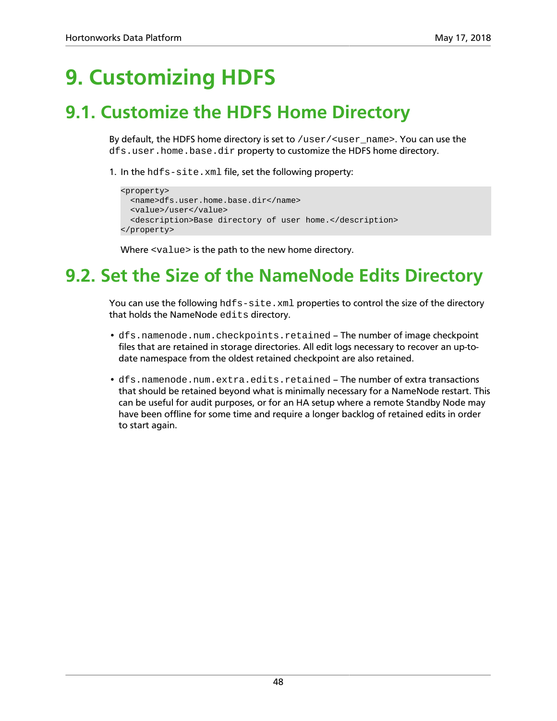# **9. Customizing HDFS**

### **9.1. Customize the HDFS Home Directory**

By default, the HDFS home directory is set to /user/<user\_name>. You can use the dfs.user.home.base.dir property to customize the HDFS home directory.

1. In the hdfs-site.xml file, set the following property:

```
<property>
  <name>dfs.user.home.base.dir</name>
  <value>/user</value>
  <description>Base directory of user home.</description>
</property>
```
Where <value> is the path to the new home directory.

## **9.2. Set the Size of the NameNode Edits Directory**

You can use the following hdfs-site.xml properties to control the size of the directory that holds the NameNode edits directory.

- dfs.namenode.num.checkpoints.retained The number of image checkpoint files that are retained in storage directories. All edit logs necessary to recover an up-todate namespace from the oldest retained checkpoint are also retained.
- dfs.namenode.num.extra.edits.retained The number of extra transactions that should be retained beyond what is minimally necessary for a NameNode restart. This can be useful for audit purposes, or for an HA setup where a remote Standby Node may have been offline for some time and require a longer backlog of retained edits in order to start again.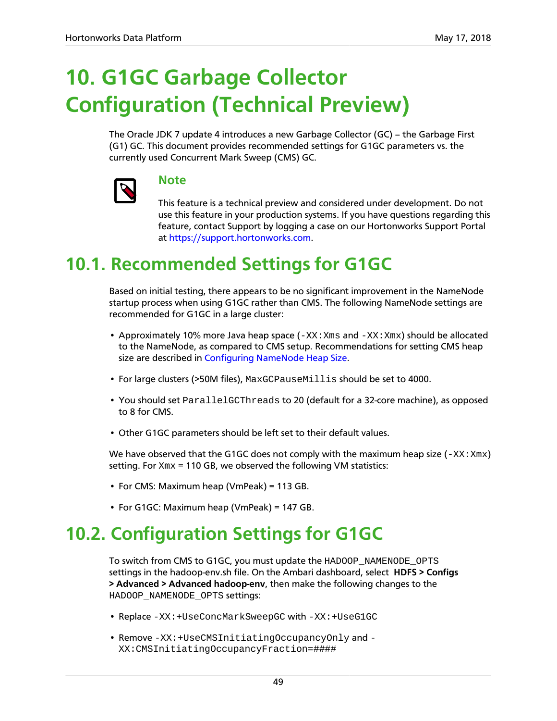# **10. G1GC Garbage Collector Configuration (Technical Preview)**

The Oracle JDK 7 update 4 introduces a new Garbage Collector (GC) – the Garbage First (G1) GC. This document provides recommended settings for G1GC parameters vs. the currently used Concurrent Mark Sweep (CMS) GC.



### **Note**

This feature is a technical preview and considered under development. Do not use this feature in your production systems. If you have questions regarding this feature, contact Support by logging a case on our Hortonworks Support Portal at [https://support.hortonworks.com.](https://support.hortonworks.com)

## **10.1. Recommended Settings for G1GC**

Based on initial testing, there appears to be no significant improvement in the NameNode startup process when using G1GC rather than CMS. The following NameNode settings are recommended for G1GC in a large cluster:

- Approximately 10% more Java heap space  $(-XX:Xms$  and  $-XX:Xmx)$  should be allocated to the NameNode, as compared to CMS setup. Recommendations for setting CMS heap size are described in [Configuring NameNode Heap Size.](https://docs.hortonworks.com/HDPDocuments/HDP2/HDP-2.6.5/bk_command-line-installation/content/configuring-namenode-heap-size.html)
- For large clusters (>50M files), MaxGCPauseMillis should be set to 4000.
- You should set ParallelGCThreads to 20 (default for a 32-core machine), as opposed to 8 for CMS.
- Other G1GC parameters should be left set to their default values.

We have observed that the G1GC does not comply with the maximum heap size  $(-XX:Xmx)$ setting. For  $xmx = 110$  GB, we observed the following VM statistics:

- For CMS: Maximum heap (VmPeak) = 113 GB.
- For G1GC: Maximum heap (VmPeak) = 147 GB.

## **10.2. Configuration Settings for G1GC**

To switch from CMS to G1GC, you must update the HADOOP\_NAMENODE\_OPTS settings in the hadoop-env.sh file. On the Ambari dashboard, select **HDFS > Configs > Advanced > Advanced hadoop-env**, then make the following changes to the HADOOP\_NAMENODE\_OPTS settings:

- Replace -XX:+UseConcMarkSweepGC with -XX:+UseG1GC
- Remove -XX:+UseCMSInitiatingOccupancyOnly and XX:CMSInitiatingOccupancyFraction=####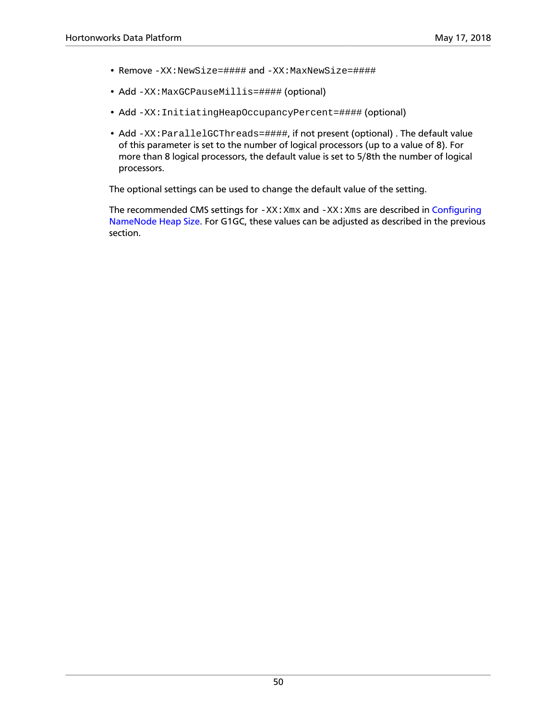- Remove -XX:NewSize=#### and -XX:MaxNewSize=####
- Add -XX:MaxGCPauseMillis=#### (optional)
- Add -XX: InitiatingHeapOccupancyPercent=#### (optional)
- Add -XX: ParallelGCThreads=####, if not present (optional). The default value of this parameter is set to the number of logical processors (up to a value of 8). For more than 8 logical processors, the default value is set to 5/8th the number of logical processors.

The optional settings can be used to change the default value of the setting.

The recommended CMS settings for  $-XX:Xmx$  and  $-XX:Xms$  are described in [Configuring](https://docs.hortonworks.com/HDPDocuments/HDP2/HDP-2.6.5/bk_command-line-installation/content/configuring-namenode-heap-size.html) [NameNode Heap Size.](https://docs.hortonworks.com/HDPDocuments/HDP2/HDP-2.6.5/bk_command-line-installation/content/configuring-namenode-heap-size.html) For G1GC, these values can be adjusted as described in the previous section.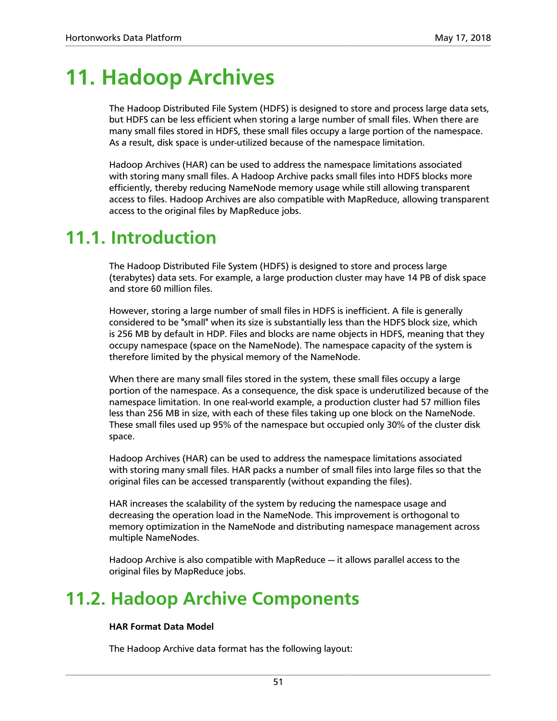## **11. Hadoop Archives**

The Hadoop Distributed File System (HDFS) is designed to store and process large data sets, but HDFS can be less efficient when storing a large number of small files. When there are many small files stored in HDFS, these small files occupy a large portion of the namespace. As a result, disk space is under-utilized because of the namespace limitation.

Hadoop Archives (HAR) can be used to address the namespace limitations associated with storing many small files. A Hadoop Archive packs small files into HDFS blocks more efficiently, thereby reducing NameNode memory usage while still allowing transparent access to files. Hadoop Archives are also compatible with MapReduce, allowing transparent access to the original files by MapReduce jobs.

### **11.1. Introduction**

The Hadoop Distributed File System (HDFS) is designed to store and process large (terabytes) data sets. For example, a large production cluster may have 14 PB of disk space and store 60 million files.

However, storing a large number of small files in HDFS is inefficient. A file is generally considered to be "small" when its size is substantially less than the HDFS block size, which is 256 MB by default in HDP. Files and blocks are name objects in HDFS, meaning that they occupy namespace (space on the NameNode). The namespace capacity of the system is therefore limited by the physical memory of the NameNode.

When there are many small files stored in the system, these small files occupy a large portion of the namespace. As a consequence, the disk space is underutilized because of the namespace limitation. In one real-world example, a production cluster had 57 million files less than 256 MB in size, with each of these files taking up one block on the NameNode. These small files used up 95% of the namespace but occupied only 30% of the cluster disk space.

Hadoop Archives (HAR) can be used to address the namespace limitations associated with storing many small files. HAR packs a number of small files into large files so that the original files can be accessed transparently (without expanding the files).

HAR increases the scalability of the system by reducing the namespace usage and decreasing the operation load in the NameNode. This improvement is orthogonal to memory optimization in the NameNode and distributing namespace management across multiple NameNodes.

Hadoop Archive is also compatible with MapReduce — it allows parallel access to the original files by MapReduce jobs.

## **11.2. Hadoop Archive Components**

### **HAR Format Data Model**

The Hadoop Archive data format has the following layout: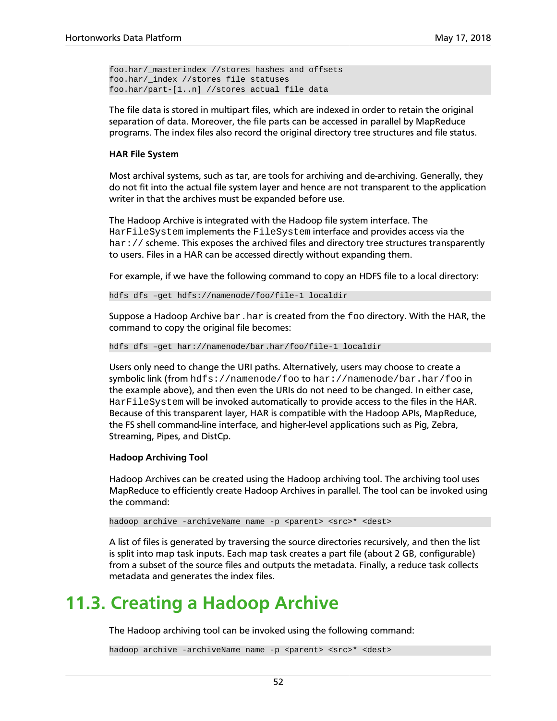```
foo.har/_masterindex //stores hashes and offsets
foo.har/_index //stores file statuses
foo.har/part-[1..n] //stores actual file data
```
The file data is stored in multipart files, which are indexed in order to retain the original separation of data. Moreover, the file parts can be accessed in parallel by MapReduce programs. The index files also record the original directory tree structures and file status.

#### **HAR File System**

Most archival systems, such as tar, are tools for archiving and de-archiving. Generally, they do not fit into the actual file system layer and hence are not transparent to the application writer in that the archives must be expanded before use.

The Hadoop Archive is integrated with the Hadoop file system interface. The HarFileSystem implements the FileSystem interface and provides access via the har: // scheme. This exposes the archived files and directory tree structures transparently to users. Files in a HAR can be accessed directly without expanding them.

For example, if we have the following command to copy an HDFS file to a local directory:

hdfs dfs –get hdfs://namenode/foo/file-1 localdir

Suppose a Hadoop Archive  $bar$ .har is created from the foo directory. With the HAR, the command to copy the original file becomes:

hdfs dfs –get har://namenode/bar.har/foo/file-1 localdir

Users only need to change the URI paths. Alternatively, users may choose to create a symbolic link (from hdfs://namenode/foo to har://namenode/bar.har/foo in the example above), and then even the URIs do not need to be changed. In either case, HarFileSystem will be invoked automatically to provide access to the files in the HAR. Because of this transparent layer, HAR is compatible with the Hadoop APIs, MapReduce, the FS shell command-line interface, and higher-level applications such as Pig, Zebra, Streaming, Pipes, and DistCp.

#### **Hadoop Archiving Tool**

Hadoop Archives can be created using the Hadoop archiving tool. The archiving tool uses MapReduce to efficiently create Hadoop Archives in parallel. The tool can be invoked using the command:

hadoop archive -archiveName name -p <parent> <src>\* <dest>

A list of files is generated by traversing the source directories recursively, and then the list is split into map task inputs. Each map task creates a part file (about 2 GB, configurable) from a subset of the source files and outputs the metadata. Finally, a reduce task collects metadata and generates the index files.

### **11.3. Creating a Hadoop Archive**

The Hadoop archiving tool can be invoked using the following command:

hadoop archive -archiveName name -p <parent> <src>\* <dest>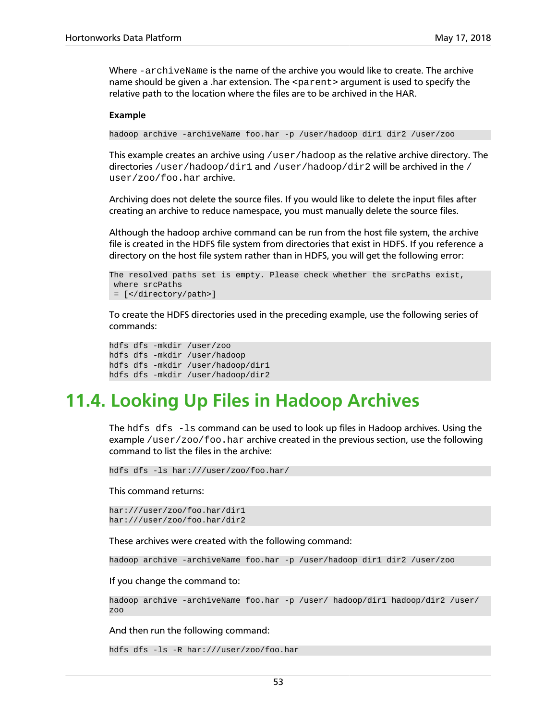Where -archiveName is the name of the archive you would like to create. The archive name should be given a .har extension. The  $\epsilon$  parent is argument is used to specify the relative path to the location where the files are to be archived in the HAR.

#### **Example**

hadoop archive -archiveName foo.har -p /user/hadoop dir1 dir2 /user/zoo

This example creates an archive using  $/\text{user/hadoop}$  as the relative archive directory. The directories /user/hadoop/dir1 and /user/hadoop/dir2 will be archived in the / user/zoo/foo.har archive.

Archiving does not delete the source files. If you would like to delete the input files after creating an archive to reduce namespace, you must manually delete the source files.

Although the hadoop archive command can be run from the host file system, the archive file is created in the HDFS file system from directories that exist in HDFS. If you reference a directory on the host file system rather than in HDFS, you will get the following error:

```
The resolved paths set is empty. Please check whether the srcPaths exist,
 where srcPaths
 = [</directory/path>]
```
To create the HDFS directories used in the preceding example, use the following series of commands:

```
hdfs dfs -mkdir /user/zoo
hdfs dfs -mkdir /user/hadoop
hdfs dfs -mkdir /user/hadoop/dir1
hdfs dfs -mkdir /user/hadoop/dir2
```
### **11.4. Looking Up Files in Hadoop Archives**

The  $hdfs$  dfs  $-ls$  command can be used to look up files in Hadoop archives. Using the example /user/zoo/foo.har archive created in the previous section, use the following command to list the files in the archive:

hdfs dfs -ls har:///user/zoo/foo.har/

This command returns:

har:///user/zoo/foo.har/dir1 har:///user/zoo/foo.har/dir2

These archives were created with the following command:

hadoop archive -archiveName foo.har -p /user/hadoop dir1 dir2 /user/zoo

If you change the command to:

hadoop archive -archiveName foo.har -p /user/ hadoop/dir1 hadoop/dir2 /user/ zoo

And then run the following command:

hdfs dfs -ls -R har:///user/zoo/foo.har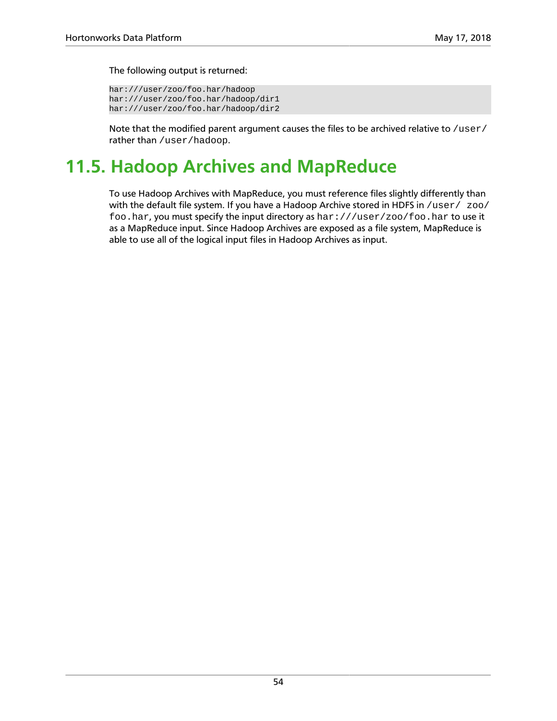The following output is returned:

```
har:///user/zoo/foo.har/hadoop
har:///user/zoo/foo.har/hadoop/dir1
har:///user/zoo/foo.har/hadoop/dir2
```
Note that the modified parent argument causes the files to be archived relative to /user/ rather than /user/hadoop.

## **11.5. Hadoop Archives and MapReduce**

To use Hadoop Archives with MapReduce, you must reference files slightly differently than with the default file system. If you have a Hadoop Archive stored in HDFS in /user/ zoo/ foo.har, you must specify the input directory as har:///user/zoo/foo.har to use it as a MapReduce input. Since Hadoop Archives are exposed as a file system, MapReduce is able to use all of the logical input files in Hadoop Archives as input.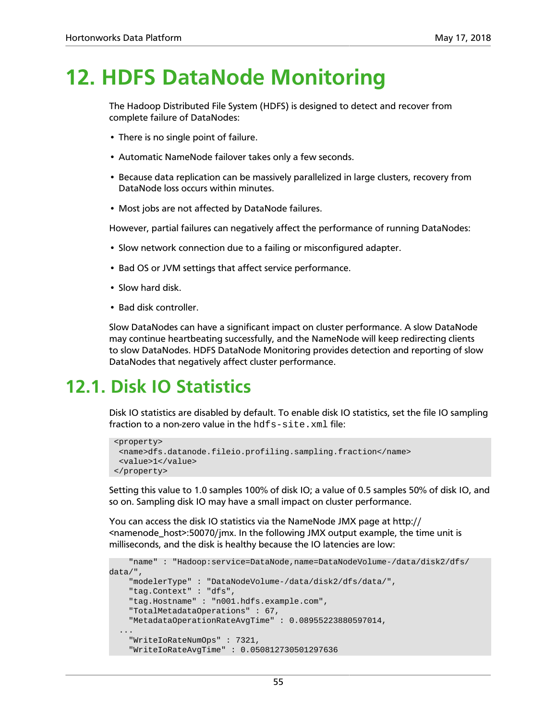## **12. HDFS DataNode Monitoring**

The Hadoop Distributed File System (HDFS) is designed to detect and recover from complete failure of DataNodes:

- There is no single point of failure.
- Automatic NameNode failover takes only a few seconds.
- Because data replication can be massively parallelized in large clusters, recovery from DataNode loss occurs within minutes.
- Most jobs are not affected by DataNode failures.

However, partial failures can negatively affect the performance of running DataNodes:

- Slow network connection due to a failing or misconfigured adapter.
- Bad OS or JVM settings that affect service performance.
- Slow hard disk.
- Bad disk controller.

Slow DataNodes can have a significant impact on cluster performance. A slow DataNode may continue heartbeating successfully, and the NameNode will keep redirecting clients to slow DataNodes. HDFS DataNode Monitoring provides detection and reporting of slow DataNodes that negatively affect cluster performance.

### **12.1. Disk IO Statistics**

Disk IO statistics are disabled by default. To enable disk IO statistics, set the file IO sampling fraction to a non-zero value in the hdfs-site.xml file:

```
 <property>
  <name>dfs.datanode.fileio.profiling.sampling.fraction</name>
  <value>1</value>
 </property>
```
Setting this value to 1.0 samples 100% of disk IO; a value of 0.5 samples 50% of disk IO, and so on. Sampling disk IO may have a small impact on cluster performance.

You can access the disk IO statistics via the NameNode JMX page at http:// <namenode\_host>:50070/jmx. In the following JMX output example, the time unit is milliseconds, and the disk is healthy because the IO latencies are low:

```
 "name" : "Hadoop:service=DataNode,name=DataNodeVolume-/data/disk2/dfs/
data/",
     "modelerType" : "DataNodeVolume-/data/disk2/dfs/data/",
     "tag.Context" : "dfs",
     "tag.Hostname" : "n001.hdfs.example.com",
    "TotalMetadataOperations" : 67,
    "MetadataOperationRateAvgTime" : 0.08955223880597014,
 ...
    "WriteIoRateNumOps" : 7321,
     "WriteIoRateAvgTime" : 0.050812730501297636
```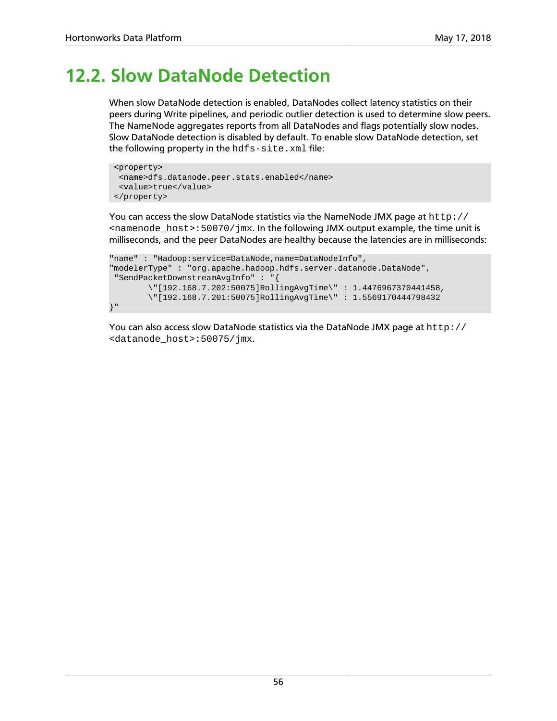### **12.2. Slow DataNode Detection**

When slow DataNode detection is enabled, DataNodes collect latency statistics on their peers during Write pipelines, and periodic outlier detection is used to determine slow peers. The NameNode aggregates reports from all DataNodes and flags potentially slow nodes. Slow DataNode detection is disabled by default. To enable slow DataNode detection, set the following property in the hdfs-site.xml file:

```
 <property>
  <name>dfs.datanode.peer.stats.enabled</name>
  <value>true</value>
 </property>
```
You can access the slow DataNode statistics via the NameNode JMX page at http:// <namenode\_host>:50070/jmx. In the following JMX output example, the time unit is milliseconds, and the peer DataNodes are healthy because the latencies are in milliseconds:

```
"name" : "Hadoop:service=DataNode,name=DataNodeInfo",
"modelerType" : "org.apache.hadoop.hdfs.server.datanode.DataNode", 
 "SendPacketDownstreamAvgInfo" : "{
        \"[192.168.7.202:50075]RollingAvgTime\" : 1.4476967370441458,
         \"[192.168.7.201:50075]RollingAvgTime\" : 1.5569170444798432
}"
```
You can also access slow DataNode statistics via the DataNode JMX page at http:// <datanode\_host>:50075/jmx.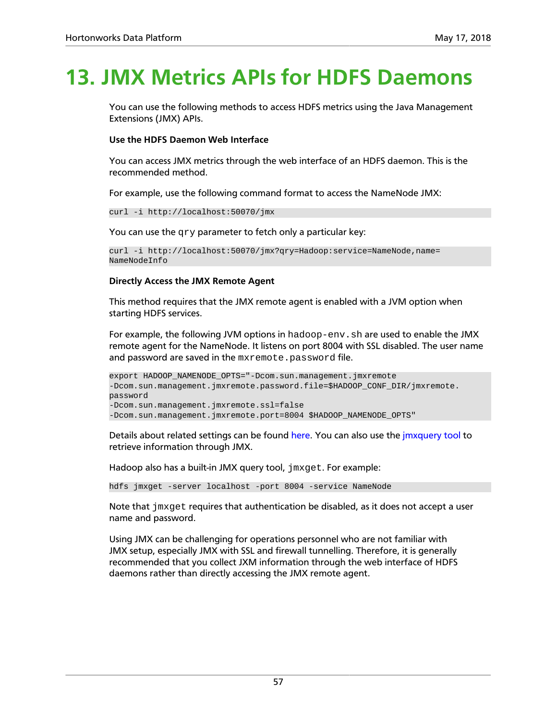# **13. JMX Metrics APIs for HDFS Daemons**

You can use the following methods to access HDFS metrics using the Java Management Extensions (JMX) APIs.

### **Use the HDFS Daemon Web Interface**

You can access JMX metrics through the web interface of an HDFS daemon. This is the recommended method.

For example, use the following command format to access the NameNode JMX:

curl -i http://localhost:50070/jmx

You can use the qry parameter to fetch only a particular key:

```
curl -i http://localhost:50070/jmx?qry=Hadoop:service=NameNode,name=
NameNodeInfo
```
### **Directly Access the JMX Remote Agent**

This method requires that the JMX remote agent is enabled with a JVM option when starting HDFS services.

For example, the following JVM options in hadoop-env. sh are used to enable the JMX remote agent for the NameNode. It listens on port 8004 with SSL disabled. The user name and password are saved in the mxremote.password file.

```
export HADOOP_NAMENODE_OPTS="-Dcom.sun.management.jmxremote
-Dcom.sun.management.jmxremote.password.file=$HADOOP_CONF_DIR/jmxremote.
password
-Dcom.sun.management.jmxremote.ssl=false
-Dcom.sun.management.jmxremote.port=8004 $HADOOP_NAMENODE_OPTS"
```
Details about related settings can be found [here.](http://docs.oracle.com/javase/7/docs/technotes/guides/management/agent.html) You can also use the [jmxquery tool](https://code.google.com/p/jmxquery/) to retrieve information through JMX.

Hadoop also has a built-in JMX query tool,  $\frac{1}{2}$  mx get. For example:

hdfs jmxget -server localhost -port 8004 -service NameNode

Note that  $jmxget$  requires that authentication be disabled, as it does not accept a user name and password.

Using JMX can be challenging for operations personnel who are not familiar with JMX setup, especially JMX with SSL and firewall tunnelling. Therefore, it is generally recommended that you collect JXM information through the web interface of HDFS daemons rather than directly accessing the JMX remote agent.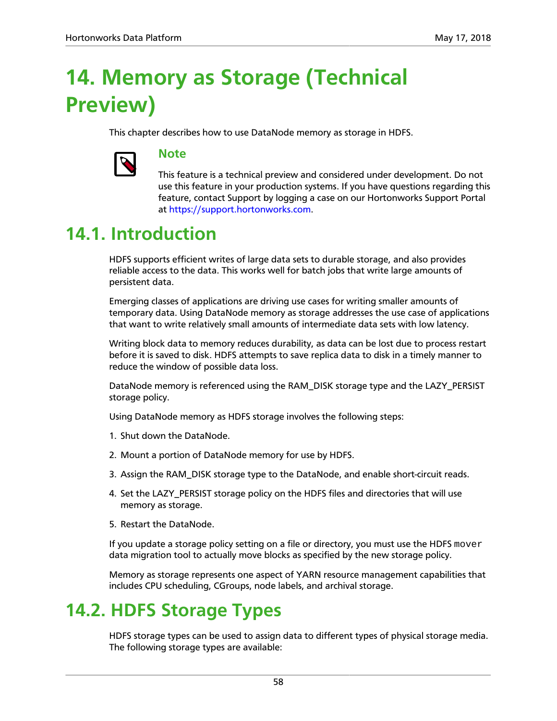# **14. Memory as Storage (Technical Preview)**

This chapter describes how to use DataNode memory as storage in HDFS.



### **Note**

This feature is a technical preview and considered under development. Do not use this feature in your production systems. If you have questions regarding this feature, contact Support by logging a case on our Hortonworks Support Portal at [https://support.hortonworks.com.](https://support.hortonworks.com)

### **14.1. Introduction**

HDFS supports efficient writes of large data sets to durable storage, and also provides reliable access to the data. This works well for batch jobs that write large amounts of persistent data.

Emerging classes of applications are driving use cases for writing smaller amounts of temporary data. Using DataNode memory as storage addresses the use case of applications that want to write relatively small amounts of intermediate data sets with low latency.

Writing block data to memory reduces durability, as data can be lost due to process restart before it is saved to disk. HDFS attempts to save replica data to disk in a timely manner to reduce the window of possible data loss.

DataNode memory is referenced using the RAM\_DISK storage type and the LAZY\_PERSIST storage policy.

Using DataNode memory as HDFS storage involves the following steps:

- 1. Shut down the DataNode.
- 2. Mount a portion of DataNode memory for use by HDFS.
- 3. Assign the RAM\_DISK storage type to the DataNode, and enable short-circuit reads.
- 4. Set the LAZY\_PERSIST storage policy on the HDFS files and directories that will use memory as storage.
- 5. Restart the DataNode.

If you update a storage policy setting on a file or directory, you must use the HDFS mover data migration tool to actually move blocks as specified by the new storage policy.

Memory as storage represents one aspect of YARN resource management capabilities that includes CPU scheduling, CGroups, node labels, and archival storage.

### **14.2. HDFS Storage Types**

HDFS storage types can be used to assign data to different types of physical storage media. The following storage types are available: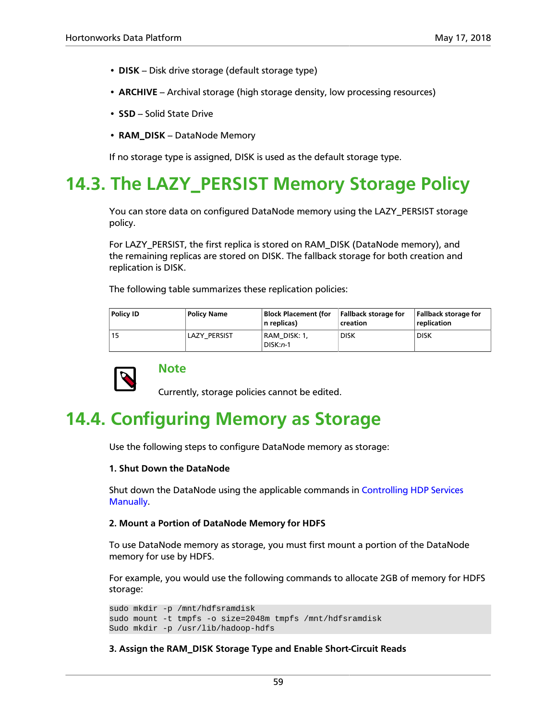- **DISK** Disk drive storage (default storage type)
- **ARCHIVE** Archival storage (high storage density, low processing resources)
- **SSD** -- Solid State Drive
- RAM\_DISK DataNode Memory

If no storage type is assigned, DISK is used as the default storage type.

### **14.3. The LAZY\_PERSIST Memory Storage Policy**

You can store data on configured DataNode memory using the LAZY\_PERSIST storage policy.

For LAZY\_PERSIST, the first replica is stored on RAM\_DISK (DataNode memory), and the remaining replicas are stored on DISK. The fallback storage for both creation and replication is DISK.

The following table summarizes these replication policies:

| Policy ID | <b>Policy Name</b> | <b>Block Placement (for</b><br>n replicas) | <b>Fallback storage for</b><br>creation | <b>Fallback storage for</b><br>replication |
|-----------|--------------------|--------------------------------------------|-----------------------------------------|--------------------------------------------|
| 15        | LAZY PERSIST       | RAM DISK: 1,<br>$DISK:n-1$                 | <b>DISK</b>                             | <b>DISK</b>                                |



### **Note**

Currently, storage policies cannot be edited.

### **14.4. Configuring Memory as Storage**

Use the following steps to configure DataNode memory as storage:

#### **1. Shut Down the DataNode**

Shut down the DataNode using the applicable commands in [Controlling HDP Services](https://docs.hortonworks.com/HDPDocuments/HDP2/HDP-2.6.5/bk_reference/content/ch_controlling_hdp_svcs_manually.html) **[Manually](https://docs.hortonworks.com/HDPDocuments/HDP2/HDP-2.6.5/bk_reference/content/ch_controlling_hdp_svcs_manually.html)** 

#### **2. Mount a Portion of DataNode Memory for HDFS**

To use DataNode memory as storage, you must first mount a portion of the DataNode memory for use by HDFS.

For example, you would use the following commands to allocate 2GB of memory for HDFS storage:

sudo mkdir -p /mnt/hdfsramdisk sudo mount -t tmpfs -o size=2048m tmpfs /mnt/hdfsramdisk Sudo mkdir -p /usr/lib/hadoop-hdfs

#### **3. Assign the RAM\_DISK Storage Type and Enable Short-Circuit Reads**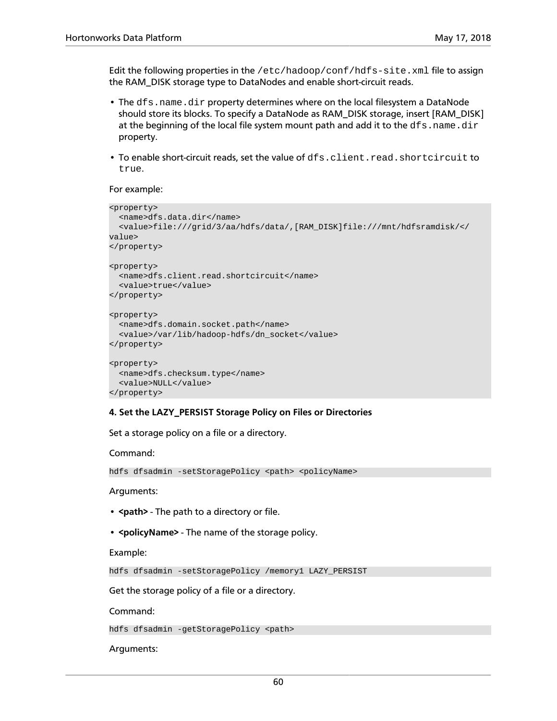Edit the following properties in the /etc/hadoop/conf/hdfs-site.xml file to assign the RAM\_DISK storage type to DataNodes and enable short-circuit reads.

- The dfs.name.dir property determines where on the local filesystem a DataNode should store its blocks. To specify a DataNode as RAM\_DISK storage, insert [RAM\_DISK] at the beginning of the local file system mount path and add it to the  $dfs$ . name.dir property.
- To enable short-circuit reads, set the value of dfs.client.read.shortcircuit to true.

For example:

```
<property>
  <name>dfs.data.dir</name>
  <value>file:///grid/3/aa/hdfs/data/,[RAM_DISK]file:///mnt/hdfsramdisk/</
value>
</property>
<property>
  <name>dfs.client.read.shortcircuit</name>
 <value>true</value>
</property>
<property>
  <name>dfs.domain.socket.path</name>
  <value>/var/lib/hadoop-hdfs/dn_socket</value>
</property>
<property>
  <name>dfs.checksum.type</name>
  <value>NULL</value>
</property>
```
#### **4. Set the LAZY\_PERSIST Storage Policy on Files or Directories**

Set a storage policy on a file or a directory.

Command:

hdfs dfsadmin -setStoragePolicy <path> <policyName>

Arguments:

- < path > The path to a directory or file.
- **<policyName>** The name of the storage policy.

Example:

hdfs dfsadmin -setStoragePolicy /memory1 LAZY\_PERSIST

Get the storage policy of a file or a directory.

Command:

hdfs dfsadmin -getStoragePolicy <path>

Arguments: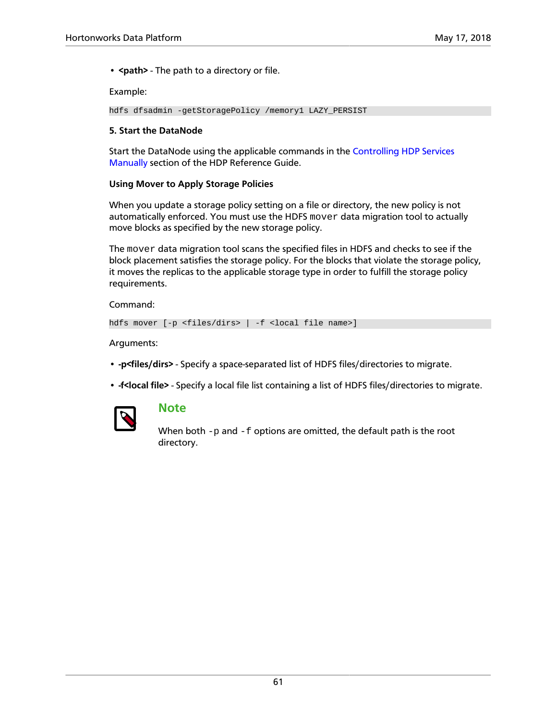• **<path>** - The path to a directory or file.

Example:

```
hdfs dfsadmin -getStoragePolicy /memory1 LAZY_PERSIST
```
#### **5. Start the DataNode**

Start the DataNode using the applicable commands in the [Controlling HDP Services](https://docs.hortonworks.com/HDPDocuments/HDP2/HDP-2.6.5/bk_reference/content/ch_controlling_hdp_svcs_manually.html) [Manually](https://docs.hortonworks.com/HDPDocuments/HDP2/HDP-2.6.5/bk_reference/content/ch_controlling_hdp_svcs_manually.html) section of the HDP Reference Guide.

#### **Using Mover to Apply Storage Policies**

When you update a storage policy setting on a file or directory, the new policy is not automatically enforced. You must use the HDFS mover data migration tool to actually move blocks as specified by the new storage policy.

The mover data migration tool scans the specified files in HDFS and checks to see if the block placement satisfies the storage policy. For the blocks that violate the storage policy, it moves the replicas to the applicable storage type in order to fulfill the storage policy requirements.

Command:

```
hdfs mover [-p <files/dirs> | -f <local file name>]
```
Arguments:

- **-p<files/dirs>** Specify a space-separated list of HDFS files/directories to migrate.
- **-f<local file>** Specify a local file list containing a list of HDFS files/directories to migrate.



### **Note**

When both  $-p$  and  $-f$  options are omitted, the default path is the root directory.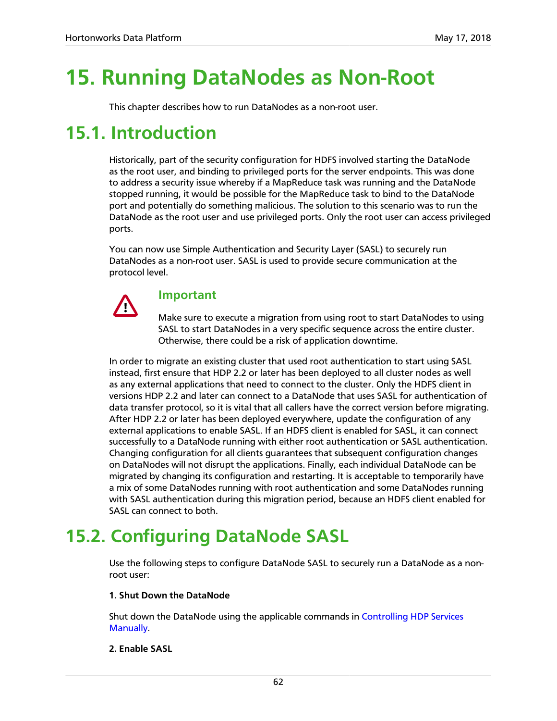# **15. Running DataNodes as Non-Root**

This chapter describes how to run DataNodes as a non-root user.

### **15.1. Introduction**

Historically, part of the security configuration for HDFS involved starting the DataNode as the root user, and binding to privileged ports for the server endpoints. This was done to address a security issue whereby if a MapReduce task was running and the DataNode stopped running, it would be possible for the MapReduce task to bind to the DataNode port and potentially do something malicious. The solution to this scenario was to run the DataNode as the root user and use privileged ports. Only the root user can access privileged ports.

You can now use Simple Authentication and Security Layer (SASL) to securely run DataNodes as a non-root user. SASL is used to provide secure communication at the protocol level.



### **Important**

Make sure to execute a migration from using root to start DataNodes to using SASL to start DataNodes in a very specific sequence across the entire cluster. Otherwise, there could be a risk of application downtime.

In order to migrate an existing cluster that used root authentication to start using SASL instead, first ensure that HDP 2.2 or later has been deployed to all cluster nodes as well as any external applications that need to connect to the cluster. Only the HDFS client in versions HDP 2.2 and later can connect to a DataNode that uses SASL for authentication of data transfer protocol, so it is vital that all callers have the correct version before migrating. After HDP 2.2 or later has been deployed everywhere, update the configuration of any external applications to enable SASL. If an HDFS client is enabled for SASL, it can connect successfully to a DataNode running with either root authentication or SASL authentication. Changing configuration for all clients guarantees that subsequent configuration changes on DataNodes will not disrupt the applications. Finally, each individual DataNode can be migrated by changing its configuration and restarting. It is acceptable to temporarily have a mix of some DataNodes running with root authentication and some DataNodes running with SASL authentication during this migration period, because an HDFS client enabled for SASL can connect to both.

## **15.2. Configuring DataNode SASL**

Use the following steps to configure DataNode SASL to securely run a DataNode as a nonroot user:

### **1. Shut Down the DataNode**

Shut down the DataNode using the applicable commands in [Controlling HDP Services](https://docs.hortonworks.com/HDPDocuments/HDP2/HDP-2.6.5/bk_reference/content/ch_controlling_hdp_svcs_manually.html) [Manually](https://docs.hortonworks.com/HDPDocuments/HDP2/HDP-2.6.5/bk_reference/content/ch_controlling_hdp_svcs_manually.html).

### **2. Enable SASL**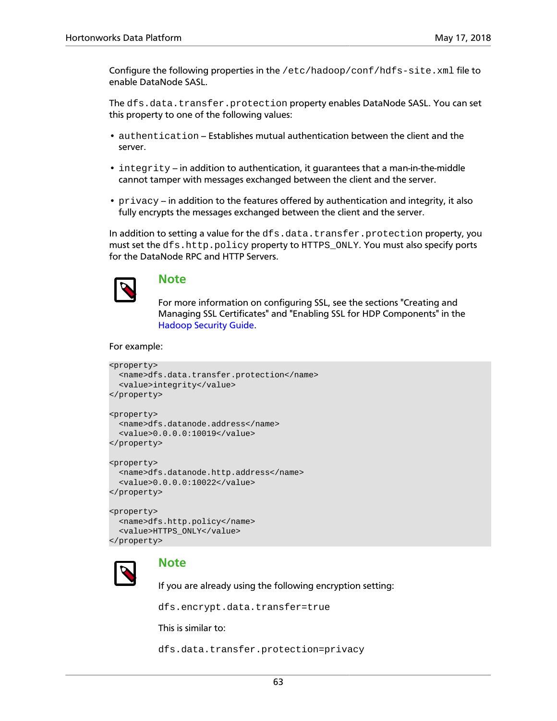Configure the following properties in the /etc/hadoop/conf/hdfs-site.xml file to enable DataNode SASL.

The dfs.data.transfer.protection property enables DataNode SASL. You can set this property to one of the following values:

- authentication Establishes mutual authentication between the client and the server.
- $\bullet$  integrity in addition to authentication, it guarantees that a man-in-the-middle cannot tamper with messages exchanged between the client and the server.
- privacy in addition to the features offered by authentication and integrity, it also fully encrypts the messages exchanged between the client and the server.

In addition to setting a value for the dfs.data.transfer.protection property, you must set the dfs.http.policy property to HTTPS\_ONLY. You must also specify ports for the DataNode RPC and HTTP Servers.



### **Note**

For more information on configuring SSL, see the sections "Creating and Managing SSL Certificates" and "Enabling SSL for HDP Components" in the [Hadoop Security Guide](https://docs.hortonworks.com/HDPDocuments/HDP2/HDP-2.6.5/bk_security/content/ch_hdp-security-guide-wire-encryption.html).

#### For example:

```
<property>
   <name>dfs.data.transfer.protection</name>
 <value>integrity</value>
</property>
<property>
  <name>dfs.datanode.address</name>
  <value>0.0.0.0:10019</value>
</property>
<property>
  <name>dfs.datanode.http.address</name>
  <value>0.0.0.0:10022</value>
</property>
```

```
<property>
  <name>dfs.http.policy</name>
  <value>HTTPS_ONLY</value>
</property>
```


### **Note**

If you are already using the following encryption setting:

dfs.encrypt.data.transfer=true

This is similar to:

dfs.data.transfer.protection=privacy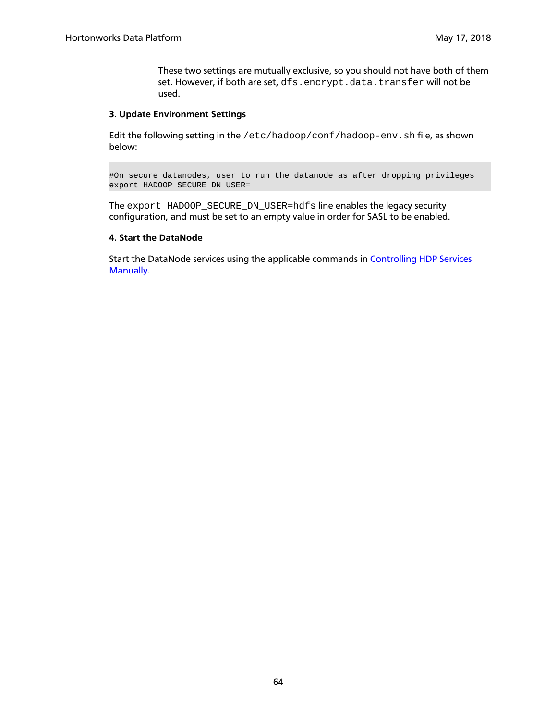These two settings are mutually exclusive, so you should not have both of them set. However, if both are set, dfs.encrypt.data.transfer will not be used.

### **3. Update Environment Settings**

Edit the following setting in the /etc/hadoop/conf/hadoop-env.sh file, as shown below:

#On secure datanodes, user to run the datanode as after dropping privileges export HADOOP\_SECURE\_DN\_USER=

The export HADOOP\_SECURE\_DN\_USER=hdfs line enables the legacy security configuration, and must be set to an empty value in order for SASL to be enabled.

#### **4. Start the DataNode**

Start the DataNode services using the applicable commands in [Controlling HDP Services](https://docs.hortonworks.com/HDPDocuments/HDP2/HDP-2.6.5/bk_reference/content/ch_controlling_hdp_svcs_manually.html) [Manually](https://docs.hortonworks.com/HDPDocuments/HDP2/HDP-2.6.5/bk_reference/content/ch_controlling_hdp_svcs_manually.html).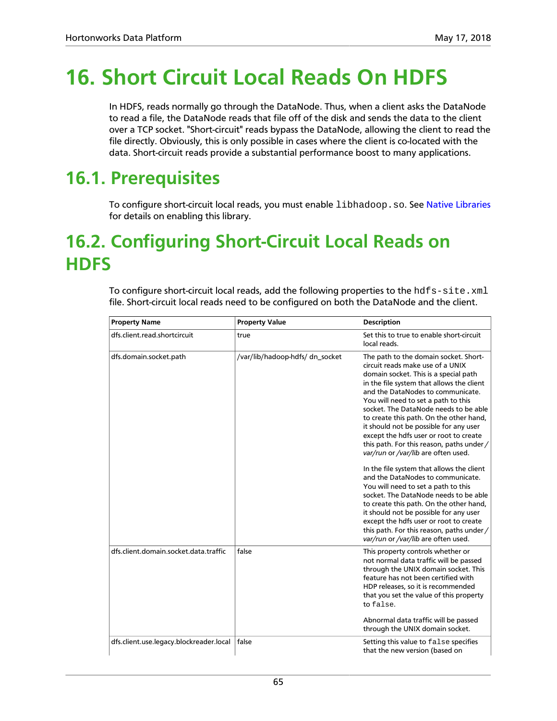# **16. Short Circuit Local Reads On HDFS**

In HDFS, reads normally go through the DataNode. Thus, when a client asks the DataNode to read a file, the DataNode reads that file off of the disk and sends the data to the client over a TCP socket. "Short-circuit" reads bypass the DataNode, allowing the client to read the file directly. Obviously, this is only possible in cases where the client is co-located with the data. Short-circuit reads provide a substantial performance boost to many applications.

## **16.1. Prerequisites**

To configure short-circuit local reads, you must enable libhadoop.so. See [Native Libraries](https://hadoop.apache.org/docs/current/hadoop-project-dist/hadoop-common/NativeLibraries.html) for details on enabling this library.

## **16.2. Configuring Short-Circuit Local Reads on HDFS**

To configure short-circuit local reads, add the following properties to the hdfs-site.xml file. Short-circuit local reads need to be configured on both the DataNode and the client.

| <b>Property Name</b>                    | <b>Property Value</b>           | <b>Description</b>                                                                                                                                                                                                                                                                                                                                                                                                                                                                                                                                                                                                                                                                                                                                                                                                                                                                           |
|-----------------------------------------|---------------------------------|----------------------------------------------------------------------------------------------------------------------------------------------------------------------------------------------------------------------------------------------------------------------------------------------------------------------------------------------------------------------------------------------------------------------------------------------------------------------------------------------------------------------------------------------------------------------------------------------------------------------------------------------------------------------------------------------------------------------------------------------------------------------------------------------------------------------------------------------------------------------------------------------|
| dfs.client.read.shortcircuit            | true                            | Set this to true to enable short-circuit<br>local reads.                                                                                                                                                                                                                                                                                                                                                                                                                                                                                                                                                                                                                                                                                                                                                                                                                                     |
| dfs.domain.socket.path                  | /var/lib/hadoop-hdfs/ dn_socket | The path to the domain socket. Short-<br>circuit reads make use of a UNIX<br>domain socket. This is a special path<br>in the file system that allows the client<br>and the DataNodes to communicate.<br>You will need to set a path to this<br>socket. The DataNode needs to be able<br>to create this path. On the other hand,<br>it should not be possible for any user<br>except the hdfs user or root to create<br>this path. For this reason, paths under /<br>var/run or /var/lib are often used.<br>In the file system that allows the client<br>and the DataNodes to communicate.<br>You will need to set a path to this<br>socket. The DataNode needs to be able<br>to create this path. On the other hand,<br>it should not be possible for any user<br>except the hdfs user or root to create<br>this path. For this reason, paths under /<br>var/run or /var/lib are often used. |
| dfs.client.domain.socket.data.traffic   | false                           | This property controls whether or<br>not normal data traffic will be passed<br>through the UNIX domain socket. This<br>feature has not been certified with<br>HDP releases, so it is recommended<br>that you set the value of this property<br>to false.<br>Abnormal data traffic will be passed<br>through the UNIX domain socket.                                                                                                                                                                                                                                                                                                                                                                                                                                                                                                                                                          |
| dfs.client.use.legacy.blockreader.local | false                           | Setting this value to false specifies<br>that the new version (based on                                                                                                                                                                                                                                                                                                                                                                                                                                                                                                                                                                                                                                                                                                                                                                                                                      |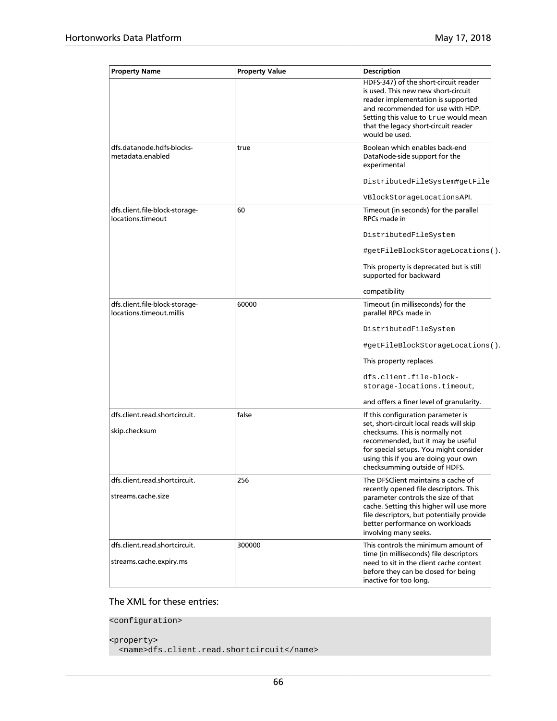| <b>Property Name</b>                                       | <b>Property Value</b> | <b>Description</b>                                                                                                                                                                                                                                                        |
|------------------------------------------------------------|-----------------------|---------------------------------------------------------------------------------------------------------------------------------------------------------------------------------------------------------------------------------------------------------------------------|
|                                                            |                       | HDFS-347) of the short-circuit reader<br>is used. This new new short-circuit<br>reader implementation is supported<br>and recommended for use with HDP.<br>Setting this value to true would mean<br>that the legacy short-circuit reader<br>would be used.                |
| dfs.datanode.hdfs-blocks-<br>metadata.enabled              | true                  | Boolean which enables back-end<br>DataNode-side support for the<br>experimental                                                                                                                                                                                           |
|                                                            |                       | DistributedFileSystem#getFile                                                                                                                                                                                                                                             |
|                                                            |                       | VBlockStorageLocationsAPI.                                                                                                                                                                                                                                                |
| dfs.client.file-block-storage-<br>locations.timeout        | 60                    | Timeout (in seconds) for the parallel<br>RPCs made in                                                                                                                                                                                                                     |
|                                                            |                       | DistributedFileSystem                                                                                                                                                                                                                                                     |
|                                                            |                       | #getFileBlockStorageLocations().                                                                                                                                                                                                                                          |
|                                                            |                       | This property is deprecated but is still<br>supported for backward                                                                                                                                                                                                        |
|                                                            |                       | compatibility                                                                                                                                                                                                                                                             |
| dfs.client.file-block-storage-<br>locations.timeout.millis | 60000                 | Timeout (in milliseconds) for the<br>parallel RPCs made in                                                                                                                                                                                                                |
|                                                            |                       | DistributedFileSystem                                                                                                                                                                                                                                                     |
|                                                            |                       | #getFileBlockStorageLocations().                                                                                                                                                                                                                                          |
|                                                            |                       | This property replaces                                                                                                                                                                                                                                                    |
|                                                            |                       | dfs.client.file-block-<br>storage-locations.timeout,                                                                                                                                                                                                                      |
|                                                            |                       | and offers a finer level of granularity.                                                                                                                                                                                                                                  |
| dfs.client.read.shortcircuit.<br>skip.checksum             | false                 | If this configuration parameter is<br>set, short-circuit local reads will skip<br>checksums. This is normally not<br>recommended, but it may be useful<br>for special setups. You might consider<br>using this if you are doing your own<br>checksumming outside of HDFS. |
| dfs.client.read.shortcircuit.                              | 256                   | The DFSClient maintains a cache of                                                                                                                                                                                                                                        |
| streams.cache.size                                         |                       | recently opened file descriptors. This<br>parameter controls the size of that<br>cache. Setting this higher will use more<br>file descriptors, but potentially provide<br>better performance on workloads<br>involving many seeks.                                        |
| dfs.client.read.shortcircuit.<br>streams.cache.expiry.ms   | 300000                | This controls the minimum amount of<br>time (in milliseconds) file descriptors<br>need to sit in the client cache context<br>before they can be closed for being<br>inactive for too long.                                                                                |

### The XML for these entries:

<configuration>

```
<property>
  <name>dfs.client.read.shortcircuit</name>
```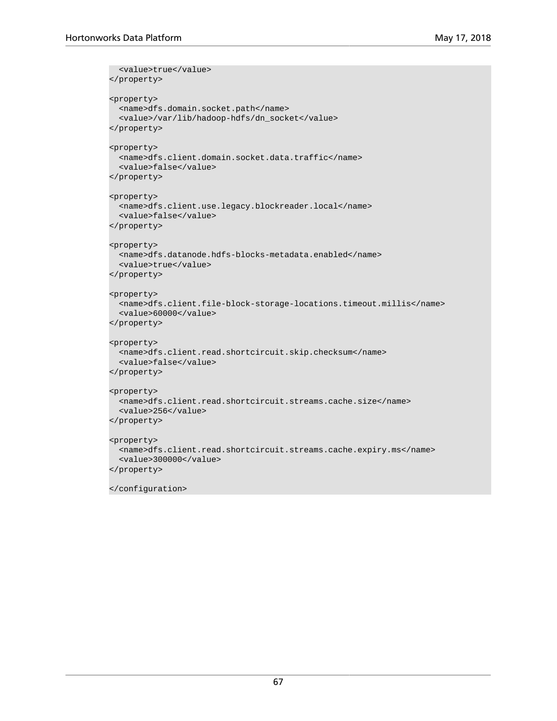```
<value>true</value>
</property>
<property>
  <name>dfs.domain.socket.path</name>
  <value>/var/lib/hadoop-hdfs/dn_socket</value>
</property>
<property>
  <name>dfs.client.domain.socket.data.traffic</name>
   <value>false</value>
</property>
<property>
  <name>dfs.client.use.legacy.blockreader.local</name>
   <value>false</value>
</property>
<property>
  <name>dfs.datanode.hdfs-blocks-metadata.enabled</name>
  <value>true</value>
</property>
<property>
  <name>dfs.client.file-block-storage-locations.timeout.millis</name>
  <value>60000</value>
</property>
<property>
  <name>dfs.client.read.shortcircuit.skip.checksum</name>
  <value>false</value>
</property>
<property>
  <name>dfs.client.read.shortcircuit.streams.cache.size</name>
  <value>256</value>
</property>
<property>
  <name>dfs.client.read.shortcircuit.streams.cache.expiry.ms</name>
  <value>300000</value>
</property>
</configuration>
```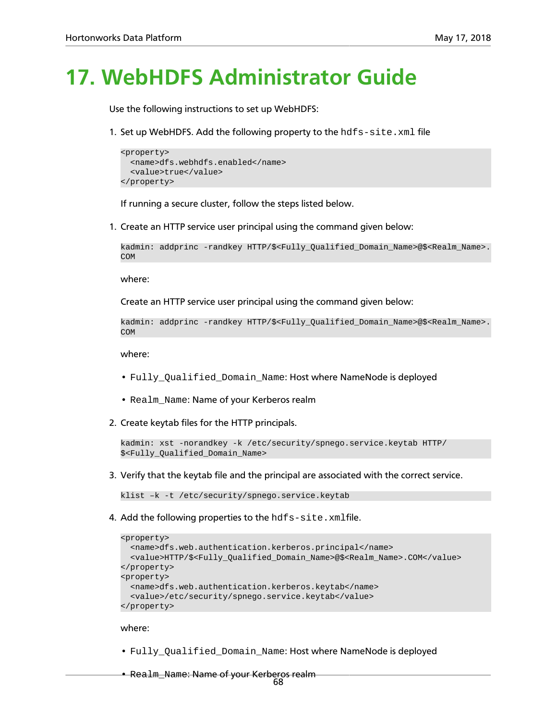## **17. WebHDFS Administrator Guide**

Use the following instructions to set up WebHDFS:

1. Set up WebHDFS. Add the following property to the  $hdfs-site$ . xml file

```
<property>
  <name>dfs.webhdfs.enabled</name>
   <value>true</value>
</property>
```
If running a secure cluster, follow the steps listed below.

1. Create an HTTP service user principal using the command given below:

```
kadmin: addprinc -randkey HTTP/$<Fully_Qualified_Domain_Name>@$<Realm_Name>.
COM
```
where:

Create an HTTP service user principal using the command given below:

```
kadmin: addprinc -randkey HTTP/$<Fully_Qualified_Domain_Name>@$<Realm_Name>.
COM
```
where:

- Fully Qualified Domain Name: Host where NameNode is deployed
- Realm\_Name: Name of your Kerberos realm
- 2. Create keytab files for the HTTP principals.

```
kadmin: xst -norandkey -k /etc/security/spnego.service.keytab HTTP/
$<Fully_Qualified_Domain_Name>
```
3. Verify that the keytab file and the principal are associated with the correct service.

klist –k -t /etc/security/spnego.service.keytab

4. Add the following properties to the hdfs-site.xmlfile.

```
<property>
  <name>dfs.web.authentication.kerberos.principal</name>
   <value>HTTP/$<Fully_Qualified_Domain_Name>@$<Realm_Name>.COM</value>
</property>
<property>
  <name>dfs.web.authentication.kerberos.keytab</name>
   <value>/etc/security/spnego.service.keytab</value>
</property>
```
## where:

• Fully\_Qualified\_Domain\_Name: Host where NameNode is deployed

• Realm\_Name: Name of your Kerberos realm